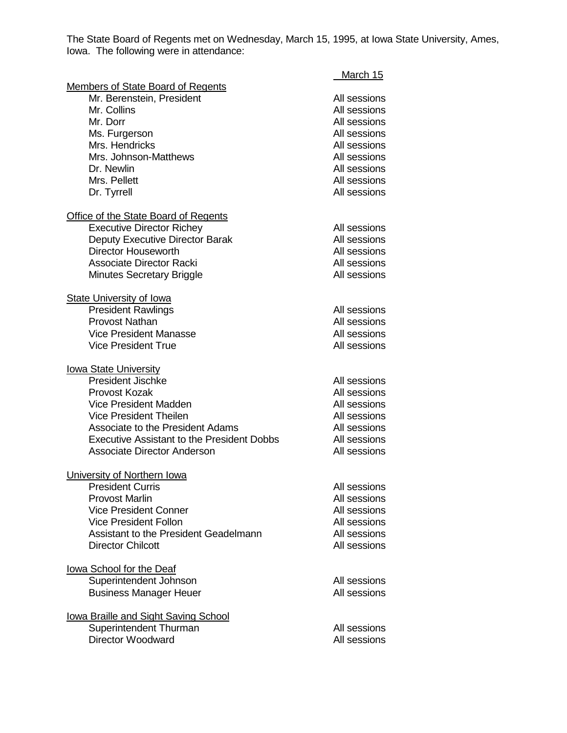The State Board of Regents met on Wednesday, March 15, 1995, at Iowa State University, Ames, Iowa. The following were in attendance:

|                                                    | March 15                     |
|----------------------------------------------------|------------------------------|
| <b>Members of State Board of Regents</b>           |                              |
| Mr. Berenstein, President<br>Mr. Collins           | All sessions                 |
| Mr. Dorr                                           | All sessions<br>All sessions |
|                                                    | All sessions                 |
| Ms. Furgerson<br>Mrs. Hendricks                    | All sessions                 |
| Mrs. Johnson-Matthews                              | All sessions                 |
| Dr. Newlin                                         | All sessions                 |
| Mrs. Pellett                                       | All sessions                 |
| Dr. Tyrrell                                        | All sessions                 |
| <b>Office of the State Board of Regents</b>        |                              |
| <b>Executive Director Richey</b>                   | All sessions                 |
| Deputy Executive Director Barak                    | All sessions                 |
| <b>Director Houseworth</b>                         | All sessions                 |
| <b>Associate Director Racki</b>                    | All sessions                 |
| <b>Minutes Secretary Briggle</b>                   | All sessions                 |
| <b>State University of lowa</b>                    |                              |
| <b>President Rawlings</b>                          | All sessions                 |
| <b>Provost Nathan</b>                              | All sessions                 |
| <b>Vice President Manasse</b>                      | All sessions                 |
| <b>Vice President True</b>                         | All sessions                 |
| <b>lowa State University</b>                       |                              |
| President Jischke                                  | All sessions                 |
| <b>Provost Kozak</b>                               | All sessions                 |
| <b>Vice President Madden</b>                       | All sessions                 |
| <b>Vice President Theilen</b>                      | All sessions                 |
| Associate to the President Adams                   | All sessions                 |
| <b>Executive Assistant to the President Dobbs</b>  | All sessions                 |
| <b>Associate Director Anderson</b>                 | All sessions                 |
| University of Northern Iowa                        |                              |
| <b>President Curris</b>                            | All sessions                 |
| <b>Provost Marlin</b>                              | All sessions                 |
| <b>Vice President Conner</b>                       | All sessions                 |
| <b>Vice President Follon</b>                       | All sessions                 |
| Assistant to the President Geadelmann              | All sessions                 |
| <b>Director Chilcott</b>                           | All sessions                 |
| lowa School for the Deaf                           |                              |
| Superintendent Johnson                             | All sessions                 |
| <b>Business Manager Heuer</b>                      | All sessions                 |
| lowa Braille and Sight Saving School               |                              |
| Superintendent Thurman<br><b>Director Woodward</b> | All sessions<br>All sessions |
|                                                    |                              |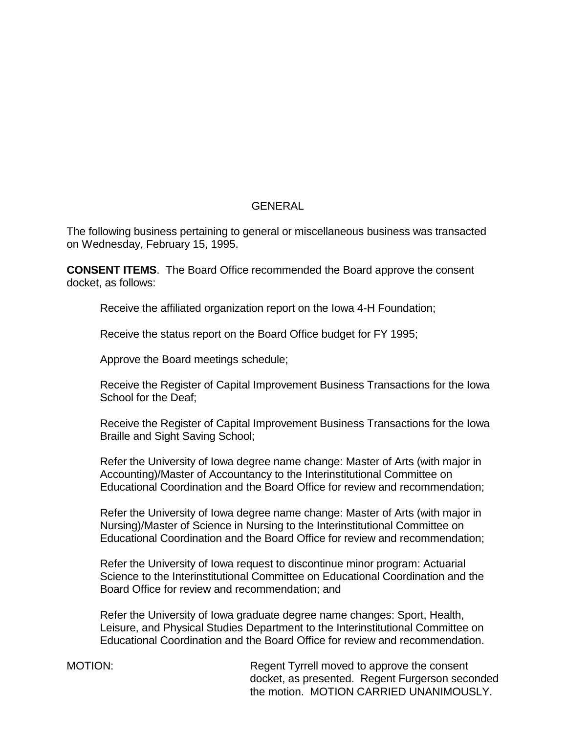# GENERAL

The following business pertaining to general or miscellaneous business was transacted on Wednesday, February 15, 1995.

**CONSENT ITEMS**. The Board Office recommended the Board approve the consent docket, as follows:

Receive the affiliated organization report on the Iowa 4-H Foundation;

Receive the status report on the Board Office budget for FY 1995;

Approve the Board meetings schedule;

Receive the Register of Capital Improvement Business Transactions for the Iowa School for the Deaf;

Receive the Register of Capital Improvement Business Transactions for the Iowa Braille and Sight Saving School;

Refer the University of Iowa degree name change: Master of Arts (with major in Accounting)/Master of Accountancy to the Interinstitutional Committee on Educational Coordination and the Board Office for review and recommendation;

Refer the University of Iowa degree name change: Master of Arts (with major in Nursing)/Master of Science in Nursing to the Interinstitutional Committee on Educational Coordination and the Board Office for review and recommendation;

Refer the University of Iowa request to discontinue minor program: Actuarial Science to the Interinstitutional Committee on Educational Coordination and the Board Office for review and recommendation; and

Refer the University of Iowa graduate degree name changes: Sport, Health, Leisure, and Physical Studies Department to the Interinstitutional Committee on Educational Coordination and the Board Office for review and recommendation.

MOTION: Regent Tyrrell moved to approve the consent docket, as presented. Regent Furgerson seconded the motion. MOTION CARRIED UNANIMOUSLY.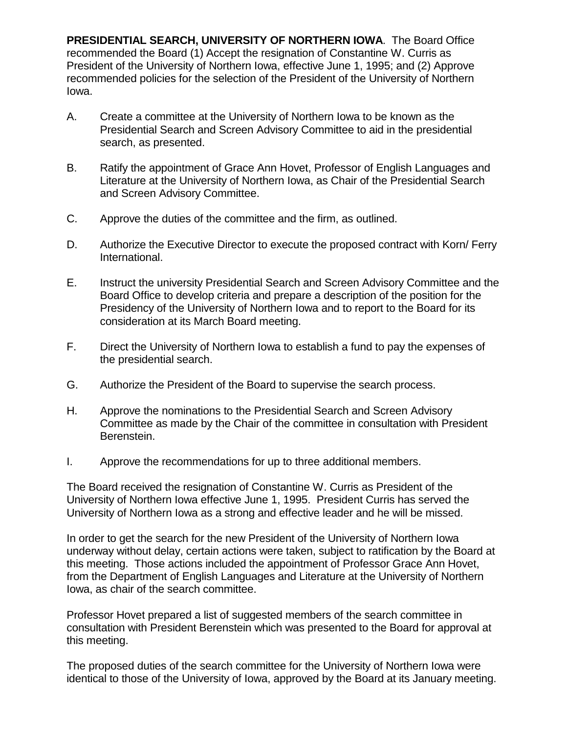**PRESIDENTIAL SEARCH, UNIVERSITY OF NORTHERN IOWA**. The Board Office recommended the Board (1) Accept the resignation of Constantine W. Curris as President of the University of Northern Iowa, effective June 1, 1995; and (2) Approve recommended policies for the selection of the President of the University of Northern Iowa.

- A. Create a committee at the University of Northern Iowa to be known as the Presidential Search and Screen Advisory Committee to aid in the presidential search, as presented.
- B. Ratify the appointment of Grace Ann Hovet, Professor of English Languages and Literature at the University of Northern Iowa, as Chair of the Presidential Search and Screen Advisory Committee.
- C. Approve the duties of the committee and the firm, as outlined.
- D. Authorize the Executive Director to execute the proposed contract with Korn/ Ferry International.
- E. Instruct the university Presidential Search and Screen Advisory Committee and the Board Office to develop criteria and prepare a description of the position for the Presidency of the University of Northern Iowa and to report to the Board for its consideration at its March Board meeting.
- F. Direct the University of Northern Iowa to establish a fund to pay the expenses of the presidential search.
- G. Authorize the President of the Board to supervise the search process.
- H. Approve the nominations to the Presidential Search and Screen Advisory Committee as made by the Chair of the committee in consultation with President Berenstein.
- I. Approve the recommendations for up to three additional members.

The Board received the resignation of Constantine W. Curris as President of the University of Northern Iowa effective June 1, 1995. President Curris has served the University of Northern Iowa as a strong and effective leader and he will be missed.

In order to get the search for the new President of the University of Northern Iowa underway without delay, certain actions were taken, subject to ratification by the Board at this meeting. Those actions included the appointment of Professor Grace Ann Hovet, from the Department of English Languages and Literature at the University of Northern Iowa, as chair of the search committee.

Professor Hovet prepared a list of suggested members of the search committee in consultation with President Berenstein which was presented to the Board for approval at this meeting.

The proposed duties of the search committee for the University of Northern Iowa were identical to those of the University of Iowa, approved by the Board at its January meeting.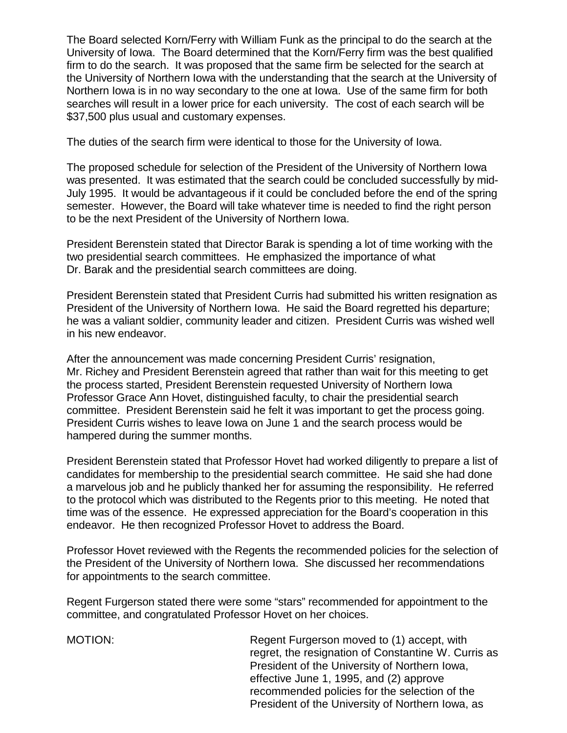The Board selected Korn/Ferry with William Funk as the principal to do the search at the University of Iowa. The Board determined that the Korn/Ferry firm was the best qualified firm to do the search. It was proposed that the same firm be selected for the search at the University of Northern Iowa with the understanding that the search at the University of Northern Iowa is in no way secondary to the one at Iowa. Use of the same firm for both searches will result in a lower price for each university. The cost of each search will be \$37,500 plus usual and customary expenses.

The duties of the search firm were identical to those for the University of Iowa.

The proposed schedule for selection of the President of the University of Northern Iowa was presented. It was estimated that the search could be concluded successfully by mid-July 1995. It would be advantageous if it could be concluded before the end of the spring semester. However, the Board will take whatever time is needed to find the right person to be the next President of the University of Northern Iowa.

President Berenstein stated that Director Barak is spending a lot of time working with the two presidential search committees. He emphasized the importance of what Dr. Barak and the presidential search committees are doing.

President Berenstein stated that President Curris had submitted his written resignation as President of the University of Northern Iowa. He said the Board regretted his departure; he was a valiant soldier, community leader and citizen. President Curris was wished well in his new endeavor.

After the announcement was made concerning President Curris' resignation, Mr. Richey and President Berenstein agreed that rather than wait for this meeting to get the process started, President Berenstein requested University of Northern Iowa Professor Grace Ann Hovet, distinguished faculty, to chair the presidential search committee. President Berenstein said he felt it was important to get the process going. President Curris wishes to leave Iowa on June 1 and the search process would be hampered during the summer months.

President Berenstein stated that Professor Hovet had worked diligently to prepare a list of candidates for membership to the presidential search committee. He said she had done a marvelous job and he publicly thanked her for assuming the responsibility. He referred to the protocol which was distributed to the Regents prior to this meeting. He noted that time was of the essence. He expressed appreciation for the Board's cooperation in this endeavor. He then recognized Professor Hovet to address the Board.

Professor Hovet reviewed with the Regents the recommended policies for the selection of the President of the University of Northern Iowa. She discussed her recommendations for appointments to the search committee.

Regent Furgerson stated there were some "stars" recommended for appointment to the committee, and congratulated Professor Hovet on her choices.

MOTION: Regent Furgerson moved to (1) accept, with regret, the resignation of Constantine W. Curris as President of the University of Northern Iowa, effective June 1, 1995, and (2) approve recommended policies for the selection of the President of the University of Northern Iowa, as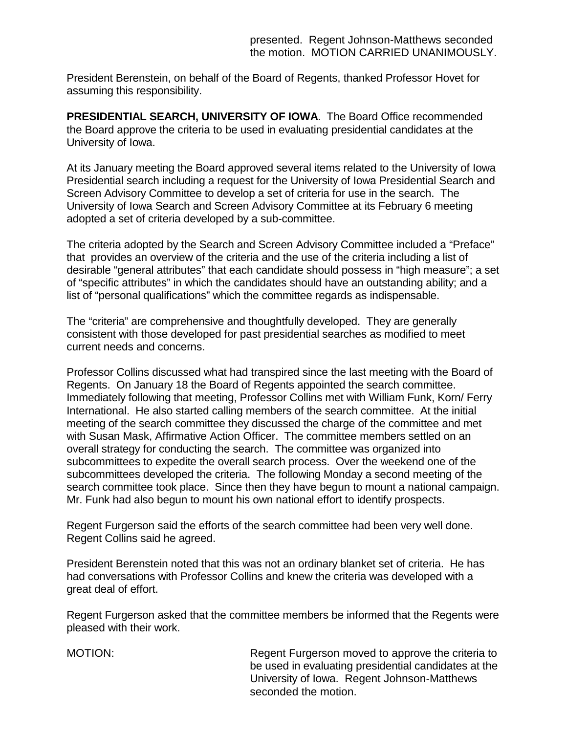President Berenstein, on behalf of the Board of Regents, thanked Professor Hovet for assuming this responsibility.

**PRESIDENTIAL SEARCH, UNIVERSITY OF IOWA**. The Board Office recommended the Board approve the criteria to be used in evaluating presidential candidates at the University of Iowa.

At its January meeting the Board approved several items related to the University of Iowa Presidential search including a request for the University of Iowa Presidential Search and Screen Advisory Committee to develop a set of criteria for use in the search. The University of Iowa Search and Screen Advisory Committee at its February 6 meeting adopted a set of criteria developed by a sub-committee.

The criteria adopted by the Search and Screen Advisory Committee included a "Preface" that provides an overview of the criteria and the use of the criteria including a list of desirable "general attributes" that each candidate should possess in "high measure"; a set of "specific attributes" in which the candidates should have an outstanding ability; and a list of "personal qualifications" which the committee regards as indispensable.

The "criteria" are comprehensive and thoughtfully developed. They are generally consistent with those developed for past presidential searches as modified to meet current needs and concerns.

Professor Collins discussed what had transpired since the last meeting with the Board of Regents. On January 18 the Board of Regents appointed the search committee. Immediately following that meeting, Professor Collins met with William Funk, Korn/ Ferry International. He also started calling members of the search committee. At the initial meeting of the search committee they discussed the charge of the committee and met with Susan Mask, Affirmative Action Officer. The committee members settled on an overall strategy for conducting the search. The committee was organized into subcommittees to expedite the overall search process. Over the weekend one of the subcommittees developed the criteria. The following Monday a second meeting of the search committee took place. Since then they have begun to mount a national campaign. Mr. Funk had also begun to mount his own national effort to identify prospects.

Regent Furgerson said the efforts of the search committee had been very well done. Regent Collins said he agreed.

President Berenstein noted that this was not an ordinary blanket set of criteria. He has had conversations with Professor Collins and knew the criteria was developed with a great deal of effort.

Regent Furgerson asked that the committee members be informed that the Regents were pleased with their work.

MOTION: Regent Furgerson moved to approve the criteria to be used in evaluating presidential candidates at the University of Iowa. Regent Johnson-Matthews seconded the motion.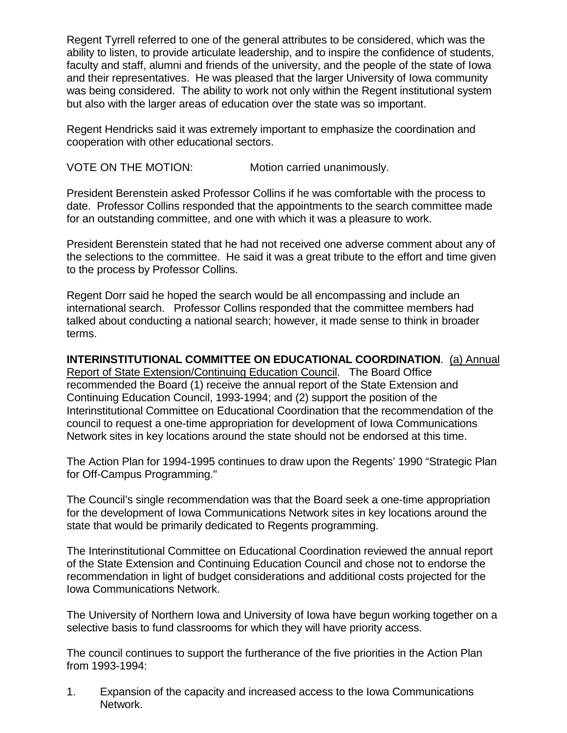Regent Tyrrell referred to one of the general attributes to be considered, which was the ability to listen, to provide articulate leadership, and to inspire the confidence of students, faculty and staff, alumni and friends of the university, and the people of the state of Iowa and their representatives. He was pleased that the larger University of Iowa community was being considered. The ability to work not only within the Regent institutional system but also with the larger areas of education over the state was so important.

Regent Hendricks said it was extremely important to emphasize the coordination and cooperation with other educational sectors.

VOTE ON THE MOTION: Motion carried unanimously.

President Berenstein asked Professor Collins if he was comfortable with the process to date. Professor Collins responded that the appointments to the search committee made for an outstanding committee, and one with which it was a pleasure to work.

President Berenstein stated that he had not received one adverse comment about any of the selections to the committee. He said it was a great tribute to the effort and time given to the process by Professor Collins.

Regent Dorr said he hoped the search would be all encompassing and include an international search. Professor Collins responded that the committee members had talked about conducting a national search; however, it made sense to think in broader terms.

**INTERINSTITUTIONAL COMMITTEE ON EDUCATIONAL COORDINATION**. (a) Annual Report of State Extension/Continuing Education Council. The Board Office recommended the Board (1) receive the annual report of the State Extension and Continuing Education Council, 1993-1994; and (2) support the position of the Interinstitutional Committee on Educational Coordination that the recommendation of the council to request a one-time appropriation for development of Iowa Communications Network sites in key locations around the state should not be endorsed at this time.

The Action Plan for 1994-1995 continues to draw upon the Regents' 1990 "Strategic Plan for Off-Campus Programming."

The Council's single recommendation was that the Board seek a one-time appropriation for the development of Iowa Communications Network sites in key locations around the state that would be primarily dedicated to Regents programming.

The Interinstitutional Committee on Educational Coordination reviewed the annual report of the State Extension and Continuing Education Council and chose not to endorse the recommendation in light of budget considerations and additional costs projected for the Iowa Communications Network.

The University of Northern Iowa and University of Iowa have begun working together on a selective basis to fund classrooms for which they will have priority access.

The council continues to support the furtherance of the five priorities in the Action Plan from 1993-1994:

1. Expansion of the capacity and increased access to the Iowa Communications Network.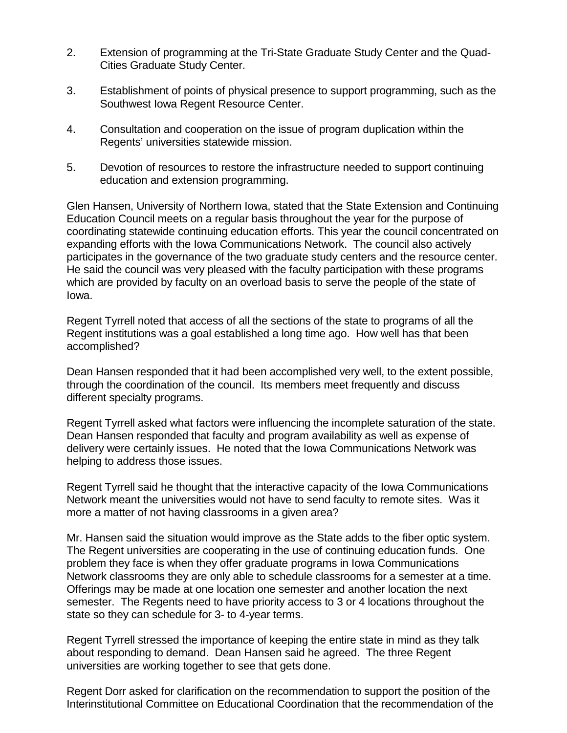- 2. Extension of programming at the Tri-State Graduate Study Center and the Quad-Cities Graduate Study Center.
- 3. Establishment of points of physical presence to support programming, such as the Southwest Iowa Regent Resource Center.
- 4. Consultation and cooperation on the issue of program duplication within the Regents' universities statewide mission.
- 5. Devotion of resources to restore the infrastructure needed to support continuing education and extension programming.

Glen Hansen, University of Northern Iowa, stated that the State Extension and Continuing Education Council meets on a regular basis throughout the year for the purpose of coordinating statewide continuing education efforts. This year the council concentrated on expanding efforts with the Iowa Communications Network. The council also actively participates in the governance of the two graduate study centers and the resource center. He said the council was very pleased with the faculty participation with these programs which are provided by faculty on an overload basis to serve the people of the state of Iowa.

Regent Tyrrell noted that access of all the sections of the state to programs of all the Regent institutions was a goal established a long time ago. How well has that been accomplished?

Dean Hansen responded that it had been accomplished very well, to the extent possible, through the coordination of the council. Its members meet frequently and discuss different specialty programs.

Regent Tyrrell asked what factors were influencing the incomplete saturation of the state. Dean Hansen responded that faculty and program availability as well as expense of delivery were certainly issues. He noted that the Iowa Communications Network was helping to address those issues.

Regent Tyrrell said he thought that the interactive capacity of the Iowa Communications Network meant the universities would not have to send faculty to remote sites. Was it more a matter of not having classrooms in a given area?

Mr. Hansen said the situation would improve as the State adds to the fiber optic system. The Regent universities are cooperating in the use of continuing education funds. One problem they face is when they offer graduate programs in Iowa Communications Network classrooms they are only able to schedule classrooms for a semester at a time. Offerings may be made at one location one semester and another location the next semester. The Regents need to have priority access to 3 or 4 locations throughout the state so they can schedule for 3- to 4-year terms.

Regent Tyrrell stressed the importance of keeping the entire state in mind as they talk about responding to demand. Dean Hansen said he agreed. The three Regent universities are working together to see that gets done.

Regent Dorr asked for clarification on the recommendation to support the position of the Interinstitutional Committee on Educational Coordination that the recommendation of the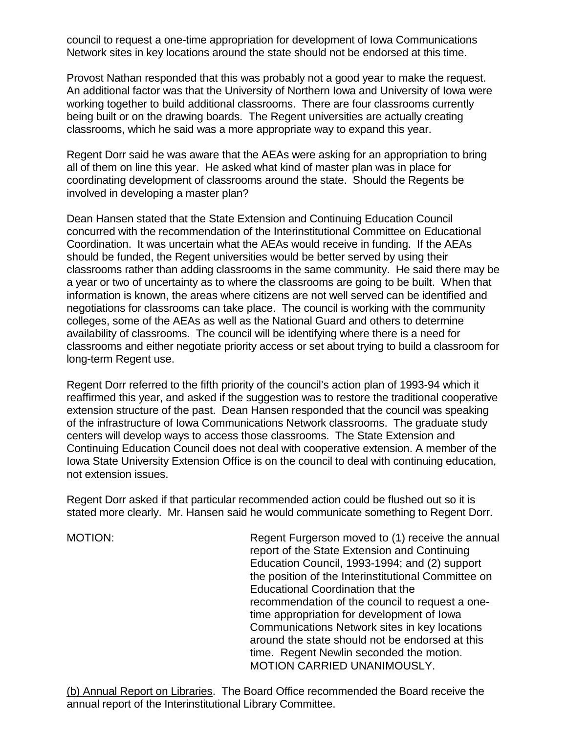council to request a one-time appropriation for development of Iowa Communications Network sites in key locations around the state should not be endorsed at this time.

Provost Nathan responded that this was probably not a good year to make the request. An additional factor was that the University of Northern Iowa and University of Iowa were working together to build additional classrooms. There are four classrooms currently being built or on the drawing boards. The Regent universities are actually creating classrooms, which he said was a more appropriate way to expand this year.

Regent Dorr said he was aware that the AEAs were asking for an appropriation to bring all of them on line this year. He asked what kind of master plan was in place for coordinating development of classrooms around the state. Should the Regents be involved in developing a master plan?

Dean Hansen stated that the State Extension and Continuing Education Council concurred with the recommendation of the Interinstitutional Committee on Educational Coordination. It was uncertain what the AEAs would receive in funding. If the AEAs should be funded, the Regent universities would be better served by using their classrooms rather than adding classrooms in the same community. He said there may be a year or two of uncertainty as to where the classrooms are going to be built. When that information is known, the areas where citizens are not well served can be identified and negotiations for classrooms can take place. The council is working with the community colleges, some of the AEAs as well as the National Guard and others to determine availability of classrooms. The council will be identifying where there is a need for classrooms and either negotiate priority access or set about trying to build a classroom for long-term Regent use.

Regent Dorr referred to the fifth priority of the council's action plan of 1993-94 which it reaffirmed this year, and asked if the suggestion was to restore the traditional cooperative extension structure of the past. Dean Hansen responded that the council was speaking of the infrastructure of Iowa Communications Network classrooms. The graduate study centers will develop ways to access those classrooms. The State Extension and Continuing Education Council does not deal with cooperative extension. A member of the Iowa State University Extension Office is on the council to deal with continuing education, not extension issues.

Regent Dorr asked if that particular recommended action could be flushed out so it is stated more clearly. Mr. Hansen said he would communicate something to Regent Dorr.

MOTION: Regent Furgerson moved to (1) receive the annual report of the State Extension and Continuing Education Council, 1993-1994; and (2) support the position of the Interinstitutional Committee on Educational Coordination that the recommendation of the council to request a onetime appropriation for development of Iowa Communications Network sites in key locations around the state should not be endorsed at this time. Regent Newlin seconded the motion. MOTION CARRIED UNANIMOUSLY.

(b) Annual Report on Libraries. The Board Office recommended the Board receive the annual report of the Interinstitutional Library Committee.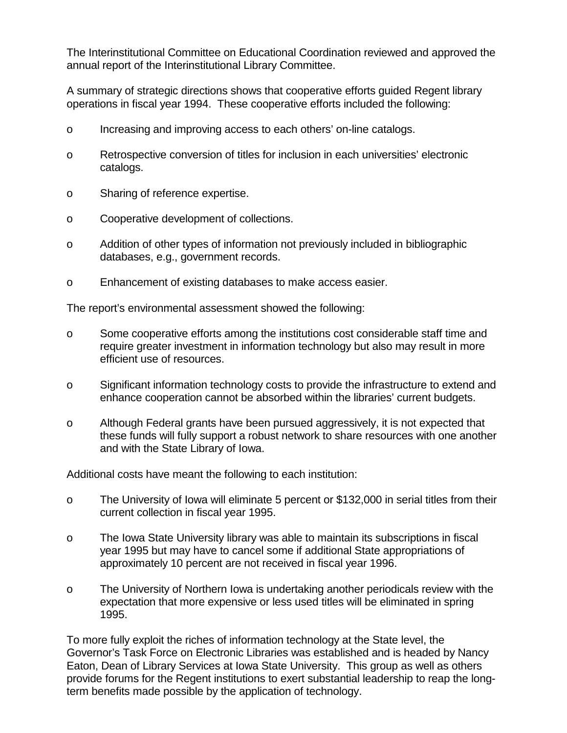The Interinstitutional Committee on Educational Coordination reviewed and approved the annual report of the Interinstitutional Library Committee.

A summary of strategic directions shows that cooperative efforts guided Regent library operations in fiscal year 1994. These cooperative efforts included the following:

- o Increasing and improving access to each others' on-line catalogs.
- o Retrospective conversion of titles for inclusion in each universities' electronic catalogs.
- o Sharing of reference expertise.
- o Cooperative development of collections.
- o Addition of other types of information not previously included in bibliographic databases, e.g., government records.
- o Enhancement of existing databases to make access easier.

The report's environmental assessment showed the following:

- o Some cooperative efforts among the institutions cost considerable staff time and require greater investment in information technology but also may result in more efficient use of resources.
- o Significant information technology costs to provide the infrastructure to extend and enhance cooperation cannot be absorbed within the libraries' current budgets.
- o Although Federal grants have been pursued aggressively, it is not expected that these funds will fully support a robust network to share resources with one another and with the State Library of Iowa.

Additional costs have meant the following to each institution:

- o The University of Iowa will eliminate 5 percent or \$132,000 in serial titles from their current collection in fiscal year 1995.
- o The Iowa State University library was able to maintain its subscriptions in fiscal year 1995 but may have to cancel some if additional State appropriations of approximately 10 percent are not received in fiscal year 1996.
- o The University of Northern Iowa is undertaking another periodicals review with the expectation that more expensive or less used titles will be eliminated in spring 1995.

To more fully exploit the riches of information technology at the State level, the Governor's Task Force on Electronic Libraries was established and is headed by Nancy Eaton, Dean of Library Services at Iowa State University. This group as well as others provide forums for the Regent institutions to exert substantial leadership to reap the longterm benefits made possible by the application of technology.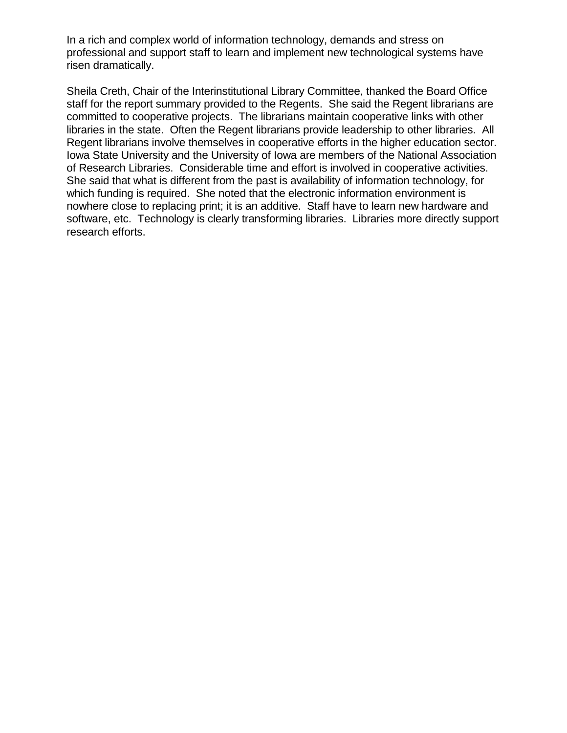In a rich and complex world of information technology, demands and stress on professional and support staff to learn and implement new technological systems have risen dramatically.

Sheila Creth, Chair of the Interinstitutional Library Committee, thanked the Board Office staff for the report summary provided to the Regents. She said the Regent librarians are committed to cooperative projects. The librarians maintain cooperative links with other libraries in the state. Often the Regent librarians provide leadership to other libraries. All Regent librarians involve themselves in cooperative efforts in the higher education sector. Iowa State University and the University of Iowa are members of the National Association of Research Libraries. Considerable time and effort is involved in cooperative activities. She said that what is different from the past is availability of information technology, for which funding is required. She noted that the electronic information environment is nowhere close to replacing print; it is an additive. Staff have to learn new hardware and software, etc. Technology is clearly transforming libraries. Libraries more directly support research efforts.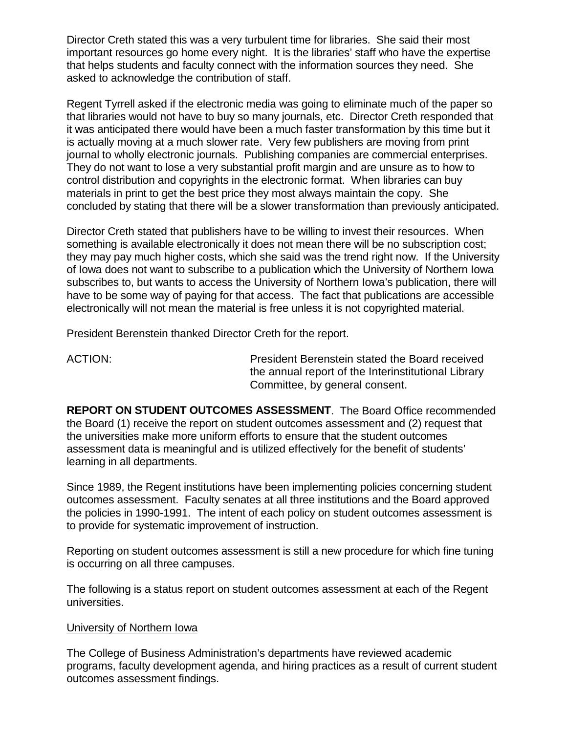Director Creth stated this was a very turbulent time for libraries. She said their most important resources go home every night. It is the libraries' staff who have the expertise that helps students and faculty connect with the information sources they need. She asked to acknowledge the contribution of staff.

Regent Tyrrell asked if the electronic media was going to eliminate much of the paper so that libraries would not have to buy so many journals, etc. Director Creth responded that it was anticipated there would have been a much faster transformation by this time but it is actually moving at a much slower rate. Very few publishers are moving from print journal to wholly electronic journals. Publishing companies are commercial enterprises. They do not want to lose a very substantial profit margin and are unsure as to how to control distribution and copyrights in the electronic format. When libraries can buy materials in print to get the best price they most always maintain the copy. She concluded by stating that there will be a slower transformation than previously anticipated.

Director Creth stated that publishers have to be willing to invest their resources. When something is available electronically it does not mean there will be no subscription cost; they may pay much higher costs, which she said was the trend right now. If the University of Iowa does not want to subscribe to a publication which the University of Northern Iowa subscribes to, but wants to access the University of Northern Iowa's publication, there will have to be some way of paying for that access. The fact that publications are accessible electronically will not mean the material is free unless it is not copyrighted material.

President Berenstein thanked Director Creth for the report.

ACTION: President Berenstein stated the Board received the annual report of the Interinstitutional Library Committee, by general consent.

**REPORT ON STUDENT OUTCOMES ASSESSMENT**. The Board Office recommended the Board (1) receive the report on student outcomes assessment and (2) request that the universities make more uniform efforts to ensure that the student outcomes assessment data is meaningful and is utilized effectively for the benefit of students' learning in all departments.

Since 1989, the Regent institutions have been implementing policies concerning student outcomes assessment. Faculty senates at all three institutions and the Board approved the policies in 1990-1991. The intent of each policy on student outcomes assessment is to provide for systematic improvement of instruction.

Reporting on student outcomes assessment is still a new procedure for which fine tuning is occurring on all three campuses.

The following is a status report on student outcomes assessment at each of the Regent universities.

#### University of Northern Iowa

The College of Business Administration's departments have reviewed academic programs, faculty development agenda, and hiring practices as a result of current student outcomes assessment findings.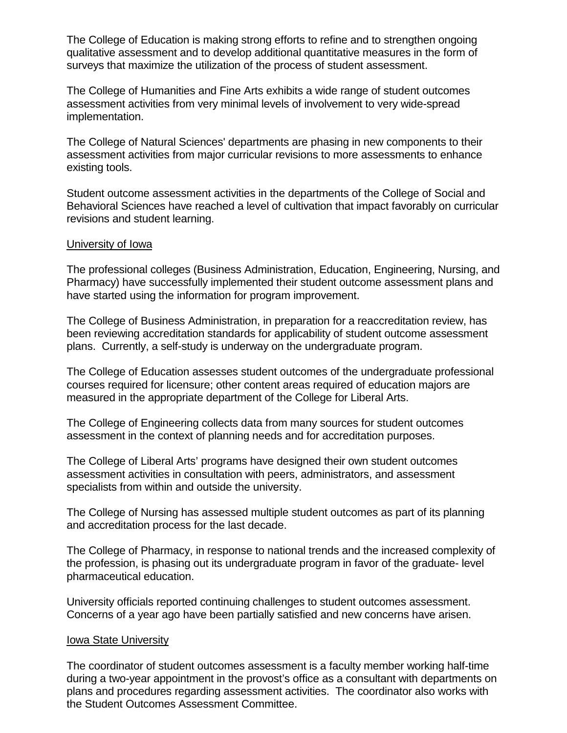The College of Education is making strong efforts to refine and to strengthen ongoing qualitative assessment and to develop additional quantitative measures in the form of surveys that maximize the utilization of the process of student assessment.

The College of Humanities and Fine Arts exhibits a wide range of student outcomes assessment activities from very minimal levels of involvement to very wide-spread implementation.

The College of Natural Sciences' departments are phasing in new components to their assessment activities from major curricular revisions to more assessments to enhance existing tools.

Student outcome assessment activities in the departments of the College of Social and Behavioral Sciences have reached a level of cultivation that impact favorably on curricular revisions and student learning.

#### University of Iowa

The professional colleges (Business Administration, Education, Engineering, Nursing, and Pharmacy) have successfully implemented their student outcome assessment plans and have started using the information for program improvement.

The College of Business Administration, in preparation for a reaccreditation review, has been reviewing accreditation standards for applicability of student outcome assessment plans. Currently, a self-study is underway on the undergraduate program.

The College of Education assesses student outcomes of the undergraduate professional courses required for licensure; other content areas required of education majors are measured in the appropriate department of the College for Liberal Arts.

The College of Engineering collects data from many sources for student outcomes assessment in the context of planning needs and for accreditation purposes.

The College of Liberal Arts' programs have designed their own student outcomes assessment activities in consultation with peers, administrators, and assessment specialists from within and outside the university.

The College of Nursing has assessed multiple student outcomes as part of its planning and accreditation process for the last decade.

The College of Pharmacy, in response to national trends and the increased complexity of the profession, is phasing out its undergraduate program in favor of the graduate- level pharmaceutical education.

University officials reported continuing challenges to student outcomes assessment. Concerns of a year ago have been partially satisfied and new concerns have arisen.

#### Iowa State University

The coordinator of student outcomes assessment is a faculty member working half-time during a two-year appointment in the provost's office as a consultant with departments on plans and procedures regarding assessment activities. The coordinator also works with the Student Outcomes Assessment Committee.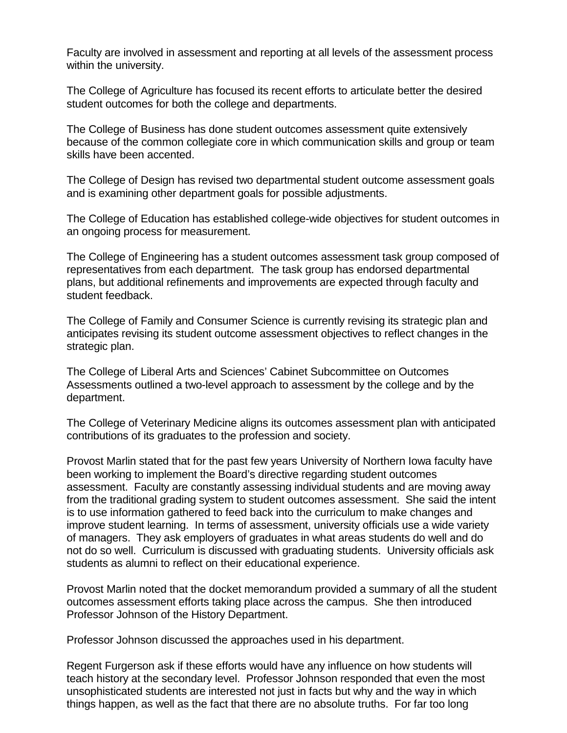Faculty are involved in assessment and reporting at all levels of the assessment process within the university.

The College of Agriculture has focused its recent efforts to articulate better the desired student outcomes for both the college and departments.

The College of Business has done student outcomes assessment quite extensively because of the common collegiate core in which communication skills and group or team skills have been accented.

The College of Design has revised two departmental student outcome assessment goals and is examining other department goals for possible adjustments.

The College of Education has established college-wide objectives for student outcomes in an ongoing process for measurement.

The College of Engineering has a student outcomes assessment task group composed of representatives from each department. The task group has endorsed departmental plans, but additional refinements and improvements are expected through faculty and student feedback.

The College of Family and Consumer Science is currently revising its strategic plan and anticipates revising its student outcome assessment objectives to reflect changes in the strategic plan.

The College of Liberal Arts and Sciences' Cabinet Subcommittee on Outcomes Assessments outlined a two-level approach to assessment by the college and by the department.

The College of Veterinary Medicine aligns its outcomes assessment plan with anticipated contributions of its graduates to the profession and society.

Provost Marlin stated that for the past few years University of Northern Iowa faculty have been working to implement the Board's directive regarding student outcomes assessment. Faculty are constantly assessing individual students and are moving away from the traditional grading system to student outcomes assessment. She said the intent is to use information gathered to feed back into the curriculum to make changes and improve student learning. In terms of assessment, university officials use a wide variety of managers. They ask employers of graduates in what areas students do well and do not do so well. Curriculum is discussed with graduating students. University officials ask students as alumni to reflect on their educational experience.

Provost Marlin noted that the docket memorandum provided a summary of all the student outcomes assessment efforts taking place across the campus. She then introduced Professor Johnson of the History Department.

Professor Johnson discussed the approaches used in his department.

Regent Furgerson ask if these efforts would have any influence on how students will teach history at the secondary level. Professor Johnson responded that even the most unsophisticated students are interested not just in facts but why and the way in which things happen, as well as the fact that there are no absolute truths. For far too long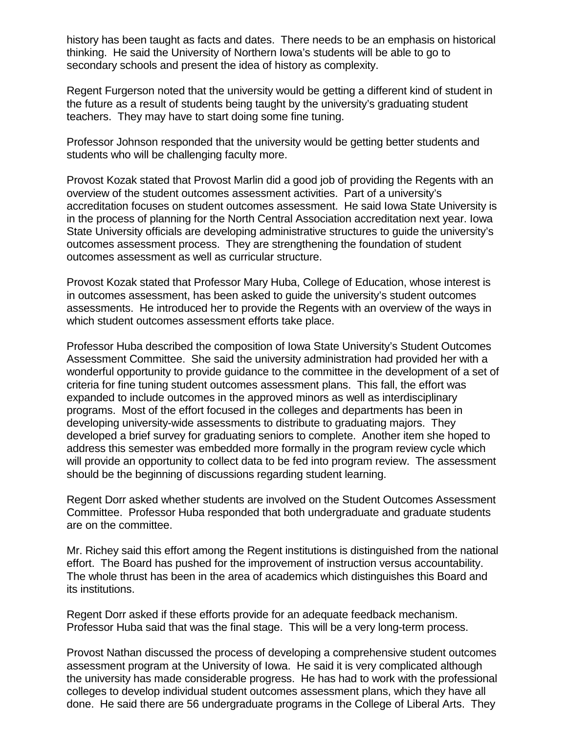history has been taught as facts and dates. There needs to be an emphasis on historical thinking. He said the University of Northern Iowa's students will be able to go to secondary schools and present the idea of history as complexity.

Regent Furgerson noted that the university would be getting a different kind of student in the future as a result of students being taught by the university's graduating student teachers. They may have to start doing some fine tuning.

Professor Johnson responded that the university would be getting better students and students who will be challenging faculty more.

Provost Kozak stated that Provost Marlin did a good job of providing the Regents with an overview of the student outcomes assessment activities. Part of a university's accreditation focuses on student outcomes assessment. He said Iowa State University is in the process of planning for the North Central Association accreditation next year. Iowa State University officials are developing administrative structures to guide the university's outcomes assessment process. They are strengthening the foundation of student outcomes assessment as well as curricular structure.

Provost Kozak stated that Professor Mary Huba, College of Education, whose interest is in outcomes assessment, has been asked to guide the university's student outcomes assessments. He introduced her to provide the Regents with an overview of the ways in which student outcomes assessment efforts take place.

Professor Huba described the composition of Iowa State University's Student Outcomes Assessment Committee. She said the university administration had provided her with a wonderful opportunity to provide guidance to the committee in the development of a set of criteria for fine tuning student outcomes assessment plans. This fall, the effort was expanded to include outcomes in the approved minors as well as interdisciplinary programs. Most of the effort focused in the colleges and departments has been in developing university-wide assessments to distribute to graduating majors. They developed a brief survey for graduating seniors to complete. Another item she hoped to address this semester was embedded more formally in the program review cycle which will provide an opportunity to collect data to be fed into program review. The assessment should be the beginning of discussions regarding student learning.

Regent Dorr asked whether students are involved on the Student Outcomes Assessment Committee. Professor Huba responded that both undergraduate and graduate students are on the committee.

Mr. Richey said this effort among the Regent institutions is distinguished from the national effort. The Board has pushed for the improvement of instruction versus accountability. The whole thrust has been in the area of academics which distinguishes this Board and its institutions.

Regent Dorr asked if these efforts provide for an adequate feedback mechanism. Professor Huba said that was the final stage. This will be a very long-term process.

Provost Nathan discussed the process of developing a comprehensive student outcomes assessment program at the University of Iowa. He said it is very complicated although the university has made considerable progress. He has had to work with the professional colleges to develop individual student outcomes assessment plans, which they have all done. He said there are 56 undergraduate programs in the College of Liberal Arts. They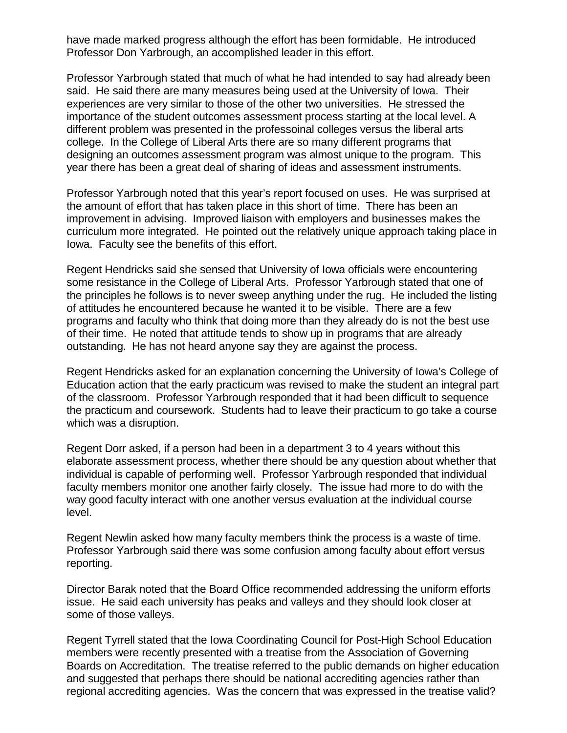have made marked progress although the effort has been formidable. He introduced Professor Don Yarbrough, an accomplished leader in this effort.

Professor Yarbrough stated that much of what he had intended to say had already been said. He said there are many measures being used at the University of Iowa. Their experiences are very similar to those of the other two universities. He stressed the importance of the student outcomes assessment process starting at the local level. A different problem was presented in the professoinal colleges versus the liberal arts college. In the College of Liberal Arts there are so many different programs that designing an outcomes assessment program was almost unique to the program. This year there has been a great deal of sharing of ideas and assessment instruments.

Professor Yarbrough noted that this year's report focused on uses. He was surprised at the amount of effort that has taken place in this short of time. There has been an improvement in advising. Improved liaison with employers and businesses makes the curriculum more integrated. He pointed out the relatively unique approach taking place in Iowa. Faculty see the benefits of this effort.

Regent Hendricks said she sensed that University of Iowa officials were encountering some resistance in the College of Liberal Arts. Professor Yarbrough stated that one of the principles he follows is to never sweep anything under the rug. He included the listing of attitudes he encountered because he wanted it to be visible. There are a few programs and faculty who think that doing more than they already do is not the best use of their time. He noted that attitude tends to show up in programs that are already outstanding. He has not heard anyone say they are against the process.

Regent Hendricks asked for an explanation concerning the University of Iowa's College of Education action that the early practicum was revised to make the student an integral part of the classroom. Professor Yarbrough responded that it had been difficult to sequence the practicum and coursework. Students had to leave their practicum to go take a course which was a disruption.

Regent Dorr asked, if a person had been in a department 3 to 4 years without this elaborate assessment process, whether there should be any question about whether that individual is capable of performing well. Professor Yarbrough responded that individual faculty members monitor one another fairly closely. The issue had more to do with the way good faculty interact with one another versus evaluation at the individual course level.

Regent Newlin asked how many faculty members think the process is a waste of time. Professor Yarbrough said there was some confusion among faculty about effort versus reporting.

Director Barak noted that the Board Office recommended addressing the uniform efforts issue. He said each university has peaks and valleys and they should look closer at some of those valleys.

Regent Tyrrell stated that the Iowa Coordinating Council for Post-High School Education members were recently presented with a treatise from the Association of Governing Boards on Accreditation. The treatise referred to the public demands on higher education and suggested that perhaps there should be national accrediting agencies rather than regional accrediting agencies. Was the concern that was expressed in the treatise valid?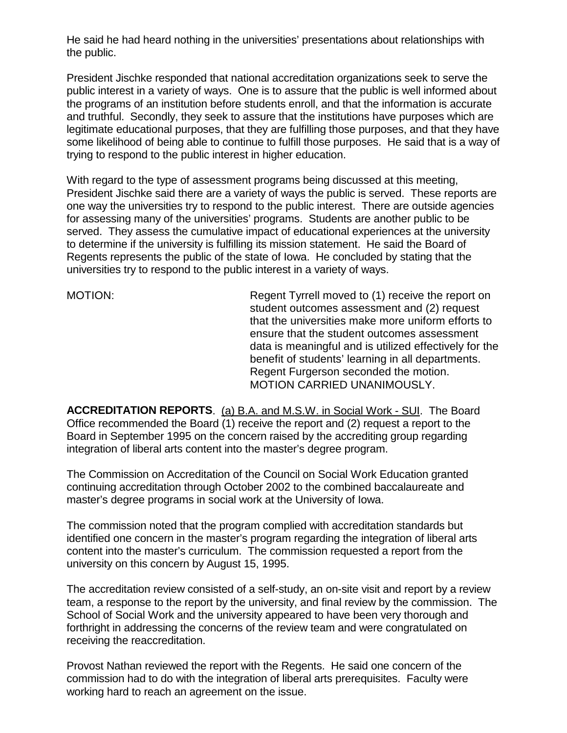He said he had heard nothing in the universities' presentations about relationships with the public.

President Jischke responded that national accreditation organizations seek to serve the public interest in a variety of ways. One is to assure that the public is well informed about the programs of an institution before students enroll, and that the information is accurate and truthful. Secondly, they seek to assure that the institutions have purposes which are legitimate educational purposes, that they are fulfilling those purposes, and that they have some likelihood of being able to continue to fulfill those purposes. He said that is a way of trying to respond to the public interest in higher education.

With regard to the type of assessment programs being discussed at this meeting, President Jischke said there are a variety of ways the public is served. These reports are one way the universities try to respond to the public interest. There are outside agencies for assessing many of the universities' programs. Students are another public to be served. They assess the cumulative impact of educational experiences at the university to determine if the university is fulfilling its mission statement. He said the Board of Regents represents the public of the state of Iowa. He concluded by stating that the universities try to respond to the public interest in a variety of ways.

MOTION: Regent Tyrrell moved to (1) receive the report on student outcomes assessment and (2) request that the universities make more uniform efforts to ensure that the student outcomes assessment data is meaningful and is utilized effectively for the benefit of students' learning in all departments. Regent Furgerson seconded the motion. MOTION CARRIED UNANIMOUSLY.

**ACCREDITATION REPORTS**. (a) B.A. and M.S.W. in Social Work - SUI. The Board Office recommended the Board (1) receive the report and (2) request a report to the Board in September 1995 on the concern raised by the accrediting group regarding integration of liberal arts content into the master's degree program.

The Commission on Accreditation of the Council on Social Work Education granted continuing accreditation through October 2002 to the combined baccalaureate and master's degree programs in social work at the University of Iowa.

The commission noted that the program complied with accreditation standards but identified one concern in the master's program regarding the integration of liberal arts content into the master's curriculum. The commission requested a report from the university on this concern by August 15, 1995.

The accreditation review consisted of a self-study, an on-site visit and report by a review team, a response to the report by the university, and final review by the commission. The School of Social Work and the university appeared to have been very thorough and forthright in addressing the concerns of the review team and were congratulated on receiving the reaccreditation.

Provost Nathan reviewed the report with the Regents. He said one concern of the commission had to do with the integration of liberal arts prerequisites. Faculty were working hard to reach an agreement on the issue.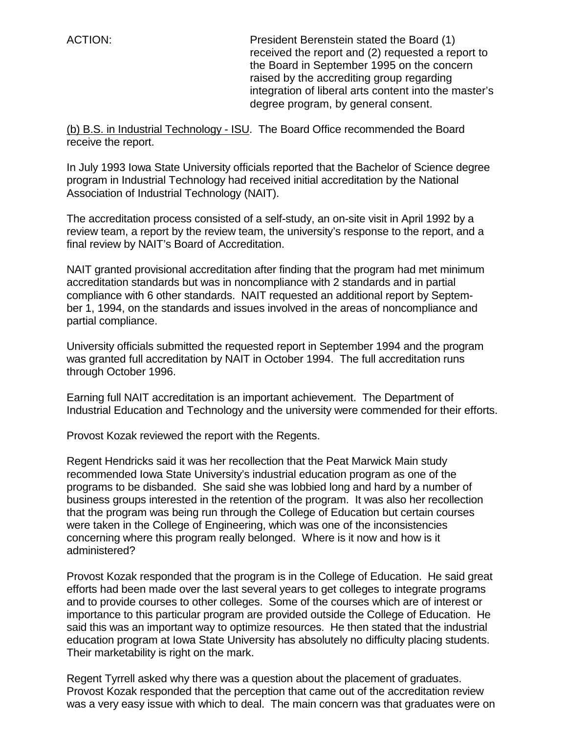ACTION: President Berenstein stated the Board (1) received the report and (2) requested a report to the Board in September 1995 on the concern raised by the accrediting group regarding integration of liberal arts content into the master's degree program, by general consent.

(b) B.S. in Industrial Technology - ISU. The Board Office recommended the Board receive the report.

In July 1993 Iowa State University officials reported that the Bachelor of Science degree program in Industrial Technology had received initial accreditation by the National Association of Industrial Technology (NAIT).

The accreditation process consisted of a self-study, an on-site visit in April 1992 by a review team, a report by the review team, the university's response to the report, and a final review by NAIT's Board of Accreditation.

NAIT granted provisional accreditation after finding that the program had met minimum accreditation standards but was in noncompliance with 2 standards and in partial compliance with 6 other standards. NAIT requested an additional report by September 1, 1994, on the standards and issues involved in the areas of noncompliance and partial compliance.

University officials submitted the requested report in September 1994 and the program was granted full accreditation by NAIT in October 1994. The full accreditation runs through October 1996.

Earning full NAIT accreditation is an important achievement. The Department of Industrial Education and Technology and the university were commended for their efforts.

Provost Kozak reviewed the report with the Regents.

Regent Hendricks said it was her recollection that the Peat Marwick Main study recommended Iowa State University's industrial education program as one of the programs to be disbanded. She said she was lobbied long and hard by a number of business groups interested in the retention of the program. It was also her recollection that the program was being run through the College of Education but certain courses were taken in the College of Engineering, which was one of the inconsistencies concerning where this program really belonged. Where is it now and how is it administered?

Provost Kozak responded that the program is in the College of Education. He said great efforts had been made over the last several years to get colleges to integrate programs and to provide courses to other colleges. Some of the courses which are of interest or importance to this particular program are provided outside the College of Education. He said this was an important way to optimize resources. He then stated that the industrial education program at Iowa State University has absolutely no difficulty placing students. Their marketability is right on the mark.

Regent Tyrrell asked why there was a question about the placement of graduates. Provost Kozak responded that the perception that came out of the accreditation review was a very easy issue with which to deal. The main concern was that graduates were on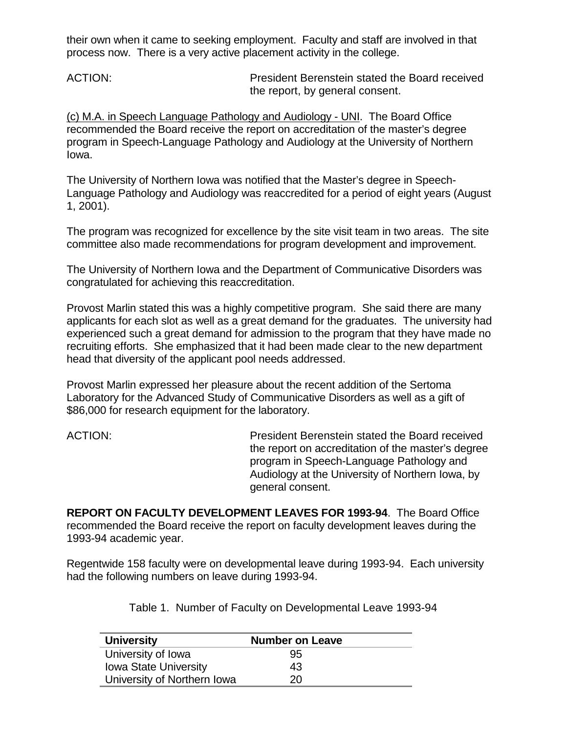their own when it came to seeking employment. Faculty and staff are involved in that process now. There is a very active placement activity in the college.

ACTION: President Berenstein stated the Board received the report, by general consent.

(c) M.A. in Speech Language Pathology and Audiology - UNI. The Board Office recommended the Board receive the report on accreditation of the master's degree program in Speech-Language Pathology and Audiology at the University of Northern Iowa.

The University of Northern Iowa was notified that the Master's degree in Speech-Language Pathology and Audiology was reaccredited for a period of eight years (August 1, 2001).

The program was recognized for excellence by the site visit team in two areas. The site committee also made recommendations for program development and improvement.

The University of Northern Iowa and the Department of Communicative Disorders was congratulated for achieving this reaccreditation.

Provost Marlin stated this was a highly competitive program. She said there are many applicants for each slot as well as a great demand for the graduates. The university had experienced such a great demand for admission to the program that they have made no recruiting efforts. She emphasized that it had been made clear to the new department head that diversity of the applicant pool needs addressed.

Provost Marlin expressed her pleasure about the recent addition of the Sertoma Laboratory for the Advanced Study of Communicative Disorders as well as a gift of \$86,000 for research equipment for the laboratory.

ACTION: President Berenstein stated the Board received the report on accreditation of the master's degree program in Speech-Language Pathology and Audiology at the University of Northern Iowa, by general consent.

**REPORT ON FACULTY DEVELOPMENT LEAVES FOR 1993-94**. The Board Office recommended the Board receive the report on faculty development leaves during the 1993-94 academic year.

Regentwide 158 faculty were on developmental leave during 1993-94. Each university had the following numbers on leave during 1993-94.

Table 1. Number of Faculty on Developmental Leave 1993-94

| <b>University</b>            | <b>Number on Leave</b> |
|------------------------------|------------------------|
| University of Iowa           | 95                     |
| <b>Iowa State University</b> | 43                     |
| University of Northern Iowa  | 20                     |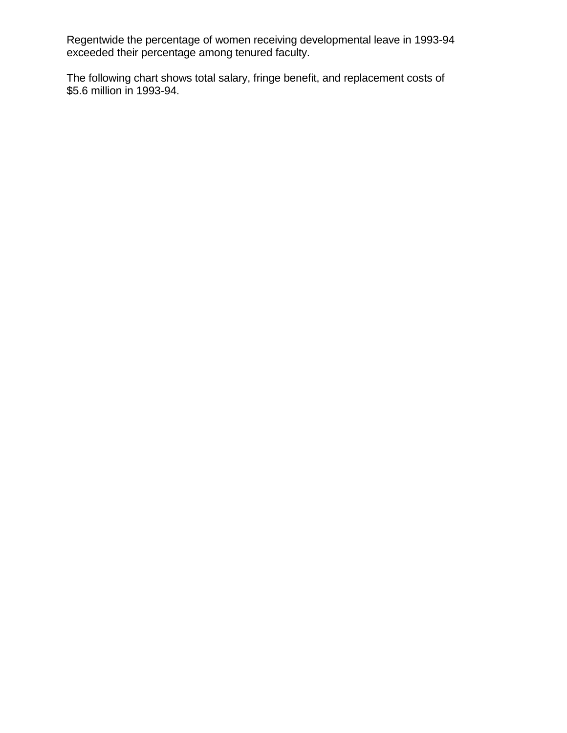Regentwide the percentage of women receiving developmental leave in 1993-94 exceeded their percentage among tenured faculty.

The following chart shows total salary, fringe benefit, and replacement costs of \$5.6 million in 1993-94.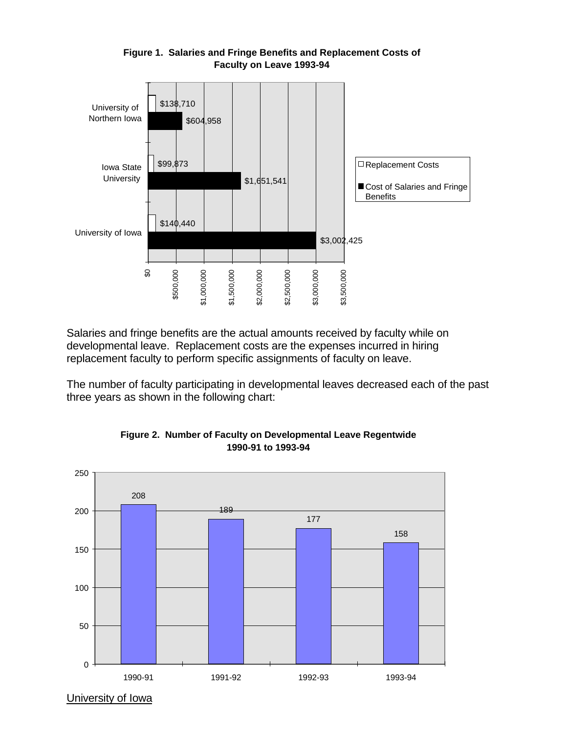

#### **Figure 1. Salaries and Fringe Benefits and Replacement Costs of Faculty on Leave 1993-94**

Salaries and fringe benefits are the actual amounts received by faculty while on developmental leave. Replacement costs are the expenses incurred in hiring replacement faculty to perform specific assignments of faculty on leave.

The number of faculty participating in developmental leaves decreased each of the past three years as shown in the following chart:





University of Iowa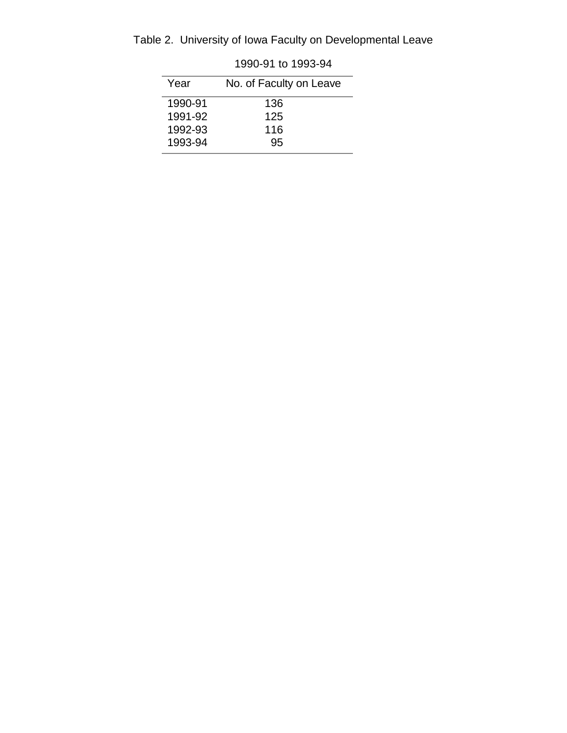| Table 2. University of Iowa Faculty on Developmental Leave |
|------------------------------------------------------------|
|------------------------------------------------------------|

| Year    | No. of Faculty on Leave |
|---------|-------------------------|
| 1990-91 | 136                     |
| 1991-92 | 125                     |
| 1992-93 | 116                     |
| 1993-94 | 95                      |

1990-91 to 1993-94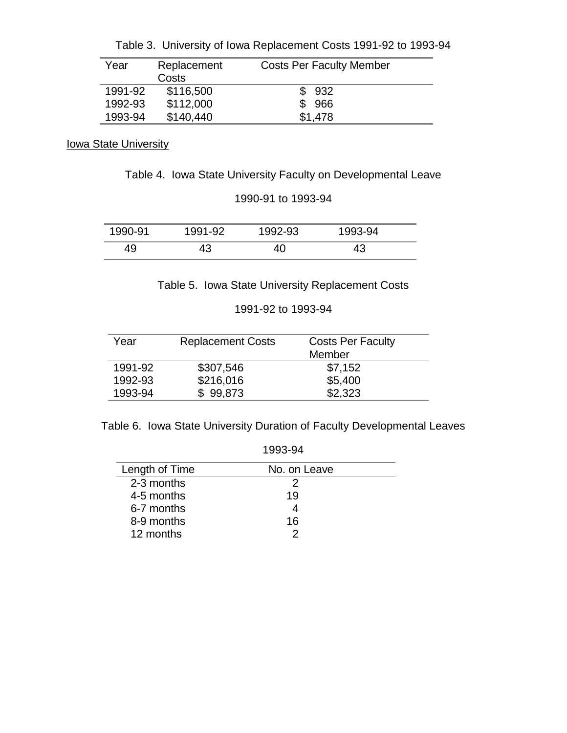| Year    | Replacement | <b>Costs Per Faculty Member</b> |
|---------|-------------|---------------------------------|
|         | Costs       |                                 |
| 1991-92 | \$116,500   | \$932                           |
| 1992-93 | \$112,000   | \$966                           |
| 1993-94 | \$140,440   | \$1,478                         |

**Iowa State University** 

Table 4. Iowa State University Faculty on Developmental Leave

1990-91 to 1993-94

| 1990-91 | 1991-92 | 1992-93 | 1993-94  |  |
|---------|---------|---------|----------|--|
|         | tν      |         | <u>י</u> |  |

Table 5. Iowa State University Replacement Costs

1991-92 to 1993-94

| Year    | <b>Replacement Costs</b> | <b>Costs Per Faculty</b><br>Member |
|---------|--------------------------|------------------------------------|
| 1991-92 | \$307,546                | \$7,152                            |
| 1992-93 | \$216,016                | \$5,400                            |
| 1993-94 | \$99.873                 | \$2,323                            |

Table 6. Iowa State University Duration of Faculty Developmental Leaves

|                | 1993-94      |  |
|----------------|--------------|--|
| Length of Time | No. on Leave |  |
| 2-3 months     | 2            |  |
| 4-5 months     | 19           |  |
| 6-7 months     | 4            |  |
| 8-9 months     | 16           |  |
| 12 months      | 2            |  |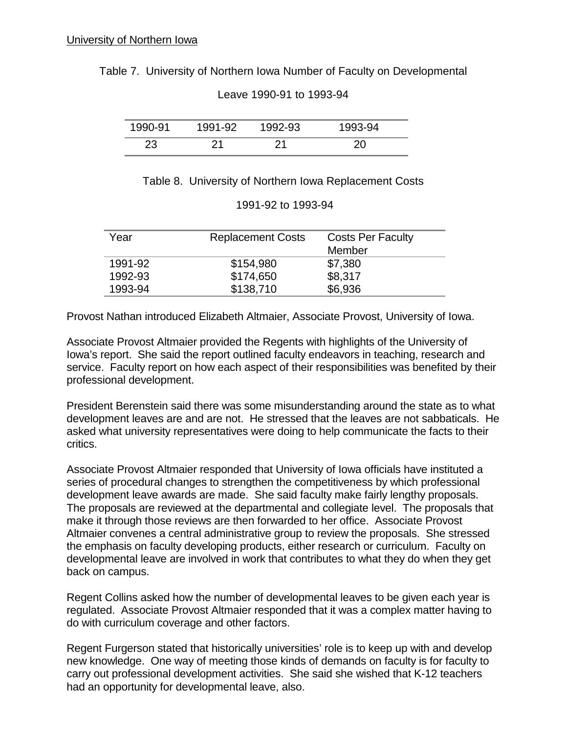Table 7. University of Northern Iowa Number of Faculty on Developmental

| 1990-91 | 1991-92 | 1992-93 | 1993-94 |
|---------|---------|---------|---------|
|         | ິດ 4    |         |         |

Leave 1990-91 to 1993-94

Table 8. University of Northern Iowa Replacement Costs

| Year    | <b>Replacement Costs</b> | <b>Costs Per Faculty</b><br>Member |
|---------|--------------------------|------------------------------------|
| 1991-92 | \$154,980                | \$7,380                            |
| 1992-93 | \$174,650                | \$8,317                            |
| 1993-94 | \$138,710                | \$6,936                            |

| 1991-92 to 1993-94 |  |
|--------------------|--|
|--------------------|--|

Provost Nathan introduced Elizabeth Altmaier, Associate Provost, University of Iowa.

Associate Provost Altmaier provided the Regents with highlights of the University of Iowa's report. She said the report outlined faculty endeavors in teaching, research and service. Faculty report on how each aspect of their responsibilities was benefited by their professional development.

President Berenstein said there was some misunderstanding around the state as to what development leaves are and are not. He stressed that the leaves are not sabbaticals. He asked what university representatives were doing to help communicate the facts to their critics.

Associate Provost Altmaier responded that University of Iowa officials have instituted a series of procedural changes to strengthen the competitiveness by which professional development leave awards are made. She said faculty make fairly lengthy proposals. The proposals are reviewed at the departmental and collegiate level. The proposals that make it through those reviews are then forwarded to her office. Associate Provost Altmaier convenes a central administrative group to review the proposals. She stressed the emphasis on faculty developing products, either research or curriculum. Faculty on developmental leave are involved in work that contributes to what they do when they get back on campus.

Regent Collins asked how the number of developmental leaves to be given each year is regulated. Associate Provost Altmaier responded that it was a complex matter having to do with curriculum coverage and other factors.

Regent Furgerson stated that historically universities' role is to keep up with and develop new knowledge. One way of meeting those kinds of demands on faculty is for faculty to carry out professional development activities. She said she wished that K-12 teachers had an opportunity for developmental leave, also.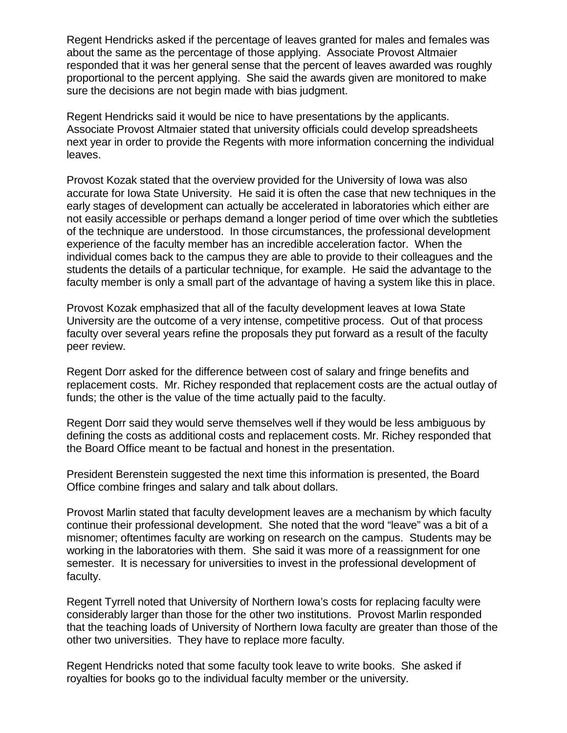Regent Hendricks asked if the percentage of leaves granted for males and females was about the same as the percentage of those applying. Associate Provost Altmaier responded that it was her general sense that the percent of leaves awarded was roughly proportional to the percent applying. She said the awards given are monitored to make sure the decisions are not begin made with bias judgment.

Regent Hendricks said it would be nice to have presentations by the applicants. Associate Provost Altmaier stated that university officials could develop spreadsheets next year in order to provide the Regents with more information concerning the individual leaves.

Provost Kozak stated that the overview provided for the University of Iowa was also accurate for Iowa State University. He said it is often the case that new techniques in the early stages of development can actually be accelerated in laboratories which either are not easily accessible or perhaps demand a longer period of time over which the subtleties of the technique are understood. In those circumstances, the professional development experience of the faculty member has an incredible acceleration factor. When the individual comes back to the campus they are able to provide to their colleagues and the students the details of a particular technique, for example. He said the advantage to the faculty member is only a small part of the advantage of having a system like this in place.

Provost Kozak emphasized that all of the faculty development leaves at Iowa State University are the outcome of a very intense, competitive process. Out of that process faculty over several years refine the proposals they put forward as a result of the faculty peer review.

Regent Dorr asked for the difference between cost of salary and fringe benefits and replacement costs. Mr. Richey responded that replacement costs are the actual outlay of funds; the other is the value of the time actually paid to the faculty.

Regent Dorr said they would serve themselves well if they would be less ambiguous by defining the costs as additional costs and replacement costs. Mr. Richey responded that the Board Office meant to be factual and honest in the presentation.

President Berenstein suggested the next time this information is presented, the Board Office combine fringes and salary and talk about dollars.

Provost Marlin stated that faculty development leaves are a mechanism by which faculty continue their professional development. She noted that the word "leave" was a bit of a misnomer; oftentimes faculty are working on research on the campus. Students may be working in the laboratories with them. She said it was more of a reassignment for one semester. It is necessary for universities to invest in the professional development of faculty.

Regent Tyrrell noted that University of Northern Iowa's costs for replacing faculty were considerably larger than those for the other two institutions. Provost Marlin responded that the teaching loads of University of Northern Iowa faculty are greater than those of the other two universities. They have to replace more faculty.

Regent Hendricks noted that some faculty took leave to write books. She asked if royalties for books go to the individual faculty member or the university.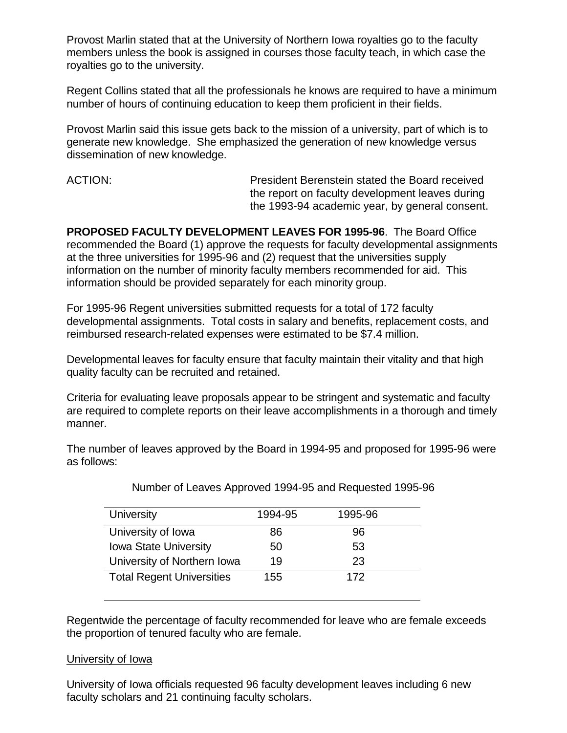Provost Marlin stated that at the University of Northern Iowa royalties go to the faculty members unless the book is assigned in courses those faculty teach, in which case the royalties go to the university.

Regent Collins stated that all the professionals he knows are required to have a minimum number of hours of continuing education to keep them proficient in their fields.

Provost Marlin said this issue gets back to the mission of a university, part of which is to generate new knowledge. She emphasized the generation of new knowledge versus dissemination of new knowledge.

ACTION: President Berenstein stated the Board received the report on faculty development leaves during the 1993-94 academic year, by general consent.

**PROPOSED FACULTY DEVELOPMENT LEAVES FOR 1995-96**. The Board Office recommended the Board (1) approve the requests for faculty developmental assignments at the three universities for 1995-96 and (2) request that the universities supply information on the number of minority faculty members recommended for aid. This information should be provided separately for each minority group.

For 1995-96 Regent universities submitted requests for a total of 172 faculty developmental assignments. Total costs in salary and benefits, replacement costs, and reimbursed research-related expenses were estimated to be \$7.4 million.

Developmental leaves for faculty ensure that faculty maintain their vitality and that high quality faculty can be recruited and retained.

Criteria for evaluating leave proposals appear to be stringent and systematic and faculty are required to complete reports on their leave accomplishments in a thorough and timely manner.

The number of leaves approved by the Board in 1994-95 and proposed for 1995-96 were as follows:

| University                       | 1994-95 | 1995-96 |
|----------------------------------|---------|---------|
| University of Iowa               | 86      | 96      |
| <b>Iowa State University</b>     | 50      | 53      |
| University of Northern Iowa      | 19      | 23      |
| <b>Total Regent Universities</b> | 155     | 172     |

Number of Leaves Approved 1994-95 and Requested 1995-96

Regentwide the percentage of faculty recommended for leave who are female exceeds the proportion of tenured faculty who are female.

#### University of Iowa

University of Iowa officials requested 96 faculty development leaves including 6 new faculty scholars and 21 continuing faculty scholars.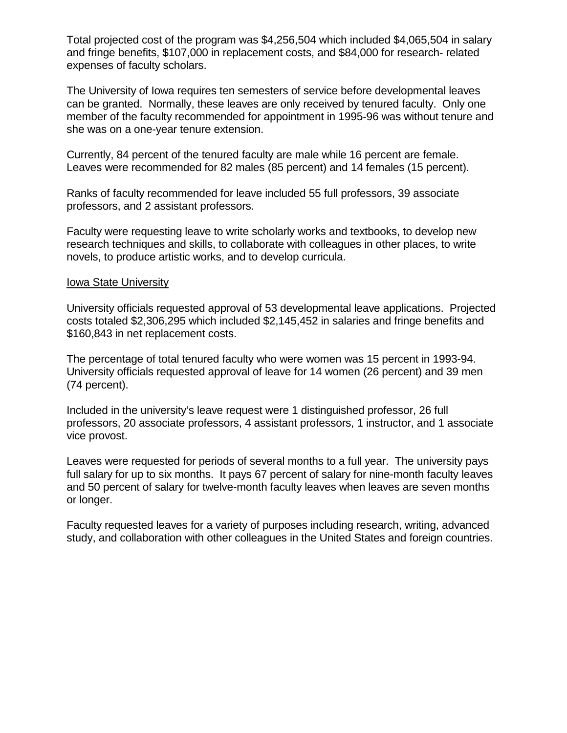Total projected cost of the program was \$4,256,504 which included \$4,065,504 in salary and fringe benefits, \$107,000 in replacement costs, and \$84,000 for research- related expenses of faculty scholars.

The University of Iowa requires ten semesters of service before developmental leaves can be granted. Normally, these leaves are only received by tenured faculty. Only one member of the faculty recommended for appointment in 1995-96 was without tenure and she was on a one-year tenure extension.

Currently, 84 percent of the tenured faculty are male while 16 percent are female. Leaves were recommended for 82 males (85 percent) and 14 females (15 percent).

Ranks of faculty recommended for leave included 55 full professors, 39 associate professors, and 2 assistant professors.

Faculty were requesting leave to write scholarly works and textbooks, to develop new research techniques and skills, to collaborate with colleagues in other places, to write novels, to produce artistic works, and to develop curricula.

#### Iowa State University

University officials requested approval of 53 developmental leave applications. Projected costs totaled \$2,306,295 which included \$2,145,452 in salaries and fringe benefits and \$160,843 in net replacement costs.

The percentage of total tenured faculty who were women was 15 percent in 1993-94. University officials requested approval of leave for 14 women (26 percent) and 39 men (74 percent).

Included in the university's leave request were 1 distinguished professor, 26 full professors, 20 associate professors, 4 assistant professors, 1 instructor, and 1 associate vice provost.

Leaves were requested for periods of several months to a full year. The university pays full salary for up to six months. It pays 67 percent of salary for nine-month faculty leaves and 50 percent of salary for twelve-month faculty leaves when leaves are seven months or longer.

Faculty requested leaves for a variety of purposes including research, writing, advanced study, and collaboration with other colleagues in the United States and foreign countries.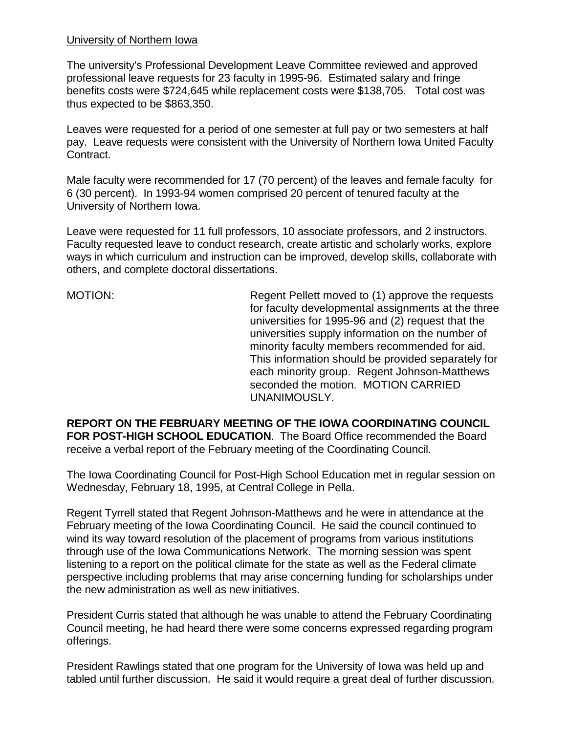#### University of Northern Iowa

The university's Professional Development Leave Committee reviewed and approved professional leave requests for 23 faculty in 1995-96. Estimated salary and fringe benefits costs were \$724,645 while replacement costs were \$138,705. Total cost was thus expected to be \$863,350.

Leaves were requested for a period of one semester at full pay or two semesters at half pay. Leave requests were consistent with the University of Northern Iowa United Faculty Contract.

Male faculty were recommended for 17 (70 percent) of the leaves and female faculty for 6 (30 percent). In 1993-94 women comprised 20 percent of tenured faculty at the University of Northern Iowa.

Leave were requested for 11 full professors, 10 associate professors, and 2 instructors. Faculty requested leave to conduct research, create artistic and scholarly works, explore ways in which curriculum and instruction can be improved, develop skills, collaborate with others, and complete doctoral dissertations.

MOTION: Regent Pellett moved to (1) approve the requests for faculty developmental assignments at the three universities for 1995-96 and (2) request that the universities supply information on the number of minority faculty members recommended for aid. This information should be provided separately for each minority group. Regent Johnson-Matthews seconded the motion. MOTION CARRIED UNANIMOUSLY.

**REPORT ON THE FEBRUARY MEETING OF THE IOWA COORDINATING COUNCIL FOR POST-HIGH SCHOOL EDUCATION**. The Board Office recommended the Board receive a verbal report of the February meeting of the Coordinating Council.

The Iowa Coordinating Council for Post-High School Education met in regular session on Wednesday, February 18, 1995, at Central College in Pella.

Regent Tyrrell stated that Regent Johnson-Matthews and he were in attendance at the February meeting of the Iowa Coordinating Council. He said the council continued to wind its way toward resolution of the placement of programs from various institutions through use of the Iowa Communications Network. The morning session was spent listening to a report on the political climate for the state as well as the Federal climate perspective including problems that may arise concerning funding for scholarships under the new administration as well as new initiatives.

President Curris stated that although he was unable to attend the February Coordinating Council meeting, he had heard there were some concerns expressed regarding program offerings.

President Rawlings stated that one program for the University of Iowa was held up and tabled until further discussion. He said it would require a great deal of further discussion.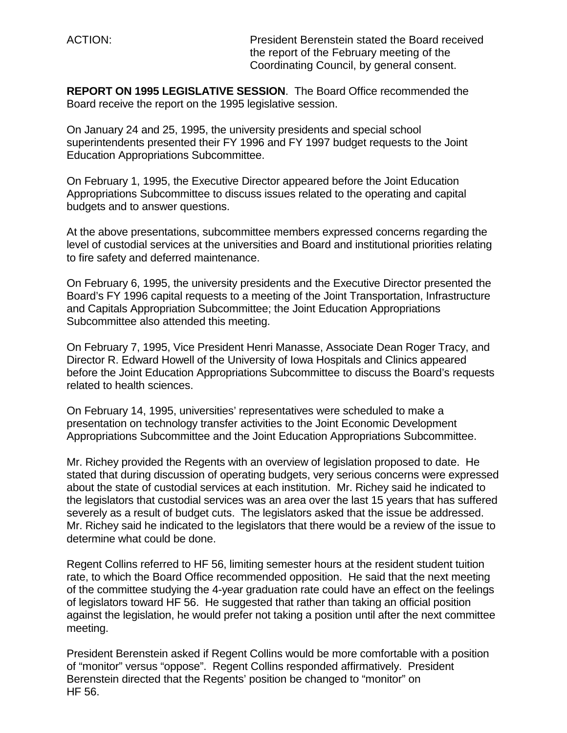ACTION: President Berenstein stated the Board received the report of the February meeting of the Coordinating Council, by general consent.

**REPORT ON 1995 LEGISLATIVE SESSION**. The Board Office recommended the Board receive the report on the 1995 legislative session.

On January 24 and 25, 1995, the university presidents and special school superintendents presented their FY 1996 and FY 1997 budget requests to the Joint Education Appropriations Subcommittee.

On February 1, 1995, the Executive Director appeared before the Joint Education Appropriations Subcommittee to discuss issues related to the operating and capital budgets and to answer questions.

At the above presentations, subcommittee members expressed concerns regarding the level of custodial services at the universities and Board and institutional priorities relating to fire safety and deferred maintenance.

On February 6, 1995, the university presidents and the Executive Director presented the Board's FY 1996 capital requests to a meeting of the Joint Transportation, Infrastructure and Capitals Appropriation Subcommittee; the Joint Education Appropriations Subcommittee also attended this meeting.

On February 7, 1995, Vice President Henri Manasse, Associate Dean Roger Tracy, and Director R. Edward Howell of the University of Iowa Hospitals and Clinics appeared before the Joint Education Appropriations Subcommittee to discuss the Board's requests related to health sciences.

On February 14, 1995, universities' representatives were scheduled to make a presentation on technology transfer activities to the Joint Economic Development Appropriations Subcommittee and the Joint Education Appropriations Subcommittee.

Mr. Richey provided the Regents with an overview of legislation proposed to date. He stated that during discussion of operating budgets, very serious concerns were expressed about the state of custodial services at each institution. Mr. Richey said he indicated to the legislators that custodial services was an area over the last 15 years that has suffered severely as a result of budget cuts. The legislators asked that the issue be addressed. Mr. Richey said he indicated to the legislators that there would be a review of the issue to determine what could be done.

Regent Collins referred to HF 56, limiting semester hours at the resident student tuition rate, to which the Board Office recommended opposition. He said that the next meeting of the committee studying the 4-year graduation rate could have an effect on the feelings of legislators toward HF 56. He suggested that rather than taking an official position against the legislation, he would prefer not taking a position until after the next committee meeting.

President Berenstein asked if Regent Collins would be more comfortable with a position of "monitor" versus "oppose". Regent Collins responded affirmatively. President Berenstein directed that the Regents' position be changed to "monitor" on HF 56.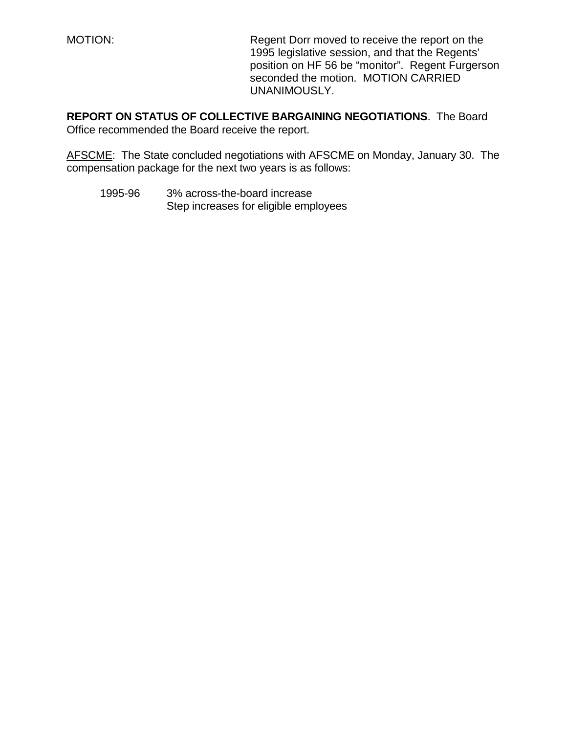MOTION: Regent Dorr moved to receive the report on the 1995 legislative session, and that the Regents' position on HF 56 be "monitor". Regent Furgerson seconded the motion. MOTION CARRIED UNANIMOUSLY.

**REPORT ON STATUS OF COLLECTIVE BARGAINING NEGOTIATIONS**. The Board Office recommended the Board receive the report.

AFSCME: The State concluded negotiations with AFSCME on Monday, January 30. The compensation package for the next two years is as follows:

1995-96 3% across-the-board increase Step increases for eligible employees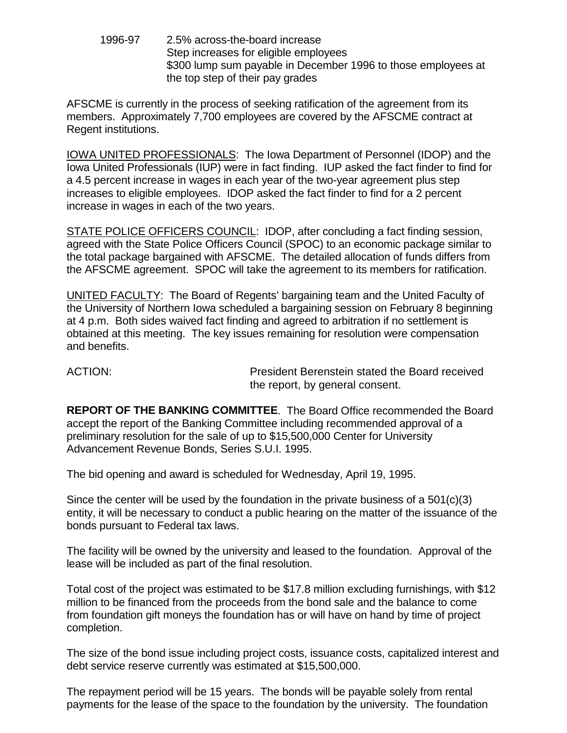1996-97 2.5% across-the-board increase Step increases for eligible employees \$300 lump sum payable in December 1996 to those employees at the top step of their pay grades

AFSCME is currently in the process of seeking ratification of the agreement from its members. Approximately 7,700 employees are covered by the AFSCME contract at Regent institutions.

IOWA UNITED PROFESSIONALS: The Iowa Department of Personnel (IDOP) and the Iowa United Professionals (IUP) were in fact finding. IUP asked the fact finder to find for a 4.5 percent increase in wages in each year of the two-year agreement plus step increases to eligible employees. IDOP asked the fact finder to find for a 2 percent increase in wages in each of the two years.

STATE POLICE OFFICERS COUNCIL: IDOP, after concluding a fact finding session, agreed with the State Police Officers Council (SPOC) to an economic package similar to the total package bargained with AFSCME. The detailed allocation of funds differs from the AFSCME agreement. SPOC will take the agreement to its members for ratification.

UNITED FACULTY: The Board of Regents' bargaining team and the United Faculty of the University of Northern Iowa scheduled a bargaining session on February 8 beginning at 4 p.m. Both sides waived fact finding and agreed to arbitration if no settlement is obtained at this meeting. The key issues remaining for resolution were compensation and benefits.

ACTION: President Berenstein stated the Board received the report, by general consent.

**REPORT OF THE BANKING COMMITTEE**. The Board Office recommended the Board accept the report of the Banking Committee including recommended approval of a preliminary resolution for the sale of up to \$15,500,000 Center for University Advancement Revenue Bonds, Series S.U.I. 1995.

The bid opening and award is scheduled for Wednesday, April 19, 1995.

Since the center will be used by the foundation in the private business of a  $501(c)(3)$ entity, it will be necessary to conduct a public hearing on the matter of the issuance of the bonds pursuant to Federal tax laws.

The facility will be owned by the university and leased to the foundation. Approval of the lease will be included as part of the final resolution.

Total cost of the project was estimated to be \$17.8 million excluding furnishings, with \$12 million to be financed from the proceeds from the bond sale and the balance to come from foundation gift moneys the foundation has or will have on hand by time of project completion.

The size of the bond issue including project costs, issuance costs, capitalized interest and debt service reserve currently was estimated at \$15,500,000.

The repayment period will be 15 years. The bonds will be payable solely from rental payments for the lease of the space to the foundation by the university. The foundation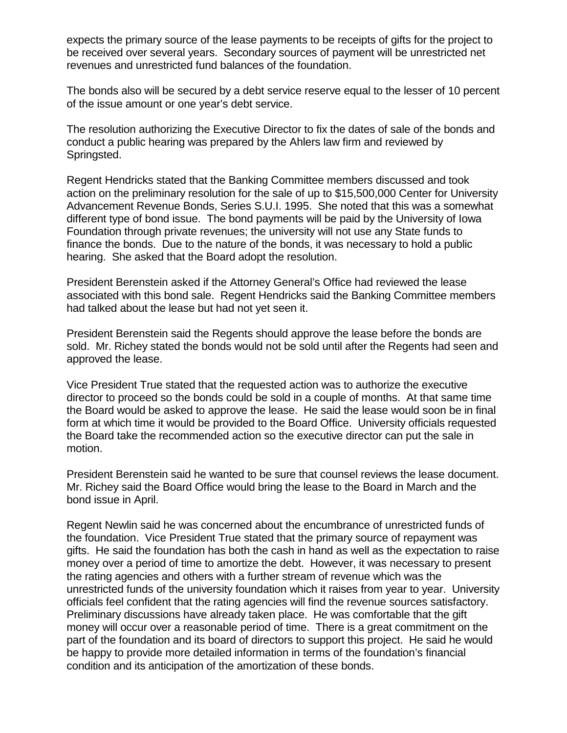expects the primary source of the lease payments to be receipts of gifts for the project to be received over several years. Secondary sources of payment will be unrestricted net revenues and unrestricted fund balances of the foundation.

The bonds also will be secured by a debt service reserve equal to the lesser of 10 percent of the issue amount or one year's debt service.

The resolution authorizing the Executive Director to fix the dates of sale of the bonds and conduct a public hearing was prepared by the Ahlers law firm and reviewed by Springsted.

Regent Hendricks stated that the Banking Committee members discussed and took action on the preliminary resolution for the sale of up to \$15,500,000 Center for University Advancement Revenue Bonds, Series S.U.I. 1995. She noted that this was a somewhat different type of bond issue. The bond payments will be paid by the University of Iowa Foundation through private revenues; the university will not use any State funds to finance the bonds. Due to the nature of the bonds, it was necessary to hold a public hearing. She asked that the Board adopt the resolution.

President Berenstein asked if the Attorney General's Office had reviewed the lease associated with this bond sale. Regent Hendricks said the Banking Committee members had talked about the lease but had not yet seen it.

President Berenstein said the Regents should approve the lease before the bonds are sold. Mr. Richey stated the bonds would not be sold until after the Regents had seen and approved the lease.

Vice President True stated that the requested action was to authorize the executive director to proceed so the bonds could be sold in a couple of months. At that same time the Board would be asked to approve the lease. He said the lease would soon be in final form at which time it would be provided to the Board Office. University officials requested the Board take the recommended action so the executive director can put the sale in motion.

President Berenstein said he wanted to be sure that counsel reviews the lease document. Mr. Richey said the Board Office would bring the lease to the Board in March and the bond issue in April.

Regent Newlin said he was concerned about the encumbrance of unrestricted funds of the foundation. Vice President True stated that the primary source of repayment was gifts. He said the foundation has both the cash in hand as well as the expectation to raise money over a period of time to amortize the debt. However, it was necessary to present the rating agencies and others with a further stream of revenue which was the unrestricted funds of the university foundation which it raises from year to year. University officials feel confident that the rating agencies will find the revenue sources satisfactory. Preliminary discussions have already taken place. He was comfortable that the gift money will occur over a reasonable period of time. There is a great commitment on the part of the foundation and its board of directors to support this project. He said he would be happy to provide more detailed information in terms of the foundation's financial condition and its anticipation of the amortization of these bonds.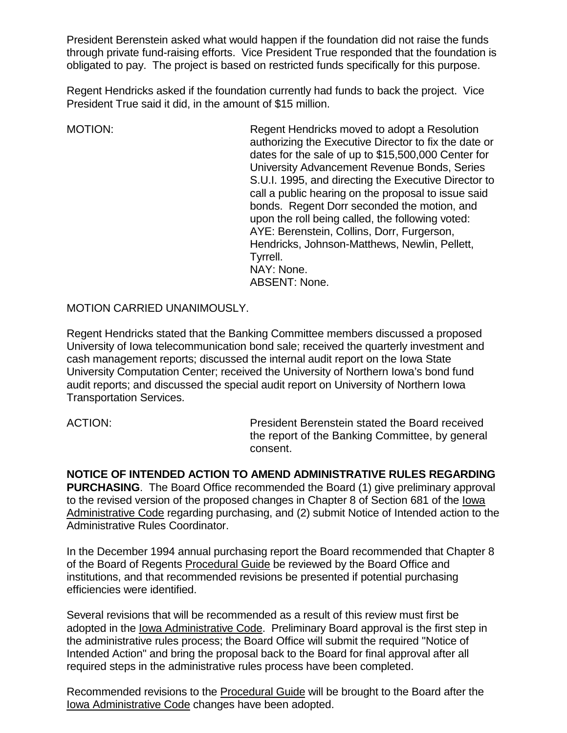President Berenstein asked what would happen if the foundation did not raise the funds through private fund-raising efforts. Vice President True responded that the foundation is obligated to pay. The project is based on restricted funds specifically for this purpose.

Regent Hendricks asked if the foundation currently had funds to back the project. Vice President True said it did, in the amount of \$15 million.

MOTION: Regent Hendricks moved to adopt a Resolution authorizing the Executive Director to fix the date or dates for the sale of up to \$15,500,000 Center for University Advancement Revenue Bonds, Series S.U.I. 1995, and directing the Executive Director to call a public hearing on the proposal to issue said bonds. Regent Dorr seconded the motion, and upon the roll being called, the following voted: AYE: Berenstein, Collins, Dorr, Furgerson, Hendricks, Johnson-Matthews, Newlin, Pellett, Tyrrell. NAY: None. ABSENT: None.

MOTION CARRIED UNANIMOUSLY.

Regent Hendricks stated that the Banking Committee members discussed a proposed University of Iowa telecommunication bond sale; received the quarterly investment and cash management reports; discussed the internal audit report on the Iowa State University Computation Center; received the University of Northern Iowa's bond fund audit reports; and discussed the special audit report on University of Northern Iowa Transportation Services.

ACTION: President Berenstein stated the Board received the report of the Banking Committee, by general consent.

**NOTICE OF INTENDED ACTION TO AMEND ADMINISTRATIVE RULES REGARDING PURCHASING**. The Board Office recommended the Board (1) give preliminary approval to the revised version of the proposed changes in Chapter 8 of Section 681 of the Iowa Administrative Code regarding purchasing, and (2) submit Notice of Intended action to the Administrative Rules Coordinator.

In the December 1994 annual purchasing report the Board recommended that Chapter 8 of the Board of Regents Procedural Guide be reviewed by the Board Office and institutions, and that recommended revisions be presented if potential purchasing efficiencies were identified.

Several revisions that will be recommended as a result of this review must first be adopted in the Iowa Administrative Code. Preliminary Board approval is the first step in the administrative rules process; the Board Office will submit the required "Notice of Intended Action" and bring the proposal back to the Board for final approval after all required steps in the administrative rules process have been completed.

Recommended revisions to the Procedural Guide will be brought to the Board after the Iowa Administrative Code changes have been adopted.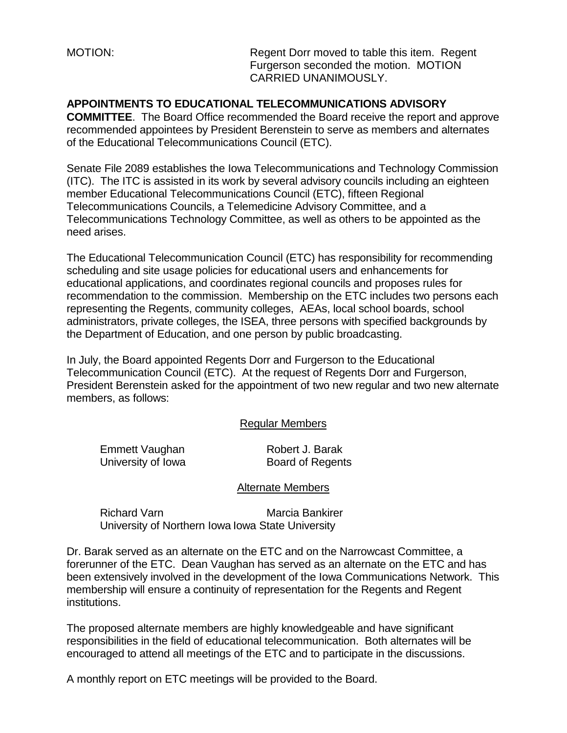MOTION: MOTION: Regent Dorr moved to table this item. Regent Furgerson seconded the motion. MOTION CARRIED UNANIMOUSLY.

# **APPOINTMENTS TO EDUCATIONAL TELECOMMUNICATIONS ADVISORY**

**COMMITTEE**. The Board Office recommended the Board receive the report and approve recommended appointees by President Berenstein to serve as members and alternates of the Educational Telecommunications Council (ETC).

Senate File 2089 establishes the Iowa Telecommunications and Technology Commission (ITC). The ITC is assisted in its work by several advisory councils including an eighteen member Educational Telecommunications Council (ETC), fifteen Regional Telecommunications Councils, a Telemedicine Advisory Committee, and a Telecommunications Technology Committee, as well as others to be appointed as the need arises.

The Educational Telecommunication Council (ETC) has responsibility for recommending scheduling and site usage policies for educational users and enhancements for educational applications, and coordinates regional councils and proposes rules for recommendation to the commission. Membership on the ETC includes two persons each representing the Regents, community colleges, AEAs, local school boards, school administrators, private colleges, the ISEA, three persons with specified backgrounds by the Department of Education, and one person by public broadcasting.

In July, the Board appointed Regents Dorr and Furgerson to the Educational Telecommunication Council (ETC). At the request of Regents Dorr and Furgerson, President Berenstein asked for the appointment of two new regular and two new alternate members, as follows:

#### Regular Members

Emmett Vaughan Robert J. Barak University of Iowa Board of Regents

#### Alternate Members

Richard Varn Marcia Bankirer University of Northern Iowa Iowa State University

Dr. Barak served as an alternate on the ETC and on the Narrowcast Committee, a forerunner of the ETC. Dean Vaughan has served as an alternate on the ETC and has been extensively involved in the development of the Iowa Communications Network. This membership will ensure a continuity of representation for the Regents and Regent institutions.

The proposed alternate members are highly knowledgeable and have significant responsibilities in the field of educational telecommunication. Both alternates will be encouraged to attend all meetings of the ETC and to participate in the discussions.

A monthly report on ETC meetings will be provided to the Board.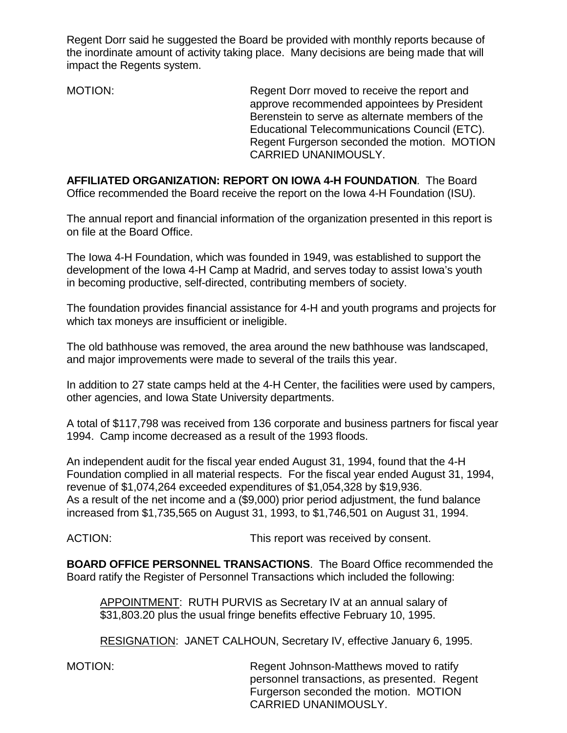Regent Dorr said he suggested the Board be provided with monthly reports because of the inordinate amount of activity taking place. Many decisions are being made that will impact the Regents system.

MOTION: Regent Dorr moved to receive the report and approve recommended appointees by President Berenstein to serve as alternate members of the Educational Telecommunications Council (ETC). Regent Furgerson seconded the motion. MOTION CARRIED UNANIMOUSLY.

**AFFILIATED ORGANIZATION: REPORT ON IOWA 4-H FOUNDATION**. The Board Office recommended the Board receive the report on the Iowa 4-H Foundation (ISU).

The annual report and financial information of the organization presented in this report is on file at the Board Office.

The Iowa 4-H Foundation, which was founded in 1949, was established to support the development of the Iowa 4-H Camp at Madrid, and serves today to assist Iowa's youth in becoming productive, self-directed, contributing members of society.

The foundation provides financial assistance for 4-H and youth programs and projects for which tax moneys are insufficient or ineligible.

The old bathhouse was removed, the area around the new bathhouse was landscaped, and major improvements were made to several of the trails this year.

In addition to 27 state camps held at the 4-H Center, the facilities were used by campers, other agencies, and Iowa State University departments.

A total of \$117,798 was received from 136 corporate and business partners for fiscal year 1994. Camp income decreased as a result of the 1993 floods.

An independent audit for the fiscal year ended August 31, 1994, found that the 4-H Foundation complied in all material respects. For the fiscal year ended August 31, 1994, revenue of \$1,074,264 exceeded expenditures of \$1,054,328 by \$19,936. As a result of the net income and a (\$9,000) prior period adjustment, the fund balance increased from \$1,735,565 on August 31, 1993, to \$1,746,501 on August 31, 1994.

ACTION:  $\blacksquare$  This report was received by consent.

**BOARD OFFICE PERSONNEL TRANSACTIONS**. The Board Office recommended the Board ratify the Register of Personnel Transactions which included the following:

APPOINTMENT: RUTH PURVIS as Secretary IV at an annual salary of \$31,803.20 plus the usual fringe benefits effective February 10, 1995.

RESIGNATION: JANET CALHOUN, Secretary IV, effective January 6, 1995.

MOTION: Regent Johnson-Matthews moved to ratify personnel transactions, as presented. Regent Furgerson seconded the motion. MOTION CARRIED UNANIMOUSLY.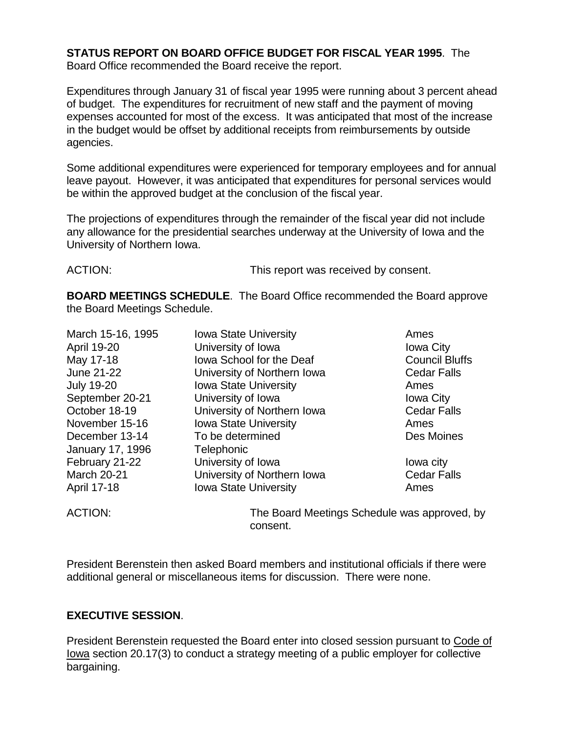# **STATUS REPORT ON BOARD OFFICE BUDGET FOR FISCAL YEAR 1995**. The

Board Office recommended the Board receive the report.

Expenditures through January 31 of fiscal year 1995 were running about 3 percent ahead of budget. The expenditures for recruitment of new staff and the payment of moving expenses accounted for most of the excess. It was anticipated that most of the increase in the budget would be offset by additional receipts from reimbursements by outside agencies.

Some additional expenditures were experienced for temporary employees and for annual leave payout. However, it was anticipated that expenditures for personal services would be within the approved budget at the conclusion of the fiscal year.

The projections of expenditures through the remainder of the fiscal year did not include any allowance for the presidential searches underway at the University of Iowa and the University of Northern Iowa.

ACTION: This report was received by consent.

**BOARD MEETINGS SCHEDULE**. The Board Office recommended the Board approve the Board Meetings Schedule.

| March 15-16, 1995  | <b>Iowa State University</b> | Ames                  |
|--------------------|------------------------------|-----------------------|
| <b>April 19-20</b> | University of Iowa           | <b>Iowa City</b>      |
| May 17-18          | Iowa School for the Deaf     | <b>Council Bluffs</b> |
| June 21-22         | University of Northern Iowa  | <b>Cedar Falls</b>    |
| <b>July 19-20</b>  | Iowa State University        | Ames                  |
| September 20-21    | University of Iowa           | <b>Iowa City</b>      |
| October 18-19      | University of Northern Iowa  | <b>Cedar Falls</b>    |
| November 15-16     | <b>Iowa State University</b> | Ames                  |
| December 13-14     | To be determined             | Des Moines            |
| January 17, 1996   | Telephonic                   |                       |
| February 21-22     | University of Iowa           | lowa city             |
| <b>March 20-21</b> | University of Northern Iowa  | <b>Cedar Falls</b>    |
| April 17-18        | <b>Iowa State University</b> | Ames                  |

ACTION: The Board Meetings Schedule was approved, by consent.

President Berenstein then asked Board members and institutional officials if there were additional general or miscellaneous items for discussion. There were none.

# **EXECUTIVE SESSION**.

President Berenstein requested the Board enter into closed session pursuant to Code of Iowa section 20.17(3) to conduct a strategy meeting of a public employer for collective bargaining.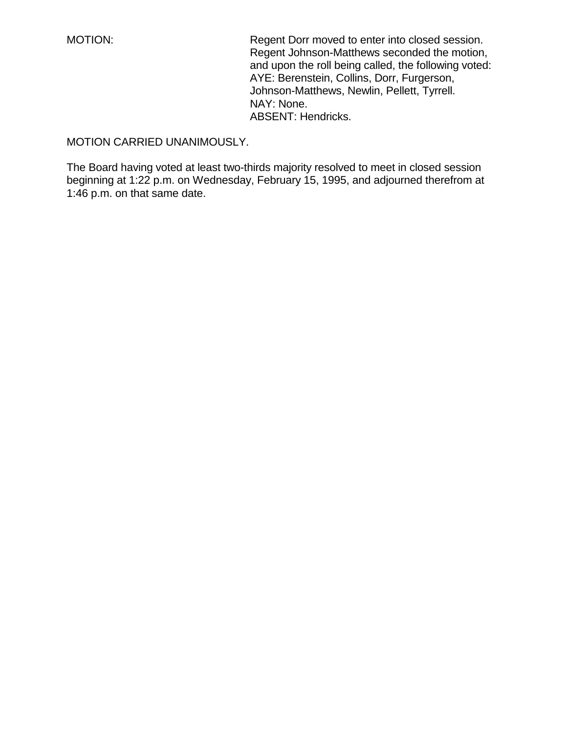MOTION: Regent Dorr moved to enter into closed session. Regent Johnson-Matthews seconded the motion, and upon the roll being called, the following voted: AYE: Berenstein, Collins, Dorr, Furgerson, Johnson-Matthews, Newlin, Pellett, Tyrrell. NAY: None. ABSENT: Hendricks.

# MOTION CARRIED UNANIMOUSLY.

The Board having voted at least two-thirds majority resolved to meet in closed session beginning at 1:22 p.m. on Wednesday, February 15, 1995, and adjourned therefrom at 1:46 p.m. on that same date.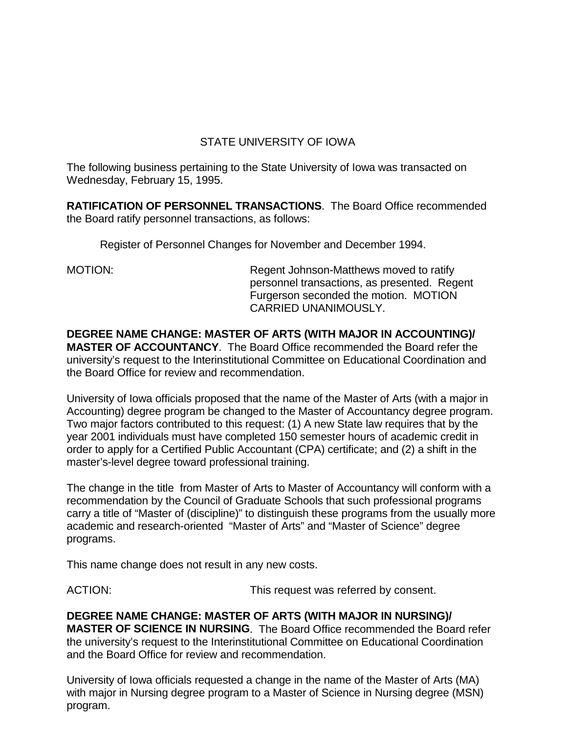# STATE UNIVERSITY OF IOWA

The following business pertaining to the State University of Iowa was transacted on Wednesday, February 15, 1995.

**RATIFICATION OF PERSONNEL TRANSACTIONS**. The Board Office recommended the Board ratify personnel transactions, as follows:

Register of Personnel Changes for November and December 1994.

MOTION: Regent Johnson-Matthews moved to ratify personnel transactions, as presented. Regent Furgerson seconded the motion. MOTION CARRIED UNANIMOUSLY.

**DEGREE NAME CHANGE: MASTER OF ARTS (WITH MAJOR IN ACCOUNTING)/ MASTER OF ACCOUNTANCY**. The Board Office recommended the Board refer the university's request to the Interinstitutional Committee on Educational Coordination and the Board Office for review and recommendation.

University of Iowa officials proposed that the name of the Master of Arts (with a major in Accounting) degree program be changed to the Master of Accountancy degree program. Two major factors contributed to this request: (1) A new State law requires that by the year 2001 individuals must have completed 150 semester hours of academic credit in order to apply for a Certified Public Accountant (CPA) certificate; and (2) a shift in the master's-level degree toward professional training.

The change in the title from Master of Arts to Master of Accountancy will conform with a recommendation by the Council of Graduate Schools that such professional programs carry a title of "Master of (discipline)" to distinguish these programs from the usually more academic and research-oriented "Master of Arts" and "Master of Science" degree programs.

This name change does not result in any new costs.

ACTION: This request was referred by consent.

**DEGREE NAME CHANGE: MASTER OF ARTS (WITH MAJOR IN NURSING)/ MASTER OF SCIENCE IN NURSING**. The Board Office recommended the Board refer the university's request to the Interinstitutional Committee on Educational Coordination and the Board Office for review and recommendation.

University of Iowa officials requested a change in the name of the Master of Arts (MA) with major in Nursing degree program to a Master of Science in Nursing degree (MSN) program.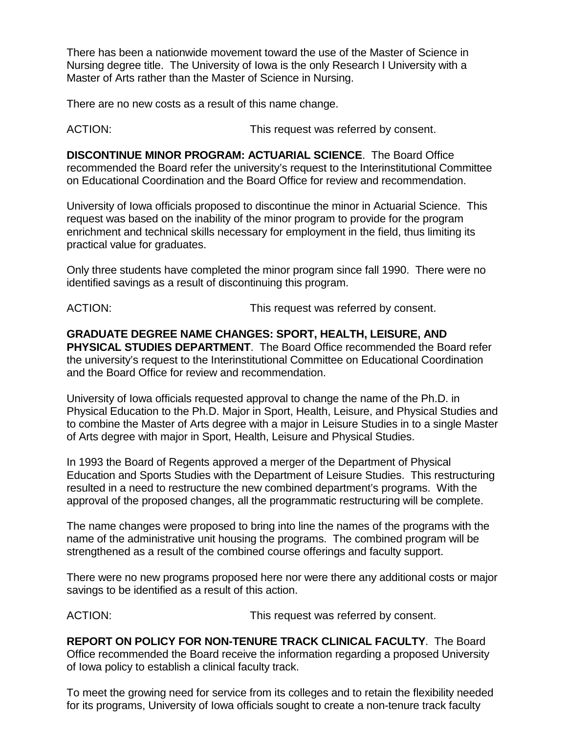There has been a nationwide movement toward the use of the Master of Science in Nursing degree title. The University of Iowa is the only Research I University with a Master of Arts rather than the Master of Science in Nursing.

There are no new costs as a result of this name change.

ACTION: This request was referred by consent.

**DISCONTINUE MINOR PROGRAM: ACTUARIAL SCIENCE**. The Board Office recommended the Board refer the university's request to the Interinstitutional Committee on Educational Coordination and the Board Office for review and recommendation.

University of Iowa officials proposed to discontinue the minor in Actuarial Science. This request was based on the inability of the minor program to provide for the program enrichment and technical skills necessary for employment in the field, thus limiting its practical value for graduates.

Only three students have completed the minor program since fall 1990. There were no identified savings as a result of discontinuing this program.

ACTION: This request was referred by consent.

**GRADUATE DEGREE NAME CHANGES: SPORT, HEALTH, LEISURE, AND PHYSICAL STUDIES DEPARTMENT**. The Board Office recommended the Board refer the university's request to the Interinstitutional Committee on Educational Coordination and the Board Office for review and recommendation.

University of Iowa officials requested approval to change the name of the Ph.D. in Physical Education to the Ph.D. Major in Sport, Health, Leisure, and Physical Studies and to combine the Master of Arts degree with a major in Leisure Studies in to a single Master of Arts degree with major in Sport, Health, Leisure and Physical Studies.

In 1993 the Board of Regents approved a merger of the Department of Physical Education and Sports Studies with the Department of Leisure Studies. This restructuring resulted in a need to restructure the new combined department's programs. With the approval of the proposed changes, all the programmatic restructuring will be complete.

The name changes were proposed to bring into line the names of the programs with the name of the administrative unit housing the programs. The combined program will be strengthened as a result of the combined course offerings and faculty support.

There were no new programs proposed here nor were there any additional costs or major savings to be identified as a result of this action.

ACTION: This request was referred by consent.

**REPORT ON POLICY FOR NON-TENURE TRACK CLINICAL FACULTY**. The Board Office recommended the Board receive the information regarding a proposed University of Iowa policy to establish a clinical faculty track.

To meet the growing need for service from its colleges and to retain the flexibility needed for its programs, University of Iowa officials sought to create a non-tenure track faculty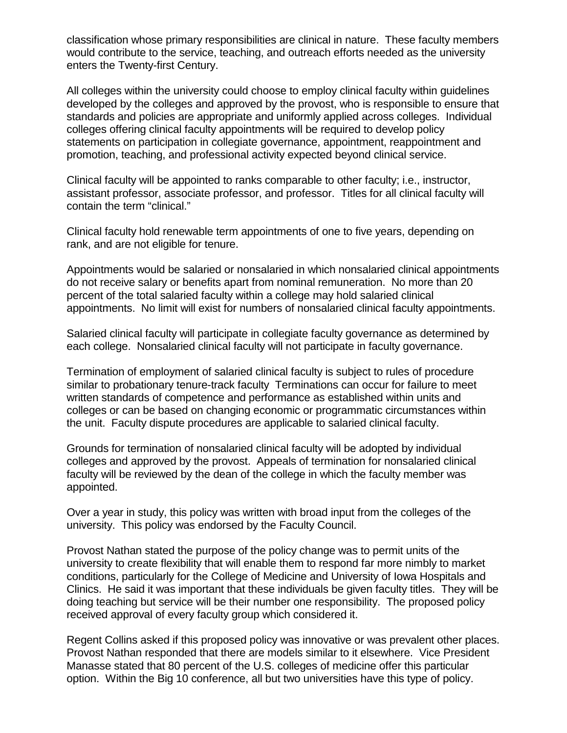classification whose primary responsibilities are clinical in nature. These faculty members would contribute to the service, teaching, and outreach efforts needed as the university enters the Twenty-first Century.

All colleges within the university could choose to employ clinical faculty within guidelines developed by the colleges and approved by the provost, who is responsible to ensure that standards and policies are appropriate and uniformly applied across colleges. Individual colleges offering clinical faculty appointments will be required to develop policy statements on participation in collegiate governance, appointment, reappointment and promotion, teaching, and professional activity expected beyond clinical service.

Clinical faculty will be appointed to ranks comparable to other faculty; i.e., instructor, assistant professor, associate professor, and professor. Titles for all clinical faculty will contain the term "clinical."

Clinical faculty hold renewable term appointments of one to five years, depending on rank, and are not eligible for tenure.

Appointments would be salaried or nonsalaried in which nonsalaried clinical appointments do not receive salary or benefits apart from nominal remuneration. No more than 20 percent of the total salaried faculty within a college may hold salaried clinical appointments. No limit will exist for numbers of nonsalaried clinical faculty appointments.

Salaried clinical faculty will participate in collegiate faculty governance as determined by each college. Nonsalaried clinical faculty will not participate in faculty governance.

Termination of employment of salaried clinical faculty is subject to rules of procedure similar to probationary tenure-track faculty Terminations can occur for failure to meet written standards of competence and performance as established within units and colleges or can be based on changing economic or programmatic circumstances within the unit. Faculty dispute procedures are applicable to salaried clinical faculty.

Grounds for termination of nonsalaried clinical faculty will be adopted by individual colleges and approved by the provost. Appeals of termination for nonsalaried clinical faculty will be reviewed by the dean of the college in which the faculty member was appointed.

Over a year in study, this policy was written with broad input from the colleges of the university. This policy was endorsed by the Faculty Council.

Provost Nathan stated the purpose of the policy change was to permit units of the university to create flexibility that will enable them to respond far more nimbly to market conditions, particularly for the College of Medicine and University of Iowa Hospitals and Clinics. He said it was important that these individuals be given faculty titles. They will be doing teaching but service will be their number one responsibility. The proposed policy received approval of every faculty group which considered it.

Regent Collins asked if this proposed policy was innovative or was prevalent other places. Provost Nathan responded that there are models similar to it elsewhere. Vice President Manasse stated that 80 percent of the U.S. colleges of medicine offer this particular option. Within the Big 10 conference, all but two universities have this type of policy.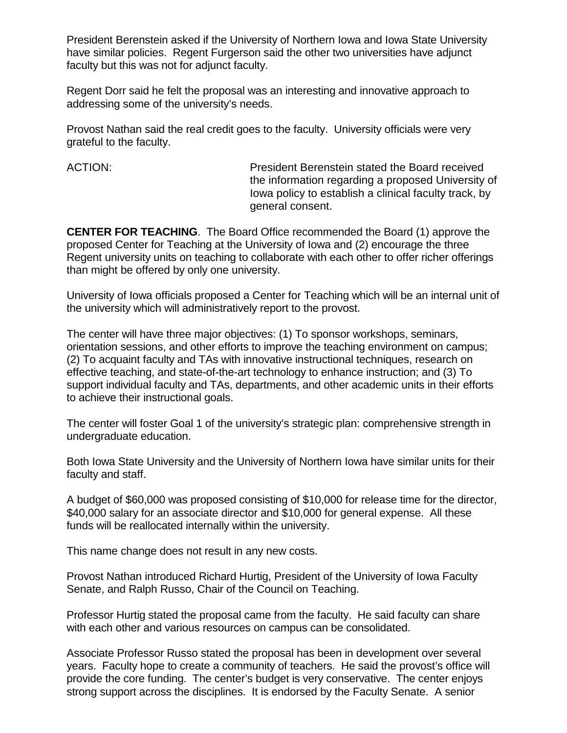President Berenstein asked if the University of Northern Iowa and Iowa State University have similar policies. Regent Furgerson said the other two universities have adjunct faculty but this was not for adjunct faculty.

Regent Dorr said he felt the proposal was an interesting and innovative approach to addressing some of the university's needs.

Provost Nathan said the real credit goes to the faculty. University officials were very grateful to the faculty.

ACTION: President Berenstein stated the Board received the information regarding a proposed University of Iowa policy to establish a clinical faculty track, by general consent.

**CENTER FOR TEACHING**. The Board Office recommended the Board (1) approve the proposed Center for Teaching at the University of Iowa and (2) encourage the three Regent university units on teaching to collaborate with each other to offer richer offerings than might be offered by only one university.

University of Iowa officials proposed a Center for Teaching which will be an internal unit of the university which will administratively report to the provost.

The center will have three major objectives: (1) To sponsor workshops, seminars, orientation sessions, and other efforts to improve the teaching environment on campus; (2) To acquaint faculty and TAs with innovative instructional techniques, research on effective teaching, and state-of-the-art technology to enhance instruction; and (3) To support individual faculty and TAs, departments, and other academic units in their efforts to achieve their instructional goals.

The center will foster Goal 1 of the university's strategic plan: comprehensive strength in undergraduate education.

Both Iowa State University and the University of Northern Iowa have similar units for their faculty and staff.

A budget of \$60,000 was proposed consisting of \$10,000 for release time for the director, \$40,000 salary for an associate director and \$10,000 for general expense. All these funds will be reallocated internally within the university.

This name change does not result in any new costs.

Provost Nathan introduced Richard Hurtig, President of the University of Iowa Faculty Senate, and Ralph Russo, Chair of the Council on Teaching.

Professor Hurtig stated the proposal came from the faculty. He said faculty can share with each other and various resources on campus can be consolidated.

Associate Professor Russo stated the proposal has been in development over several years. Faculty hope to create a community of teachers. He said the provost's office will provide the core funding. The center's budget is very conservative. The center enjoys strong support across the disciplines. It is endorsed by the Faculty Senate. A senior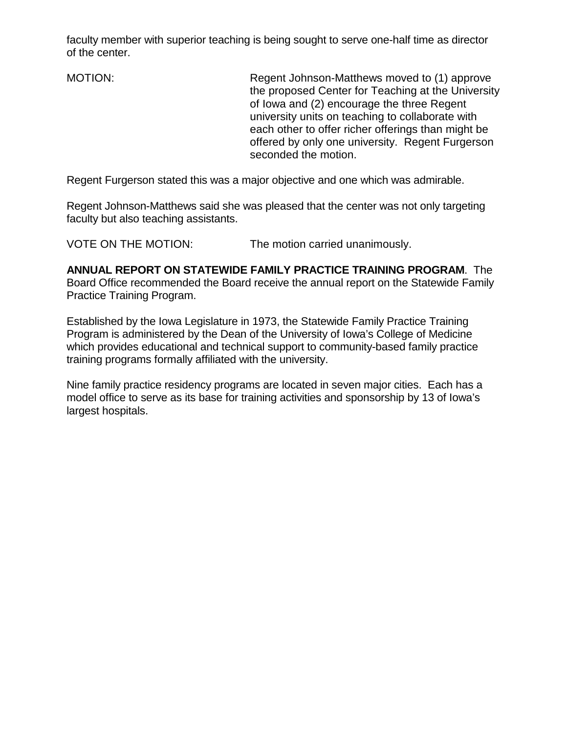faculty member with superior teaching is being sought to serve one-half time as director of the center.

MOTION: Regent Johnson-Matthews moved to (1) approve the proposed Center for Teaching at the University of Iowa and (2) encourage the three Regent university units on teaching to collaborate with each other to offer richer offerings than might be offered by only one university. Regent Furgerson seconded the motion.

Regent Furgerson stated this was a major objective and one which was admirable.

Regent Johnson-Matthews said she was pleased that the center was not only targeting faculty but also teaching assistants.

VOTE ON THE MOTION: The motion carried unanimously.

**ANNUAL REPORT ON STATEWIDE FAMILY PRACTICE TRAINING PROGRAM**. The Board Office recommended the Board receive the annual report on the Statewide Family Practice Training Program.

Established by the Iowa Legislature in 1973, the Statewide Family Practice Training Program is administered by the Dean of the University of Iowa's College of Medicine which provides educational and technical support to community-based family practice training programs formally affiliated with the university.

Nine family practice residency programs are located in seven major cities. Each has a model office to serve as its base for training activities and sponsorship by 13 of Iowa's largest hospitals.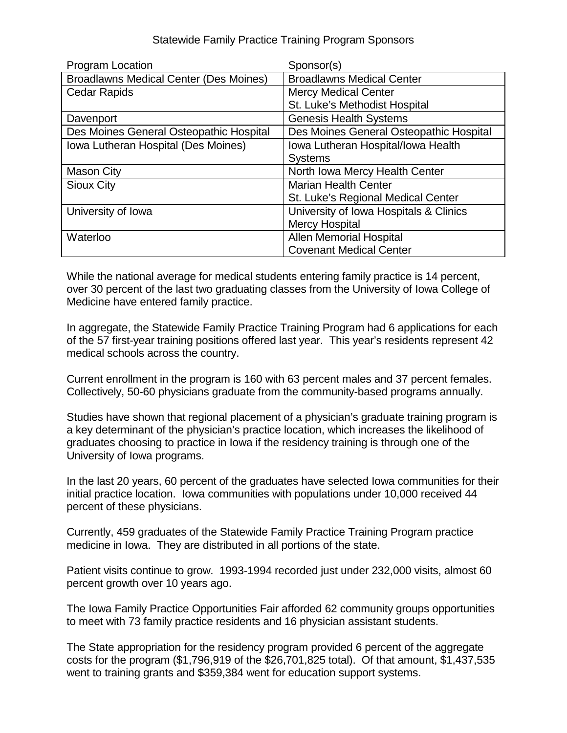## Statewide Family Practice Training Program Sponsors

| Program Location                              | Sponsor(s)                              |
|-----------------------------------------------|-----------------------------------------|
| <b>Broadlawns Medical Center (Des Moines)</b> | <b>Broadlawns Medical Center</b>        |
| <b>Cedar Rapids</b>                           | <b>Mercy Medical Center</b>             |
|                                               | St. Luke's Methodist Hospital           |
| Davenport                                     | <b>Genesis Health Systems</b>           |
| Des Moines General Osteopathic Hospital       | Des Moines General Osteopathic Hospital |
| Iowa Lutheran Hospital (Des Moines)           | Iowa Lutheran Hospital/Iowa Health      |
|                                               | <b>Systems</b>                          |
| <b>Mason City</b>                             | North Iowa Mercy Health Center          |
| <b>Sioux City</b>                             | <b>Marian Health Center</b>             |
|                                               | St. Luke's Regional Medical Center      |
| University of Iowa                            | University of Iowa Hospitals & Clinics  |
|                                               | <b>Mercy Hospital</b>                   |
| Waterloo                                      | <b>Allen Memorial Hospital</b>          |
|                                               | <b>Covenant Medical Center</b>          |

While the national average for medical students entering family practice is 14 percent, over 30 percent of the last two graduating classes from the University of Iowa College of Medicine have entered family practice.

In aggregate, the Statewide Family Practice Training Program had 6 applications for each of the 57 first-year training positions offered last year. This year's residents represent 42 medical schools across the country.

Current enrollment in the program is 160 with 63 percent males and 37 percent females. Collectively, 50-60 physicians graduate from the community-based programs annually.

Studies have shown that regional placement of a physician's graduate training program is a key determinant of the physician's practice location, which increases the likelihood of graduates choosing to practice in Iowa if the residency training is through one of the University of Iowa programs.

In the last 20 years, 60 percent of the graduates have selected Iowa communities for their initial practice location. Iowa communities with populations under 10,000 received 44 percent of these physicians.

Currently, 459 graduates of the Statewide Family Practice Training Program practice medicine in Iowa. They are distributed in all portions of the state.

Patient visits continue to grow. 1993-1994 recorded just under 232,000 visits, almost 60 percent growth over 10 years ago.

The Iowa Family Practice Opportunities Fair afforded 62 community groups opportunities to meet with 73 family practice residents and 16 physician assistant students.

The State appropriation for the residency program provided 6 percent of the aggregate costs for the program (\$1,796,919 of the \$26,701,825 total). Of that amount, \$1,437,535 went to training grants and \$359,384 went for education support systems.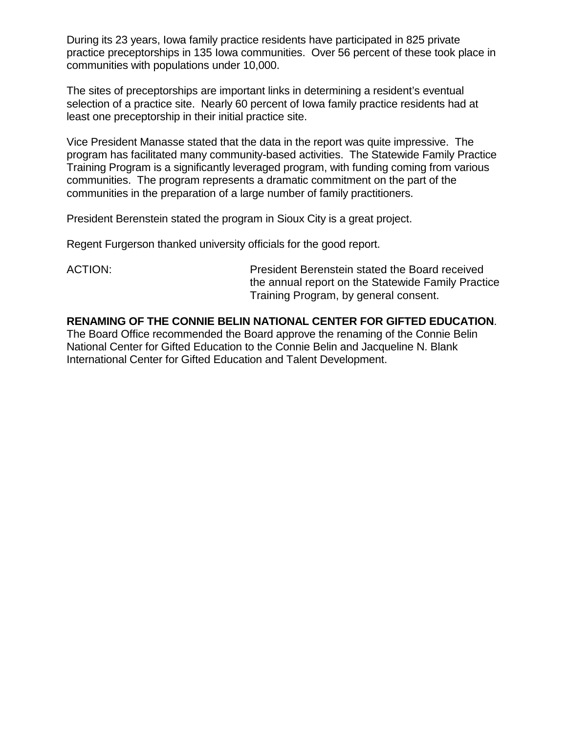During its 23 years, Iowa family practice residents have participated in 825 private practice preceptorships in 135 Iowa communities. Over 56 percent of these took place in communities with populations under 10,000.

The sites of preceptorships are important links in determining a resident's eventual selection of a practice site. Nearly 60 percent of Iowa family practice residents had at least one preceptorship in their initial practice site.

Vice President Manasse stated that the data in the report was quite impressive. The program has facilitated many community-based activities. The Statewide Family Practice Training Program is a significantly leveraged program, with funding coming from various communities. The program represents a dramatic commitment on the part of the communities in the preparation of a large number of family practitioners.

President Berenstein stated the program in Sioux City is a great project.

Regent Furgerson thanked university officials for the good report.

ACTION: President Berenstein stated the Board received the annual report on the Statewide Family Practice Training Program, by general consent.

## **RENAMING OF THE CONNIE BELIN NATIONAL CENTER FOR GIFTED EDUCATION**.

The Board Office recommended the Board approve the renaming of the Connie Belin National Center for Gifted Education to the Connie Belin and Jacqueline N. Blank International Center for Gifted Education and Talent Development.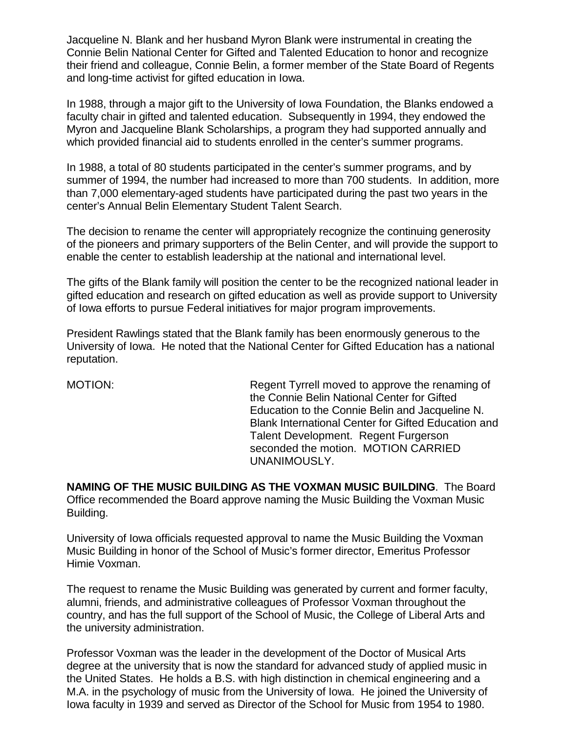Jacqueline N. Blank and her husband Myron Blank were instrumental in creating the Connie Belin National Center for Gifted and Talented Education to honor and recognize their friend and colleague, Connie Belin, a former member of the State Board of Regents and long-time activist for gifted education in Iowa.

In 1988, through a major gift to the University of Iowa Foundation, the Blanks endowed a faculty chair in gifted and talented education. Subsequently in 1994, they endowed the Myron and Jacqueline Blank Scholarships, a program they had supported annually and which provided financial aid to students enrolled in the center's summer programs.

In 1988, a total of 80 students participated in the center's summer programs, and by summer of 1994, the number had increased to more than 700 students. In addition, more than 7,000 elementary-aged students have participated during the past two years in the center's Annual Belin Elementary Student Talent Search.

The decision to rename the center will appropriately recognize the continuing generosity of the pioneers and primary supporters of the Belin Center, and will provide the support to enable the center to establish leadership at the national and international level.

The gifts of the Blank family will position the center to be the recognized national leader in gifted education and research on gifted education as well as provide support to University of Iowa efforts to pursue Federal initiatives for major program improvements.

President Rawlings stated that the Blank family has been enormously generous to the University of Iowa. He noted that the National Center for Gifted Education has a national reputation.

MOTION: Regent Tyrrell moved to approve the renaming of the Connie Belin National Center for Gifted Education to the Connie Belin and Jacqueline N. Blank International Center for Gifted Education and Talent Development. Regent Furgerson seconded the motion. MOTION CARRIED UNANIMOUSLY.

**NAMING OF THE MUSIC BUILDING AS THE VOXMAN MUSIC BUILDING**. The Board Office recommended the Board approve naming the Music Building the Voxman Music Building.

University of Iowa officials requested approval to name the Music Building the Voxman Music Building in honor of the School of Music's former director, Emeritus Professor Himie Voxman.

The request to rename the Music Building was generated by current and former faculty, alumni, friends, and administrative colleagues of Professor Voxman throughout the country, and has the full support of the School of Music, the College of Liberal Arts and the university administration.

Professor Voxman was the leader in the development of the Doctor of Musical Arts degree at the university that is now the standard for advanced study of applied music in the United States. He holds a B.S. with high distinction in chemical engineering and a M.A. in the psychology of music from the University of Iowa. He joined the University of Iowa faculty in 1939 and served as Director of the School for Music from 1954 to 1980.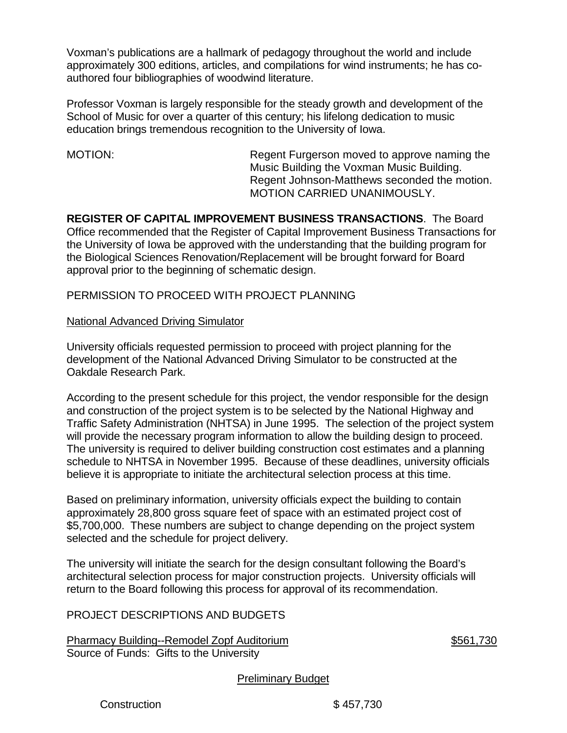Voxman's publications are a hallmark of pedagogy throughout the world and include approximately 300 editions, articles, and compilations for wind instruments; he has coauthored four bibliographies of woodwind literature.

Professor Voxman is largely responsible for the steady growth and development of the School of Music for over a quarter of this century; his lifelong dedication to music education brings tremendous recognition to the University of Iowa.

MOTION: Regent Furgerson moved to approve naming the Music Building the Voxman Music Building. Regent Johnson-Matthews seconded the motion. MOTION CARRIED UNANIMOUSLY.

**REGISTER OF CAPITAL IMPROVEMENT BUSINESS TRANSACTIONS**. The Board Office recommended that the Register of Capital Improvement Business Transactions for the University of Iowa be approved with the understanding that the building program for the Biological Sciences Renovation/Replacement will be brought forward for Board approval prior to the beginning of schematic design.

## PERMISSION TO PROCEED WITH PROJECT PLANNING

## National Advanced Driving Simulator

University officials requested permission to proceed with project planning for the development of the National Advanced Driving Simulator to be constructed at the Oakdale Research Park.

According to the present schedule for this project, the vendor responsible for the design and construction of the project system is to be selected by the National Highway and Traffic Safety Administration (NHTSA) in June 1995. The selection of the project system will provide the necessary program information to allow the building design to proceed. The university is required to deliver building construction cost estimates and a planning schedule to NHTSA in November 1995. Because of these deadlines, university officials believe it is appropriate to initiate the architectural selection process at this time.

Based on preliminary information, university officials expect the building to contain approximately 28,800 gross square feet of space with an estimated project cost of \$5,700,000. These numbers are subject to change depending on the project system selected and the schedule for project delivery.

The university will initiate the search for the design consultant following the Board's architectural selection process for major construction projects. University officials will return to the Board following this process for approval of its recommendation.

PROJECT DESCRIPTIONS AND BUDGETS

Pharmacy Building--Remodel Zopf Auditorium **\$561,730** Source of Funds: Gifts to the University

Preliminary Budget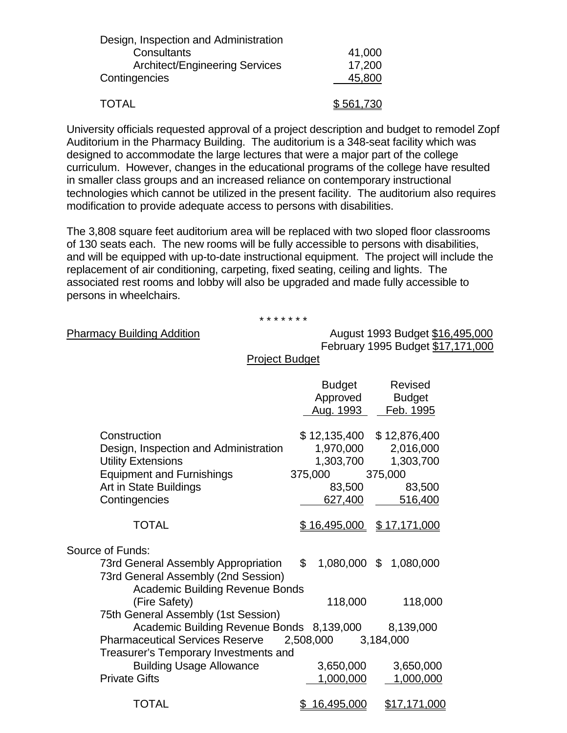| Design, Inspection and Administration |           |
|---------------------------------------|-----------|
| Consultants                           | 41,000    |
| <b>Architect/Engineering Services</b> | 17,200    |
| Contingencies                         | 45,800    |
| <b>TOTAL</b>                          | \$561,730 |

University officials requested approval of a project description and budget to remodel Zopf Auditorium in the Pharmacy Building. The auditorium is a 348-seat facility which was designed to accommodate the large lectures that were a major part of the college curriculum. However, changes in the educational programs of the college have resulted in smaller class groups and an increased reliance on contemporary instructional technologies which cannot be utilized in the present facility. The auditorium also requires modification to provide adequate access to persons with disabilities.

The 3,808 square feet auditorium area will be replaced with two sloped floor classrooms of 130 seats each. The new rooms will be fully accessible to persons with disabilities, and will be equipped with up-to-date instructional equipment. The project will include the replacement of air conditioning, carpeting, fixed seating, ceiling and lights. The associated rest rooms and lobby will also be upgraded and made fully accessible to persons in wheelchairs.

\* \* \* \* \* \* \*

Pharmacy Building Addition August 1993 Budget \$16,495,000 February 1995 Budget \$17,171,000

Project Budget

|                                           | <b>Budget</b><br>Approved<br>Aug. 1993 | Revised<br><b>Budget</b><br>Feb. 1995 |
|-------------------------------------------|----------------------------------------|---------------------------------------|
|                                           |                                        |                                       |
| Construction                              | \$12,135,400 \$12,876,400              |                                       |
| Design, Inspection and Administration     | 1,970,000                              | 2,016,000                             |
| <b>Utility Extensions</b>                 | 1,303,700                              | 1,303,700                             |
| <b>Equipment and Furnishings</b>          | 375,000                                | 375,000                               |
| Art in State Buildings                    | 83,500                                 | 83,500                                |
| Contingencies                             | 627,400                                | 516,400                               |
|                                           |                                        |                                       |
| <b>TOTAL</b>                              | $$16,495,000$ $$17,171,000$            |                                       |
|                                           |                                        |                                       |
| Source of Funds:                          |                                        |                                       |
| 73rd General Assembly Appropriation       | $\mathbb{S}^-$<br>1,080,000 \$         | 1,080,000                             |
| 73rd General Assembly (2nd Session)       |                                        |                                       |
| <b>Academic Building Revenue Bonds</b>    |                                        |                                       |
| (Fire Safety)                             | 118,000                                | 118,000                               |
| 75th General Assembly (1st Session)       |                                        |                                       |
| Academic Building Revenue Bonds 8,139,000 |                                        | 8,139,000                             |
| <b>Pharmaceutical Services Reserve</b>    | 2,508,000                              | 3,184,000                             |
| Treasurer's Temporary Investments and     |                                        |                                       |
| <b>Building Usage Allowance</b>           | 3,650,000                              | 3,650,000                             |
| <b>Private Gifts</b>                      | 1,000,000                              | 1,000,000                             |
|                                           |                                        |                                       |
| TOTAL                                     | <u>16,495,000</u><br>\$                | <u>\$17,171,000</u>                   |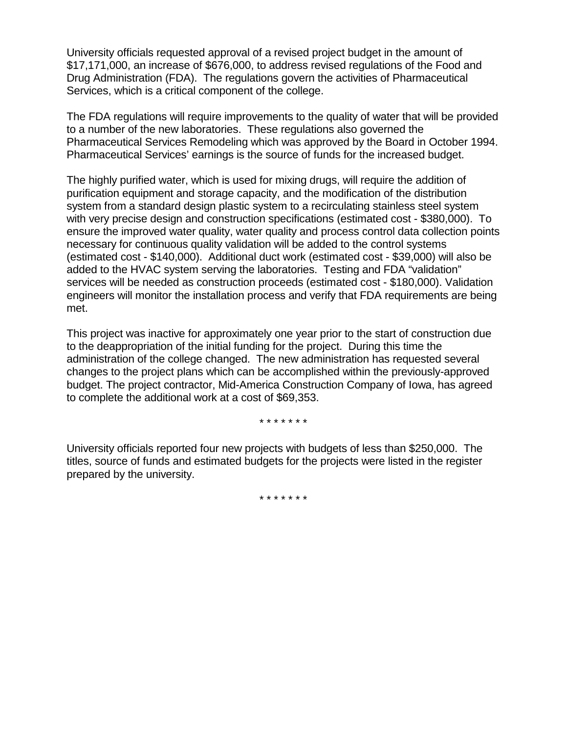University officials requested approval of a revised project budget in the amount of \$17,171,000, an increase of \$676,000, to address revised regulations of the Food and Drug Administration (FDA). The regulations govern the activities of Pharmaceutical Services, which is a critical component of the college.

The FDA regulations will require improvements to the quality of water that will be provided to a number of the new laboratories. These regulations also governed the Pharmaceutical Services Remodeling which was approved by the Board in October 1994. Pharmaceutical Services' earnings is the source of funds for the increased budget.

The highly purified water, which is used for mixing drugs, will require the addition of purification equipment and storage capacity, and the modification of the distribution system from a standard design plastic system to a recirculating stainless steel system with very precise design and construction specifications (estimated cost - \$380,000). To ensure the improved water quality, water quality and process control data collection points necessary for continuous quality validation will be added to the control systems (estimated cost - \$140,000). Additional duct work (estimated cost - \$39,000) will also be added to the HVAC system serving the laboratories. Testing and FDA "validation" services will be needed as construction proceeds (estimated cost - \$180,000). Validation engineers will monitor the installation process and verify that FDA requirements are being met.

This project was inactive for approximately one year prior to the start of construction due to the deappropriation of the initial funding for the project. During this time the administration of the college changed. The new administration has requested several changes to the project plans which can be accomplished within the previously-approved budget. The project contractor, Mid-America Construction Company of Iowa, has agreed to complete the additional work at a cost of \$69,353.

\* \* \* \* \* \* \*

University officials reported four new projects with budgets of less than \$250,000. The titles, source of funds and estimated budgets for the projects were listed in the register prepared by the university.

\* \* \* \* \* \* \*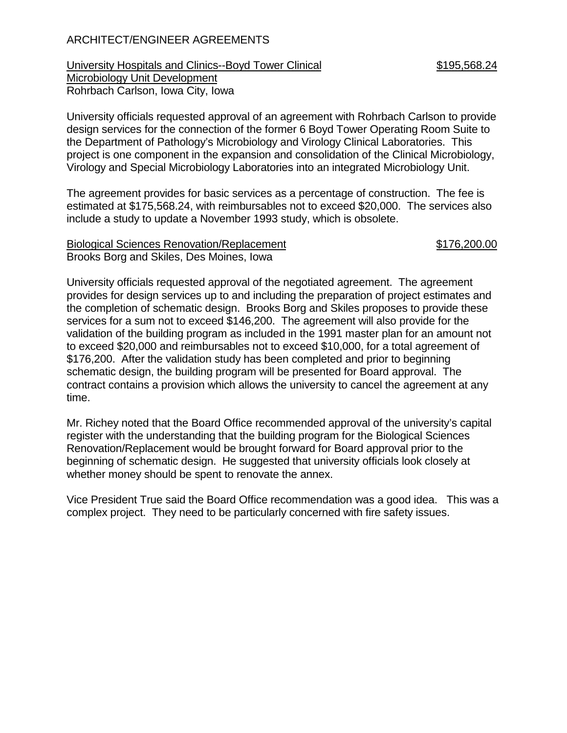## ARCHITECT/ENGINEER AGREEMENTS

University Hospitals and Clinics--Boyd Tower Clinical  $$195,568.24$ Microbiology Unit Development Rohrbach Carlson, Iowa City, Iowa

University officials requested approval of an agreement with Rohrbach Carlson to provide design services for the connection of the former 6 Boyd Tower Operating Room Suite to the Department of Pathology's Microbiology and Virology Clinical Laboratories. This project is one component in the expansion and consolidation of the Clinical Microbiology, Virology and Special Microbiology Laboratories into an integrated Microbiology Unit.

The agreement provides for basic services as a percentage of construction. The fee is estimated at \$175,568.24, with reimbursables not to exceed \$20,000. The services also include a study to update a November 1993 study, which is obsolete.

#### Biological Sciences Renovation/Replacement  $$176,200.00$ Brooks Borg and Skiles, Des Moines, Iowa

University officials requested approval of the negotiated agreement. The agreement provides for design services up to and including the preparation of project estimates and the completion of schematic design. Brooks Borg and Skiles proposes to provide these services for a sum not to exceed \$146,200. The agreement will also provide for the validation of the building program as included in the 1991 master plan for an amount not to exceed \$20,000 and reimbursables not to exceed \$10,000, for a total agreement of \$176,200. After the validation study has been completed and prior to beginning schematic design, the building program will be presented for Board approval. The contract contains a provision which allows the university to cancel the agreement at any time.

Mr. Richey noted that the Board Office recommended approval of the university's capital register with the understanding that the building program for the Biological Sciences Renovation/Replacement would be brought forward for Board approval prior to the beginning of schematic design. He suggested that university officials look closely at whether money should be spent to renovate the annex.

Vice President True said the Board Office recommendation was a good idea. This was a complex project. They need to be particularly concerned with fire safety issues.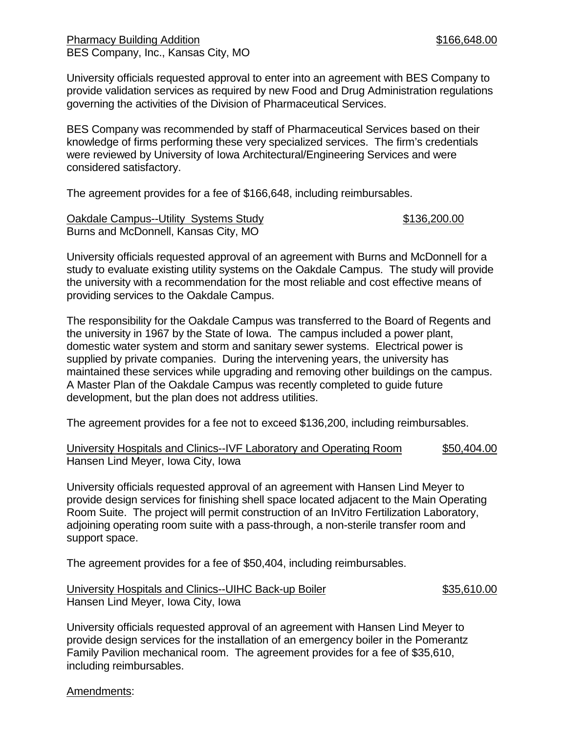Pharmacy Building Addition **Building Addition 1998** 166,648.00 BES Company, Inc., Kansas City, MO

University officials requested approval to enter into an agreement with BES Company to provide validation services as required by new Food and Drug Administration regulations governing the activities of the Division of Pharmaceutical Services.

BES Company was recommended by staff of Pharmaceutical Services based on their knowledge of firms performing these very specialized services. The firm's credentials were reviewed by University of Iowa Architectural/Engineering Services and were considered satisfactory.

The agreement provides for a fee of \$166,648, including reimbursables.

Oakdale Campus--Utility Systems Study 6136,200.00 Burns and McDonnell, Kansas City, MO

University officials requested approval of an agreement with Burns and McDonnell for a study to evaluate existing utility systems on the Oakdale Campus. The study will provide the university with a recommendation for the most reliable and cost effective means of providing services to the Oakdale Campus.

The responsibility for the Oakdale Campus was transferred to the Board of Regents and the university in 1967 by the State of Iowa. The campus included a power plant, domestic water system and storm and sanitary sewer systems. Electrical power is supplied by private companies. During the intervening years, the university has maintained these services while upgrading and removing other buildings on the campus. A Master Plan of the Oakdale Campus was recently completed to guide future development, but the plan does not address utilities.

The agreement provides for a fee not to exceed \$136,200, including reimbursables.

University Hospitals and Clinics--IVF Laboratory and Operating Room \$50,404.00 Hansen Lind Meyer, Iowa City, Iowa

University officials requested approval of an agreement with Hansen Lind Meyer to provide design services for finishing shell space located adjacent to the Main Operating Room Suite. The project will permit construction of an InVitro Fertilization Laboratory, adjoining operating room suite with a pass-through, a non-sterile transfer room and support space.

The agreement provides for a fee of \$50,404, including reimbursables.

University Hospitals and Clinics--UIHC Back-up Boiler \$35,610.00 Hansen Lind Meyer, Iowa City, Iowa

University officials requested approval of an agreement with Hansen Lind Meyer to provide design services for the installation of an emergency boiler in the Pomerantz Family Pavilion mechanical room. The agreement provides for a fee of \$35,610, including reimbursables.

Amendments: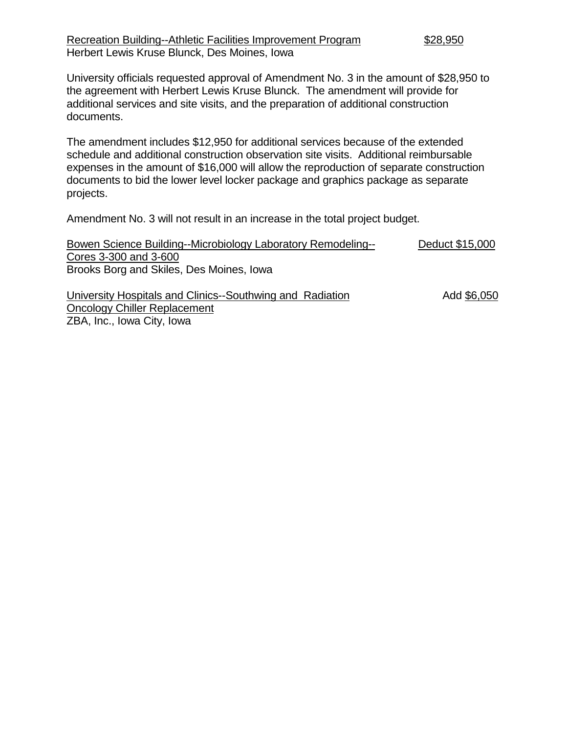University officials requested approval of Amendment No. 3 in the amount of \$28,950 to the agreement with Herbert Lewis Kruse Blunck. The amendment will provide for additional services and site visits, and the preparation of additional construction documents.

The amendment includes \$12,950 for additional services because of the extended schedule and additional construction observation site visits. Additional reimbursable expenses in the amount of \$16,000 will allow the reproduction of separate construction documents to bid the lower level locker package and graphics package as separate projects.

Amendment No. 3 will not result in an increase in the total project budget.

| Bowen Science Building--Microbiology Laboratory Remodeling--                                                | Deduct \$15,000   |
|-------------------------------------------------------------------------------------------------------------|-------------------|
| Cores 3-300 and 3-600                                                                                       |                   |
| Brooks Borg and Skiles, Des Moines, Iowa                                                                    |                   |
| $\mathbf{a}$ , and $\mathbf{a}$ , and $\mathbf{a}$ , and $\mathbf{a}$ , and $\mathbf{a}$ , and $\mathbf{a}$ | , , , , , , , , , |

University Hospitals and Clinics--Southwing and Radiation Add \$6,050 Oncology Chiller Replacement ZBA, Inc., Iowa City, Iowa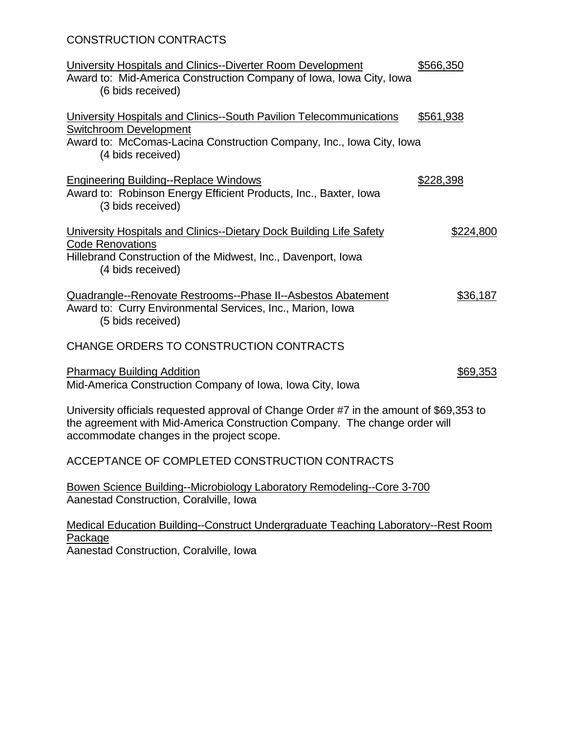# CONSTRUCTION CONTRACTS

| University Hospitals and Clinics--Diverter Room Development<br>Award to: Mid-America Construction Company of Iowa, Iowa City, Iowa<br>(6 bids received)                                                            | \$566,350        |
|--------------------------------------------------------------------------------------------------------------------------------------------------------------------------------------------------------------------|------------------|
| University Hospitals and Clinics--South Pavilion Telecommunications<br><b>Switchroom Development</b><br>Award to: McComas-Lacina Construction Company, Inc., Iowa City, Iowa<br>(4 bids received)                  | <u>\$561,938</u> |
| <b>Engineering Building--Replace Windows</b><br>Award to: Robinson Energy Efficient Products, Inc., Baxter, Iowa<br>(3 bids received)                                                                              | <u>\$228,398</u> |
| University Hospitals and Clinics--Dietary Dock Building Life Safety<br><b>Code Renovations</b><br>Hillebrand Construction of the Midwest, Inc., Davenport, Iowa<br>(4 bids received)                               | \$224,800        |
| Quadrangle--Renovate Restrooms--Phase II--Asbestos Abatement<br>Award to: Curry Environmental Services, Inc., Marion, Iowa<br>(5 bids received)                                                                    | \$36,187         |
| CHANGE ORDERS TO CONSTRUCTION CONTRACTS                                                                                                                                                                            |                  |
| <b>Pharmacy Building Addition</b><br>Mid-America Construction Company of Iowa, Iowa City, Iowa                                                                                                                     | \$69,353         |
| University officials requested approval of Change Order #7 in the amount of \$69,353 to<br>the agreement with Mid-America Construction Company. The change order will<br>accommodate changes in the project scope. |                  |
| ACCEPTANCE OF COMPLETED CONSTRUCTION CONTRACTS                                                                                                                                                                     |                  |
| Bowen Science Building--Microbiology Laboratory Remodeling--Core 3-700<br>Aanestad Construction, Coralville, Iowa                                                                                                  |                  |
| Medical Education Building--Construct Undergraduate Teaching Laboratory--Rest Room<br>Package<br>Aanestad Construction, Coralville, Iowa                                                                           |                  |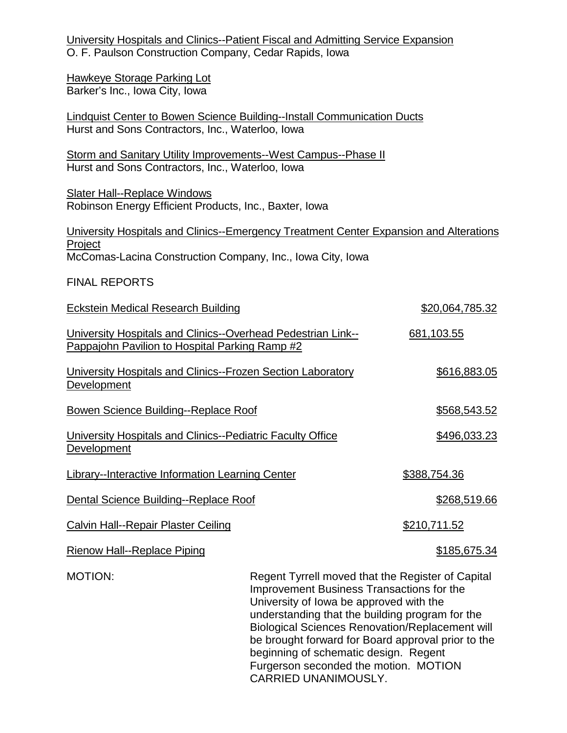University Hospitals and Clinics--Patient Fiscal and Admitting Service Expansion O. F. Paulson Construction Company, Cedar Rapids, Iowa

Hawkeye Storage Parking Lot Barker's Inc., Iowa City, Iowa

Lindquist Center to Bowen Science Building--Install Communication Ducts Hurst and Sons Contractors, Inc., Waterloo, Iowa

Storm and Sanitary Utility Improvements--West Campus--Phase II Hurst and Sons Contractors, Inc., Waterloo, Iowa

Slater Hall--Replace Windows Robinson Energy Efficient Products, Inc., Baxter, Iowa

University Hospitals and Clinics--Emergency Treatment Center Expansion and Alterations Project McComas-Lacina Construction Company, Inc., Iowa City, Iowa

#### FINAL REPORTS

| <b>Eckstein Medical Research Building</b>                                                                      |                                                                                                                                           | \$20,064,785.32     |
|----------------------------------------------------------------------------------------------------------------|-------------------------------------------------------------------------------------------------------------------------------------------|---------------------|
| University Hospitals and Clinics--Overhead Pedestrian Link--<br>Pappajohn Pavilion to Hospital Parking Ramp #2 |                                                                                                                                           | 681,103.55          |
| University Hospitals and Clinics--Frozen Section Laboratory<br><b>Development</b>                              |                                                                                                                                           | <u>\$616,883.05</u> |
| <b>Bowen Science Building--Replace Roof</b>                                                                    |                                                                                                                                           | \$568,543.52        |
| University Hospitals and Clinics--Pediatric Faculty Office<br>Development                                      |                                                                                                                                           | \$496,033.23        |
| Library--Interactive Information Learning Center                                                               |                                                                                                                                           | \$388,754.36        |
| Dental Science Building--Replace Roof                                                                          |                                                                                                                                           | \$268,519.66        |
| <b>Calvin Hall--Repair Plaster Ceiling</b>                                                                     |                                                                                                                                           | \$210,711.52        |
| <b>Rienow Hall--Replace Piping</b>                                                                             |                                                                                                                                           | \$185,675.34        |
| <b>MOTION:</b>                                                                                                 | Regent Tyrrell moved that the Register of Capital<br>Improvement Business Transactions for the<br>University of lowa be approved with the |                     |

understanding that the building program for the Biological Sciences Renovation/Replacement will be brought forward for Board approval prior to the beginning of schematic design. Regent Furgerson seconded the motion. MOTION CARRIED UNANIMOUSLY.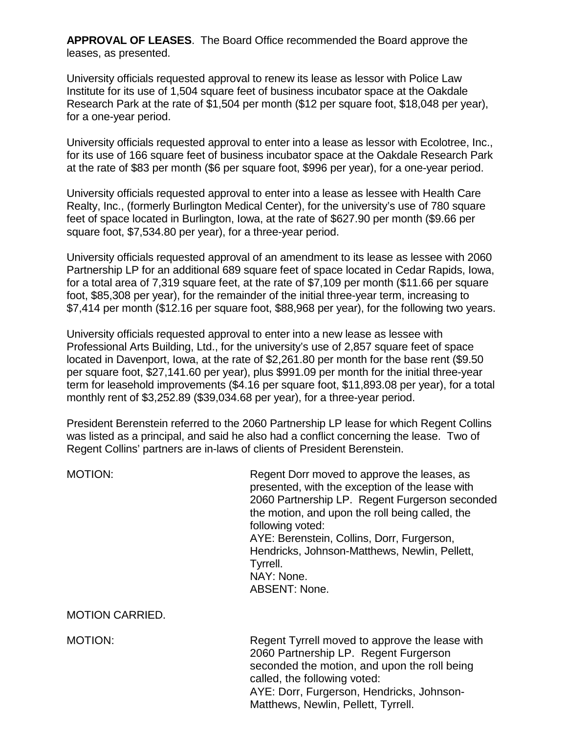**APPROVAL OF LEASES**. The Board Office recommended the Board approve the leases, as presented.

University officials requested approval to renew its lease as lessor with Police Law Institute for its use of 1,504 square feet of business incubator space at the Oakdale Research Park at the rate of \$1,504 per month (\$12 per square foot, \$18,048 per year), for a one-year period.

University officials requested approval to enter into a lease as lessor with Ecolotree, Inc., for its use of 166 square feet of business incubator space at the Oakdale Research Park at the rate of \$83 per month (\$6 per square foot, \$996 per year), for a one-year period.

University officials requested approval to enter into a lease as lessee with Health Care Realty, Inc., (formerly Burlington Medical Center), for the university's use of 780 square feet of space located in Burlington, Iowa, at the rate of \$627.90 per month (\$9.66 per square foot, \$7,534.80 per year), for a three-year period.

University officials requested approval of an amendment to its lease as lessee with 2060 Partnership LP for an additional 689 square feet of space located in Cedar Rapids, Iowa, for a total area of 7,319 square feet, at the rate of \$7,109 per month (\$11.66 per square foot, \$85,308 per year), for the remainder of the initial three-year term, increasing to \$7,414 per month (\$12.16 per square foot, \$88,968 per year), for the following two years.

University officials requested approval to enter into a new lease as lessee with Professional Arts Building, Ltd., for the university's use of 2,857 square feet of space located in Davenport, Iowa, at the rate of \$2,261.80 per month for the base rent (\$9.50 per square foot, \$27,141.60 per year), plus \$991.09 per month for the initial three-year term for leasehold improvements (\$4.16 per square foot, \$11,893.08 per year), for a total monthly rent of \$3,252.89 (\$39,034.68 per year), for a three-year period.

President Berenstein referred to the 2060 Partnership LP lease for which Regent Collins was listed as a principal, and said he also had a conflict concerning the lease. Two of Regent Collins' partners are in-laws of clients of President Berenstein.

MOTION: MOTION: Regent Dorr moved to approve the leases, as presented, with the exception of the lease with 2060 Partnership LP. Regent Furgerson seconded the motion, and upon the roll being called, the following voted: AYE: Berenstein, Collins, Dorr, Furgerson, Hendricks, Johnson-Matthews, Newlin, Pellett, Tyrrell. NAY: None. ABSENT: None.

MOTION CARRIED.

MOTION: Regent Tyrrell moved to approve the lease with 2060 Partnership LP. Regent Furgerson seconded the motion, and upon the roll being called, the following voted: AYE: Dorr, Furgerson, Hendricks, Johnson-Matthews, Newlin, Pellett, Tyrrell.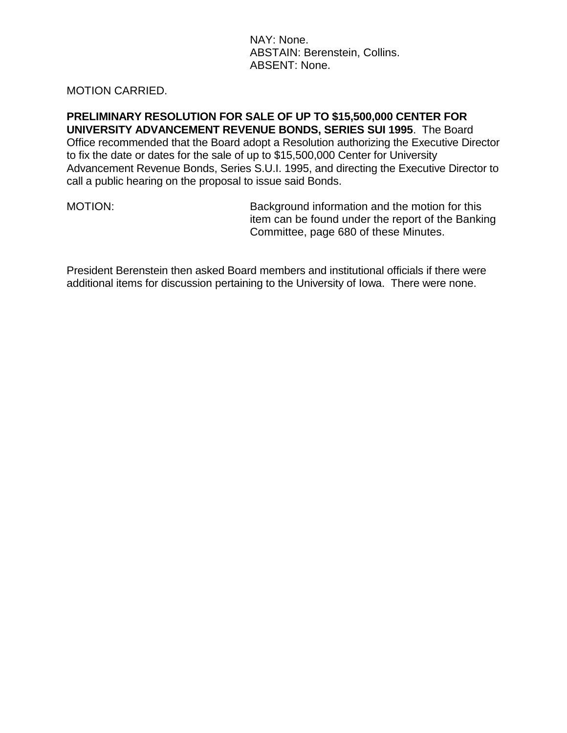NAY: None. ABSTAIN: Berenstein, Collins. ABSENT: None.

#### MOTION CARRIED.

**PRELIMINARY RESOLUTION FOR SALE OF UP TO \$15,500,000 CENTER FOR UNIVERSITY ADVANCEMENT REVENUE BONDS, SERIES SUI 1995**. The Board Office recommended that the Board adopt a Resolution authorizing the Executive Director to fix the date or dates for the sale of up to \$15,500,000 Center for University Advancement Revenue Bonds, Series S.U.I. 1995, and directing the Executive Director to call a public hearing on the proposal to issue said Bonds.

MOTION: Background information and the motion for this item can be found under the report of the Banking Committee, page 680 of these Minutes.

President Berenstein then asked Board members and institutional officials if there were additional items for discussion pertaining to the University of Iowa. There were none.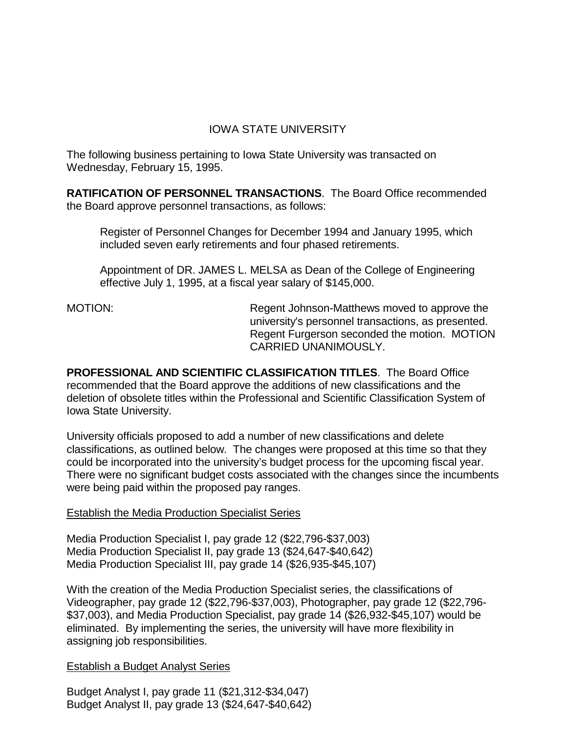## IOWA STATE UNIVERSITY

The following business pertaining to Iowa State University was transacted on Wednesday, February 15, 1995.

**RATIFICATION OF PERSONNEL TRANSACTIONS**. The Board Office recommended the Board approve personnel transactions, as follows:

Register of Personnel Changes for December 1994 and January 1995, which included seven early retirements and four phased retirements.

Appointment of DR. JAMES L. MELSA as Dean of the College of Engineering effective July 1, 1995, at a fiscal year salary of \$145,000.

MOTION: Regent Johnson-Matthews moved to approve the university's personnel transactions, as presented. Regent Furgerson seconded the motion. MOTION CARRIED UNANIMOUSLY.

**PROFESSIONAL AND SCIENTIFIC CLASSIFICATION TITLES**. The Board Office recommended that the Board approve the additions of new classifications and the deletion of obsolete titles within the Professional and Scientific Classification System of Iowa State University.

University officials proposed to add a number of new classifications and delete classifications, as outlined below. The changes were proposed at this time so that they could be incorporated into the university's budget process for the upcoming fiscal year. There were no significant budget costs associated with the changes since the incumbents were being paid within the proposed pay ranges.

## Establish the Media Production Specialist Series

Media Production Specialist I, pay grade 12 (\$22,796-\$37,003) Media Production Specialist II, pay grade 13 (\$24,647-\$40,642) Media Production Specialist III, pay grade 14 (\$26,935-\$45,107)

With the creation of the Media Production Specialist series, the classifications of Videographer, pay grade 12 (\$22,796-\$37,003), Photographer, pay grade 12 (\$22,796- \$37,003), and Media Production Specialist, pay grade 14 (\$26,932-\$45,107) would be eliminated. By implementing the series, the university will have more flexibility in assigning job responsibilities.

## Establish a Budget Analyst Series

Budget Analyst I, pay grade 11 (\$21,312-\$34,047) Budget Analyst II, pay grade 13 (\$24,647-\$40,642)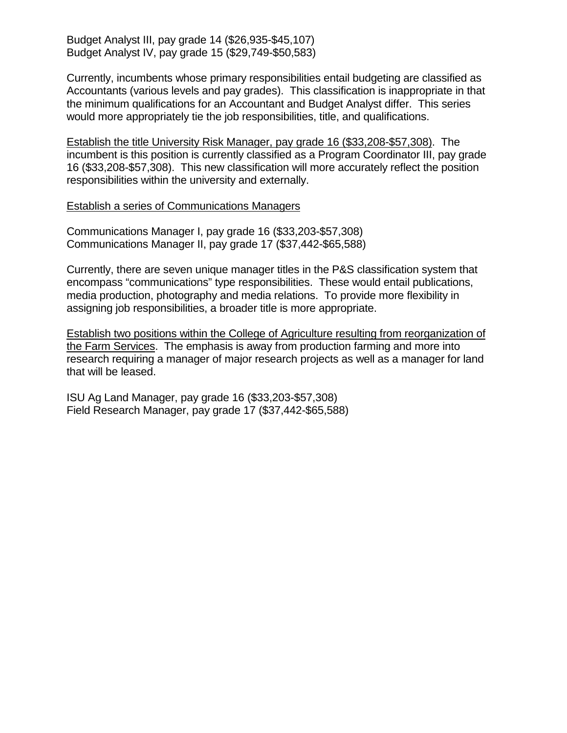Budget Analyst III, pay grade 14 (\$26,935-\$45,107) Budget Analyst IV, pay grade 15 (\$29,749-\$50,583)

Currently, incumbents whose primary responsibilities entail budgeting are classified as Accountants (various levels and pay grades). This classification is inappropriate in that the minimum qualifications for an Accountant and Budget Analyst differ. This series would more appropriately tie the job responsibilities, title, and qualifications.

Establish the title University Risk Manager, pay grade 16 (\$33,208-\$57,308). The incumbent is this position is currently classified as a Program Coordinator III, pay grade 16 (\$33,208-\$57,308). This new classification will more accurately reflect the position responsibilities within the university and externally.

Establish a series of Communications Managers

Communications Manager I, pay grade 16 (\$33,203-\$57,308) Communications Manager II, pay grade 17 (\$37,442-\$65,588)

Currently, there are seven unique manager titles in the P&S classification system that encompass "communications" type responsibilities. These would entail publications, media production, photography and media relations. To provide more flexibility in assigning job responsibilities, a broader title is more appropriate.

Establish two positions within the College of Agriculture resulting from reorganization of the Farm Services. The emphasis is away from production farming and more into research requiring a manager of major research projects as well as a manager for land that will be leased.

ISU Ag Land Manager, pay grade 16 (\$33,203-\$57,308) Field Research Manager, pay grade 17 (\$37,442-\$65,588)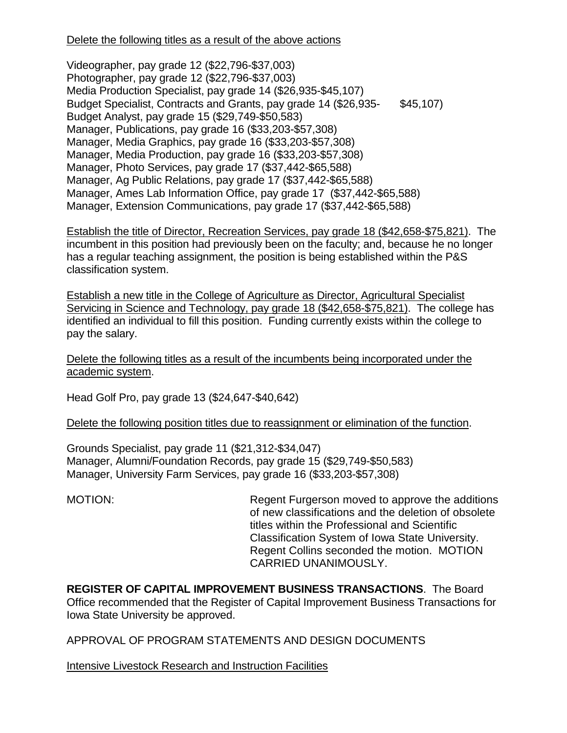## Delete the following titles as a result of the above actions

Videographer, pay grade 12 (\$22,796-\$37,003) Photographer, pay grade 12 (\$22,796-\$37,003) Media Production Specialist, pay grade 14 (\$26,935-\$45,107) Budget Specialist, Contracts and Grants, pay grade 14 (\$26,935- \$45,107) Budget Analyst, pay grade 15 (\$29,749-\$50,583) Manager, Publications, pay grade 16 (\$33,203-\$57,308) Manager, Media Graphics, pay grade 16 (\$33,203-\$57,308) Manager, Media Production, pay grade 16 (\$33,203-\$57,308) Manager, Photo Services, pay grade 17 (\$37,442-\$65,588) Manager, Ag Public Relations, pay grade 17 (\$37,442-\$65,588) Manager, Ames Lab Information Office, pay grade 17 (\$37,442-\$65,588) Manager, Extension Communications, pay grade 17 (\$37,442-\$65,588)

Establish the title of Director, Recreation Services, pay grade 18 (\$42,658-\$75,821). The incumbent in this position had previously been on the faculty; and, because he no longer has a regular teaching assignment, the position is being established within the P&S classification system.

Establish a new title in the College of Agriculture as Director, Agricultural Specialist Servicing in Science and Technology, pay grade 18 (\$42,658-\$75,821). The college has identified an individual to fill this position. Funding currently exists within the college to pay the salary.

Delete the following titles as a result of the incumbents being incorporated under the academic system.

Head Golf Pro, pay grade 13 (\$24,647-\$40,642)

Delete the following position titles due to reassignment or elimination of the function.

Grounds Specialist, pay grade 11 (\$21,312-\$34,047) Manager, Alumni/Foundation Records, pay grade 15 (\$29,749-\$50,583) Manager, University Farm Services, pay grade 16 (\$33,203-\$57,308)

MOTION: MOTION: Regent Furgerson moved to approve the additions of new classifications and the deletion of obsolete titles within the Professional and Scientific Classification System of Iowa State University. Regent Collins seconded the motion. MOTION CARRIED UNANIMOUSLY.

**REGISTER OF CAPITAL IMPROVEMENT BUSINESS TRANSACTIONS**. The Board Office recommended that the Register of Capital Improvement Business Transactions for Iowa State University be approved.

APPROVAL OF PROGRAM STATEMENTS AND DESIGN DOCUMENTS

Intensive Livestock Research and Instruction Facilities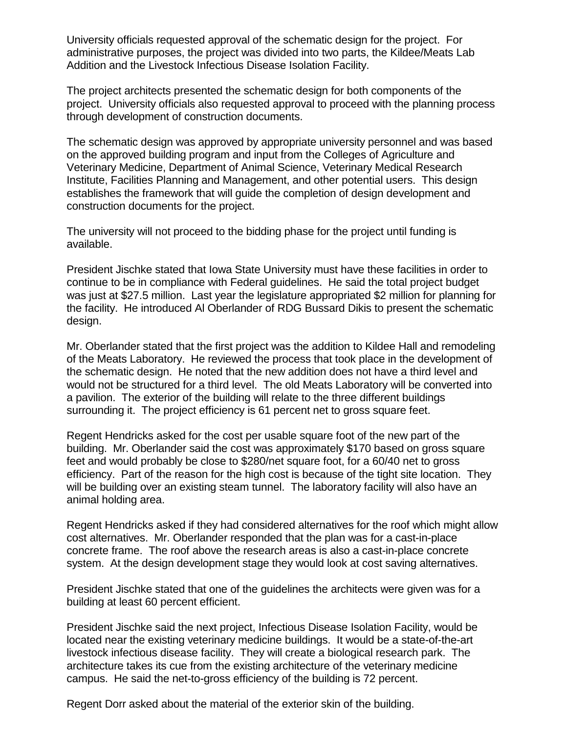University officials requested approval of the schematic design for the project. For administrative purposes, the project was divided into two parts, the Kildee/Meats Lab Addition and the Livestock Infectious Disease Isolation Facility.

The project architects presented the schematic design for both components of the project. University officials also requested approval to proceed with the planning process through development of construction documents.

The schematic design was approved by appropriate university personnel and was based on the approved building program and input from the Colleges of Agriculture and Veterinary Medicine, Department of Animal Science, Veterinary Medical Research Institute, Facilities Planning and Management, and other potential users. This design establishes the framework that will guide the completion of design development and construction documents for the project.

The university will not proceed to the bidding phase for the project until funding is available.

President Jischke stated that Iowa State University must have these facilities in order to continue to be in compliance with Federal guidelines. He said the total project budget was just at \$27.5 million. Last year the legislature appropriated \$2 million for planning for the facility. He introduced Al Oberlander of RDG Bussard Dikis to present the schematic design.

Mr. Oberlander stated that the first project was the addition to Kildee Hall and remodeling of the Meats Laboratory. He reviewed the process that took place in the development of the schematic design. He noted that the new addition does not have a third level and would not be structured for a third level. The old Meats Laboratory will be converted into a pavilion. The exterior of the building will relate to the three different buildings surrounding it. The project efficiency is 61 percent net to gross square feet.

Regent Hendricks asked for the cost per usable square foot of the new part of the building. Mr. Oberlander said the cost was approximately \$170 based on gross square feet and would probably be close to \$280/net square foot, for a 60/40 net to gross efficiency. Part of the reason for the high cost is because of the tight site location. They will be building over an existing steam tunnel. The laboratory facility will also have an animal holding area.

Regent Hendricks asked if they had considered alternatives for the roof which might allow cost alternatives. Mr. Oberlander responded that the plan was for a cast-in-place concrete frame. The roof above the research areas is also a cast-in-place concrete system. At the design development stage they would look at cost saving alternatives.

President Jischke stated that one of the guidelines the architects were given was for a building at least 60 percent efficient.

President Jischke said the next project, Infectious Disease Isolation Facility, would be located near the existing veterinary medicine buildings. It would be a state-of-the-art livestock infectious disease facility. They will create a biological research park. The architecture takes its cue from the existing architecture of the veterinary medicine campus. He said the net-to-gross efficiency of the building is 72 percent.

Regent Dorr asked about the material of the exterior skin of the building.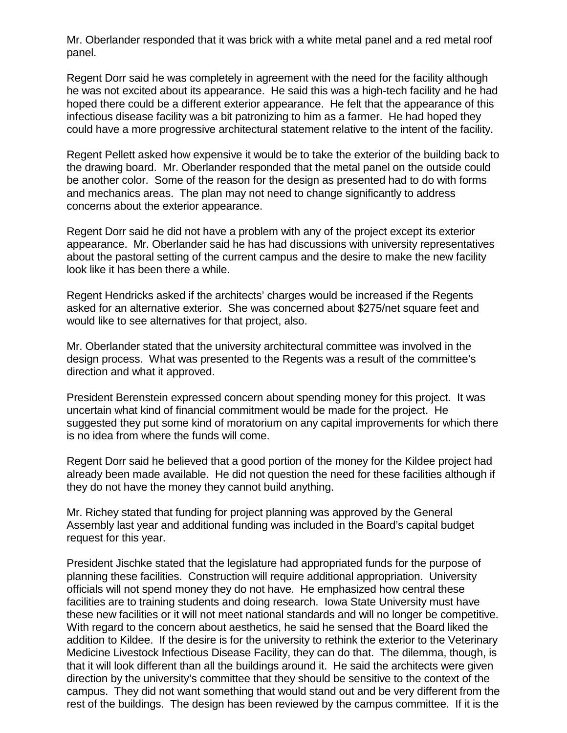Mr. Oberlander responded that it was brick with a white metal panel and a red metal roof panel.

Regent Dorr said he was completely in agreement with the need for the facility although he was not excited about its appearance. He said this was a high-tech facility and he had hoped there could be a different exterior appearance. He felt that the appearance of this infectious disease facility was a bit patronizing to him as a farmer. He had hoped they could have a more progressive architectural statement relative to the intent of the facility.

Regent Pellett asked how expensive it would be to take the exterior of the building back to the drawing board. Mr. Oberlander responded that the metal panel on the outside could be another color. Some of the reason for the design as presented had to do with forms and mechanics areas. The plan may not need to change significantly to address concerns about the exterior appearance.

Regent Dorr said he did not have a problem with any of the project except its exterior appearance. Mr. Oberlander said he has had discussions with university representatives about the pastoral setting of the current campus and the desire to make the new facility look like it has been there a while.

Regent Hendricks asked if the architects' charges would be increased if the Regents asked for an alternative exterior. She was concerned about \$275/net square feet and would like to see alternatives for that project, also.

Mr. Oberlander stated that the university architectural committee was involved in the design process. What was presented to the Regents was a result of the committee's direction and what it approved.

President Berenstein expressed concern about spending money for this project. It was uncertain what kind of financial commitment would be made for the project. He suggested they put some kind of moratorium on any capital improvements for which there is no idea from where the funds will come.

Regent Dorr said he believed that a good portion of the money for the Kildee project had already been made available. He did not question the need for these facilities although if they do not have the money they cannot build anything.

Mr. Richey stated that funding for project planning was approved by the General Assembly last year and additional funding was included in the Board's capital budget request for this year.

President Jischke stated that the legislature had appropriated funds for the purpose of planning these facilities. Construction will require additional appropriation. University officials will not spend money they do not have. He emphasized how central these facilities are to training students and doing research. Iowa State University must have these new facilities or it will not meet national standards and will no longer be competitive. With regard to the concern about aesthetics, he said he sensed that the Board liked the addition to Kildee. If the desire is for the university to rethink the exterior to the Veterinary Medicine Livestock Infectious Disease Facility, they can do that. The dilemma, though, is that it will look different than all the buildings around it. He said the architects were given direction by the university's committee that they should be sensitive to the context of the campus. They did not want something that would stand out and be very different from the rest of the buildings. The design has been reviewed by the campus committee. If it is the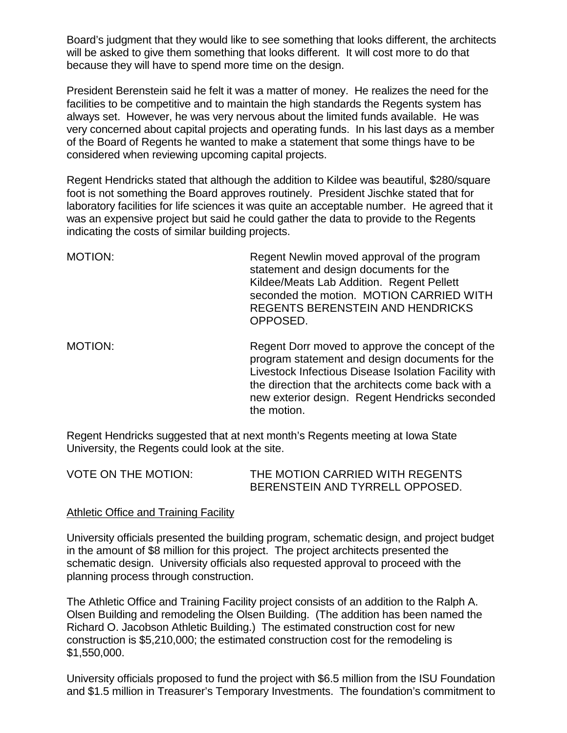Board's judgment that they would like to see something that looks different, the architects will be asked to give them something that looks different. It will cost more to do that because they will have to spend more time on the design.

President Berenstein said he felt it was a matter of money. He realizes the need for the facilities to be competitive and to maintain the high standards the Regents system has always set. However, he was very nervous about the limited funds available. He was very concerned about capital projects and operating funds. In his last days as a member of the Board of Regents he wanted to make a statement that some things have to be considered when reviewing upcoming capital projects.

Regent Hendricks stated that although the addition to Kildee was beautiful, \$280/square foot is not something the Board approves routinely. President Jischke stated that for laboratory facilities for life sciences it was quite an acceptable number. He agreed that it was an expensive project but said he could gather the data to provide to the Regents indicating the costs of similar building projects.

| <b>MOTION:</b> | Regent Newlin moved approval of the program<br>statement and design documents for the<br>Kildee/Meats Lab Addition. Regent Pellett<br>seconded the motion. MOTION CARRIED WITH<br><b>REGENTS BERENSTEIN AND HENDRICKS</b><br>OPPOSED. |
|----------------|---------------------------------------------------------------------------------------------------------------------------------------------------------------------------------------------------------------------------------------|
| MOTION:        | Regent Dorr moved to approve the concept of the<br>program statement and design documents for the<br>Livestock Infectious Disease Isolation Facility with<br>the direction that the architects come back with a                       |

new exterior design. Regent Hendricks seconded

Regent Hendricks suggested that at next month's Regents meeting at Iowa State University, the Regents could look at the site.

the motion.

| <b>VOTE ON THE MOTION:</b> | THE MOTION CARRIED WITH REGENTS |
|----------------------------|---------------------------------|
|                            | BERENSTEIN AND TYRRELL OPPOSED. |

#### Athletic Office and Training Facility

University officials presented the building program, schematic design, and project budget in the amount of \$8 million for this project. The project architects presented the schematic design. University officials also requested approval to proceed with the planning process through construction.

The Athletic Office and Training Facility project consists of an addition to the Ralph A. Olsen Building and remodeling the Olsen Building. (The addition has been named the Richard O. Jacobson Athletic Building.) The estimated construction cost for new construction is \$5,210,000; the estimated construction cost for the remodeling is \$1,550,000.

University officials proposed to fund the project with \$6.5 million from the ISU Foundation and \$1.5 million in Treasurer's Temporary Investments. The foundation's commitment to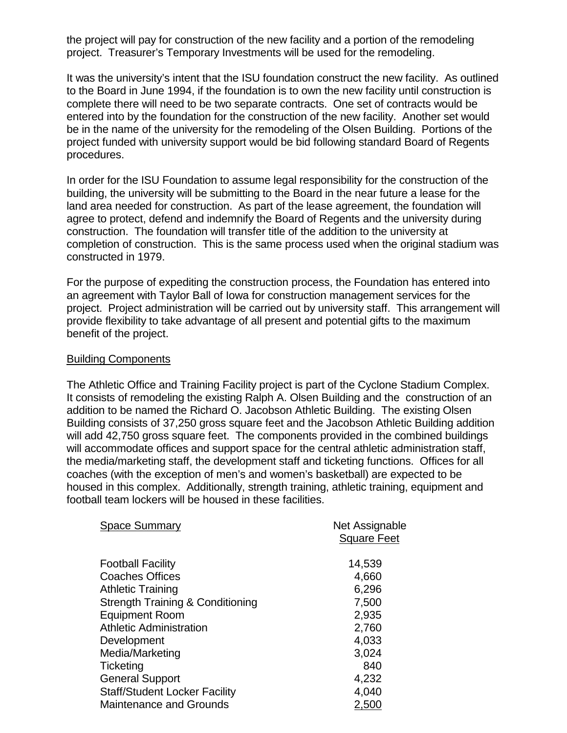the project will pay for construction of the new facility and a portion of the remodeling project. Treasurer's Temporary Investments will be used for the remodeling.

It was the university's intent that the ISU foundation construct the new facility. As outlined to the Board in June 1994, if the foundation is to own the new facility until construction is complete there will need to be two separate contracts. One set of contracts would be entered into by the foundation for the construction of the new facility. Another set would be in the name of the university for the remodeling of the Olsen Building. Portions of the project funded with university support would be bid following standard Board of Regents procedures.

In order for the ISU Foundation to assume legal responsibility for the construction of the building, the university will be submitting to the Board in the near future a lease for the land area needed for construction. As part of the lease agreement, the foundation will agree to protect, defend and indemnify the Board of Regents and the university during construction. The foundation will transfer title of the addition to the university at completion of construction. This is the same process used when the original stadium was constructed in 1979.

For the purpose of expediting the construction process, the Foundation has entered into an agreement with Taylor Ball of Iowa for construction management services for the project. Project administration will be carried out by university staff. This arrangement will provide flexibility to take advantage of all present and potential gifts to the maximum benefit of the project.

#### Building Components

The Athletic Office and Training Facility project is part of the Cyclone Stadium Complex. It consists of remodeling the existing Ralph A. Olsen Building and the construction of an addition to be named the Richard O. Jacobson Athletic Building. The existing Olsen Building consists of 37,250 gross square feet and the Jacobson Athletic Building addition will add 42,750 gross square feet. The components provided in the combined buildings will accommodate offices and support space for the central athletic administration staff, the media/marketing staff, the development staff and ticketing functions. Offices for all coaches (with the exception of men's and women's basketball) are expected to be housed in this complex. Additionally, strength training, athletic training, equipment and football team lockers will be housed in these facilities.

| <b>Space Summary</b>                        | Net Assignable     |
|---------------------------------------------|--------------------|
|                                             | <b>Square Feet</b> |
|                                             |                    |
| <b>Football Facility</b>                    | 14,539             |
| <b>Coaches Offices</b>                      | 4,660              |
| <b>Athletic Training</b>                    | 6,296              |
| <b>Strength Training &amp; Conditioning</b> | 7,500              |
| <b>Equipment Room</b>                       | 2,935              |
| <b>Athletic Administration</b>              | 2,760              |
| Development                                 | 4,033              |
| Media/Marketing                             | 3,024              |
| Ticketing                                   | 840                |
| <b>General Support</b>                      | 4,232              |
| <b>Staff/Student Locker Facility</b>        | 4,040              |
| <b>Maintenance and Grounds</b>              | 2,500              |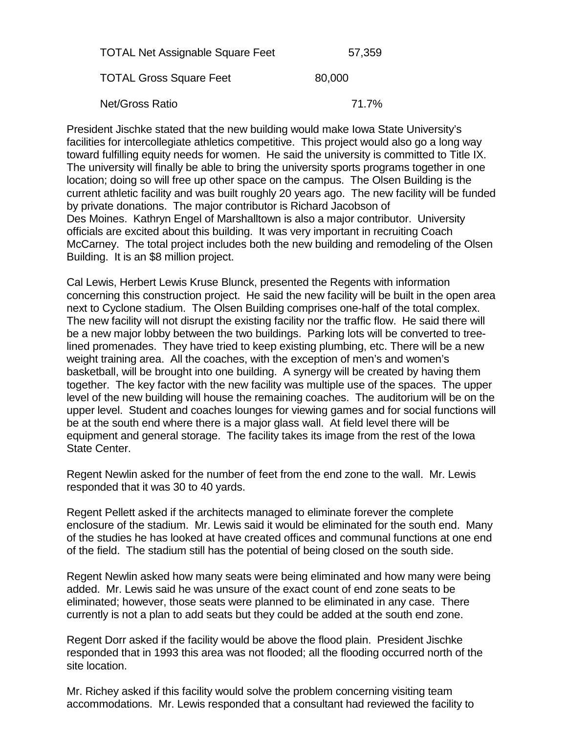| <b>TOTAL Net Assignable Square Feet</b> | 57,359 |
|-----------------------------------------|--------|
| <b>TOTAL Gross Square Feet</b>          | 80,000 |
| <b>Net/Gross Ratio</b>                  | 71.7%  |

President Jischke stated that the new building would make Iowa State University's facilities for intercollegiate athletics competitive. This project would also go a long way toward fulfilling equity needs for women. He said the university is committed to Title IX. The university will finally be able to bring the university sports programs together in one location; doing so will free up other space on the campus. The Olsen Building is the current athletic facility and was built roughly 20 years ago. The new facility will be funded by private donations. The major contributor is Richard Jacobson of Des Moines. Kathryn Engel of Marshalltown is also a major contributor. University officials are excited about this building. It was very important in recruiting Coach McCarney. The total project includes both the new building and remodeling of the Olsen Building. It is an \$8 million project.

Cal Lewis, Herbert Lewis Kruse Blunck, presented the Regents with information concerning this construction project. He said the new facility will be built in the open area next to Cyclone stadium. The Olsen Building comprises one-half of the total complex. The new facility will not disrupt the existing facility nor the traffic flow. He said there will be a new major lobby between the two buildings. Parking lots will be converted to treelined promenades. They have tried to keep existing plumbing, etc. There will be a new weight training area. All the coaches, with the exception of men's and women's basketball, will be brought into one building. A synergy will be created by having them together. The key factor with the new facility was multiple use of the spaces. The upper level of the new building will house the remaining coaches. The auditorium will be on the upper level. Student and coaches lounges for viewing games and for social functions will be at the south end where there is a major glass wall. At field level there will be equipment and general storage. The facility takes its image from the rest of the Iowa State Center.

Regent Newlin asked for the number of feet from the end zone to the wall. Mr. Lewis responded that it was 30 to 40 yards.

Regent Pellett asked if the architects managed to eliminate forever the complete enclosure of the stadium. Mr. Lewis said it would be eliminated for the south end. Many of the studies he has looked at have created offices and communal functions at one end of the field. The stadium still has the potential of being closed on the south side.

Regent Newlin asked how many seats were being eliminated and how many were being added. Mr. Lewis said he was unsure of the exact count of end zone seats to be eliminated; however, those seats were planned to be eliminated in any case. There currently is not a plan to add seats but they could be added at the south end zone.

Regent Dorr asked if the facility would be above the flood plain. President Jischke responded that in 1993 this area was not flooded; all the flooding occurred north of the site location.

Mr. Richey asked if this facility would solve the problem concerning visiting team accommodations. Mr. Lewis responded that a consultant had reviewed the facility to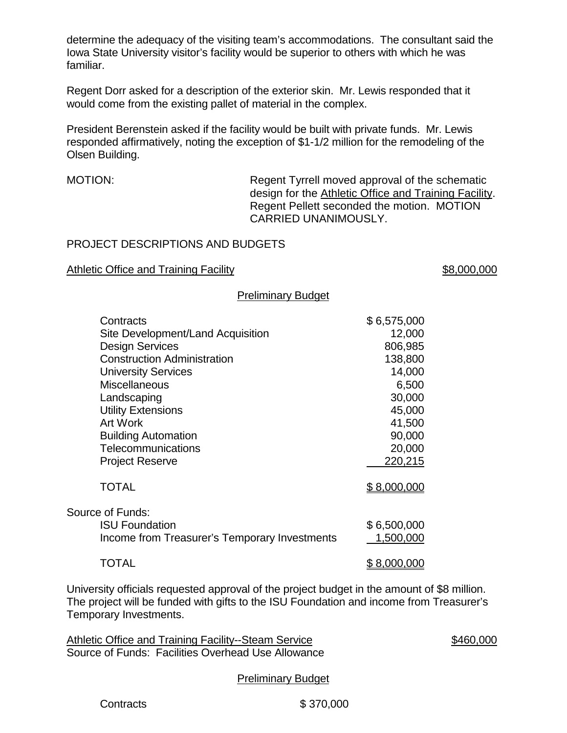determine the adequacy of the visiting team's accommodations. The consultant said the Iowa State University visitor's facility would be superior to others with which he was familiar.

Regent Dorr asked for a description of the exterior skin. Mr. Lewis responded that it would come from the existing pallet of material in the complex.

President Berenstein asked if the facility would be built with private funds. Mr. Lewis responded affirmatively, noting the exception of \$1-1/2 million for the remodeling of the Olsen Building.

MOTION: Regent Tyrrell moved approval of the schematic design for the Athletic Office and Training Facility. Regent Pellett seconded the motion. MOTION CARRIED UNANIMOUSLY.

## PROJECT DESCRIPTIONS AND BUDGETS

#### Athletic Office and Training Facility **Example 2018** 38,000,000

#### Preliminary Budget

| Contracts                                     | \$6,575,000        |
|-----------------------------------------------|--------------------|
| Site Development/Land Acquisition             | 12,000             |
| <b>Design Services</b>                        | 806,985            |
| <b>Construction Administration</b>            | 138,800            |
| <b>University Services</b>                    | 14,000             |
| <b>Miscellaneous</b>                          | 6,500              |
| Landscaping                                   | 30,000             |
| <b>Utility Extensions</b>                     | 45,000             |
| <b>Art Work</b>                               | 41,500             |
| <b>Building Automation</b>                    | 90,000             |
| Telecommunications                            | 20,000             |
| <b>Project Reserve</b>                        | 220,215            |
| <b>TOTAL</b>                                  | \$8,000,000        |
| Source of Funds:                              |                    |
| <b>ISU Foundation</b>                         | \$6,500,000        |
| Income from Treasurer's Temporary Investments | 1,500,000          |
| TOTAL                                         | <u>\$8,000,000</u> |

University officials requested approval of the project budget in the amount of \$8 million. The project will be funded with gifts to the ISU Foundation and income from Treasurer's Temporary Investments.

Athletic Office and Training Facility--Steam Service \$460,000 Source of Funds: Facilities Overhead Use Allowance

Preliminary Budget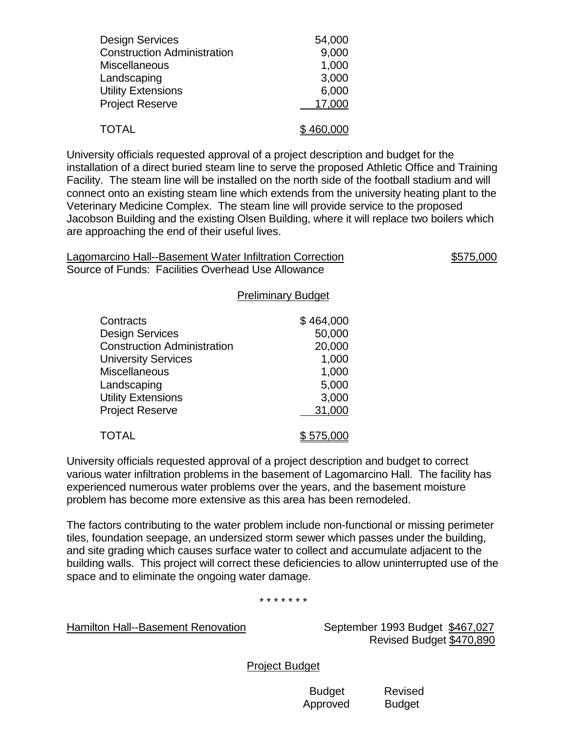| <b>Design Services</b>             | 54,000    |
|------------------------------------|-----------|
| <b>Construction Administration</b> | 9,000     |
| <b>Miscellaneous</b>               | 1,000     |
| Landscaping                        | 3,000     |
| <b>Utility Extensions</b>          | 6,000     |
| <b>Project Reserve</b>             | 17,000    |
| <b>TOTAL</b>                       | \$460,000 |

University officials requested approval of a project description and budget for the installation of a direct buried steam line to serve the proposed Athletic Office and Training Facility. The steam line will be installed on the north side of the football stadium and will connect onto an existing steam line which extends from the university heating plant to the Veterinary Medicine Complex. The steam line will provide service to the proposed Jacobson Building and the existing Olsen Building, where it will replace two boilers which are approaching the end of their useful lives.

| Lagomarcino Hall--Basement Water Infiltration Correction | \$575,000 |
|----------------------------------------------------------|-----------|
| Source of Funds: Facilities Overhead Use Allowance       |           |

Preliminary Budget

|                                    | 19        |
|------------------------------------|-----------|
| Contracts                          | \$464,000 |
| <b>Design Services</b>             | 50,000    |
| <b>Construction Administration</b> | 20,000    |
| <b>University Services</b>         | 1,000     |
| <b>Miscellaneous</b>               | 1,000     |
| Landscaping                        | 5,000     |
| <b>Utility Extensions</b>          | 3,000     |
| <b>Project Reserve</b>             | 31,000    |
| <b>TOTAL</b>                       | \$575.    |

University officials requested approval of a project description and budget to correct various water infiltration problems in the basement of Lagomarcino Hall. The facility has experienced numerous water problems over the years, and the basement moisture problem has become more extensive as this area has been remodeled.

The factors contributing to the water problem include non-functional or missing perimeter tiles, foundation seepage, an undersized storm sewer which passes under the building, and site grading which causes surface water to collect and accumulate adjacent to the building walls. This project will correct these deficiencies to allow uninterrupted use of the space and to eliminate the ongoing water damage.

\* \* \* \* \* \* \*

Hamilton Hall--Basement Renovation September 1993 Budget \$467,027

Revised Budget \$470,890

Project Budget

 Budget Revised Approved Budget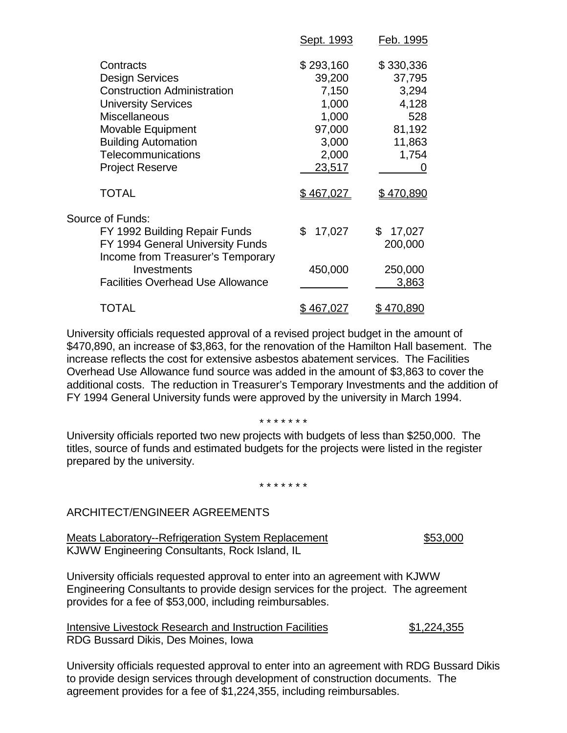|                                                  | Sept. 1993  | <u>Feb. 1995</u>  |
|--------------------------------------------------|-------------|-------------------|
| Contracts                                        | \$293,160   | \$330,336         |
| <b>Design Services</b>                           | 39,200      | 37,795            |
| <b>Construction Administration</b>               | 7,150       | 3,294             |
| <b>University Services</b>                       | 1,000       | 4,128             |
| <b>Miscellaneous</b>                             | 1,000       | 528               |
| Movable Equipment                                | 97,000      | 81,192            |
| <b>Building Automation</b>                       | 3,000       | 11,863            |
| Telecommunications                               | 2,000       | 1,754             |
| <b>Project Reserve</b>                           | 23,517      | O                 |
| <b>TOTAL</b>                                     | \$467,027   | <u>\$ 470,890</u> |
| Source of Funds:                                 |             |                   |
| FY 1992 Building Repair Funds                    | 17,027<br>S | 17,027<br>\$      |
| FY 1994 General University Funds                 |             | 200,000           |
| Income from Treasurer's Temporary<br>Investments |             |                   |
|                                                  | 450,000     | 250,000           |
| <b>Facilities Overhead Use Allowance</b>         |             | 3,863             |
| TOTAL                                            | 467,0       | <u>\$ 470.890</u> |
|                                                  |             |                   |

University officials requested approval of a revised project budget in the amount of \$470,890, an increase of \$3,863, for the renovation of the Hamilton Hall basement. The increase reflects the cost for extensive asbestos abatement services. The Facilities Overhead Use Allowance fund source was added in the amount of \$3,863 to cover the additional costs. The reduction in Treasurer's Temporary Investments and the addition of FY 1994 General University funds were approved by the university in March 1994.

#### \* \* \* \* \* \* \*

University officials reported two new projects with budgets of less than \$250,000. The titles, source of funds and estimated budgets for the projects were listed in the register prepared by the university.

#### \* \* \* \* \* \* \*

#### ARCHITECT/ENGINEER AGREEMENTS

Meats Laboratory--Refrigeration System Replacement \$53,000 KJWW Engineering Consultants, Rock Island, IL

University officials requested approval to enter into an agreement with KJWW Engineering Consultants to provide design services for the project. The agreement provides for a fee of \$53,000, including reimbursables.

Intensive Livestock Research and Instruction Facilities \$1,224,355 RDG Bussard Dikis, Des Moines, Iowa

University officials requested approval to enter into an agreement with RDG Bussard Dikis to provide design services through development of construction documents. The agreement provides for a fee of \$1,224,355, including reimbursables.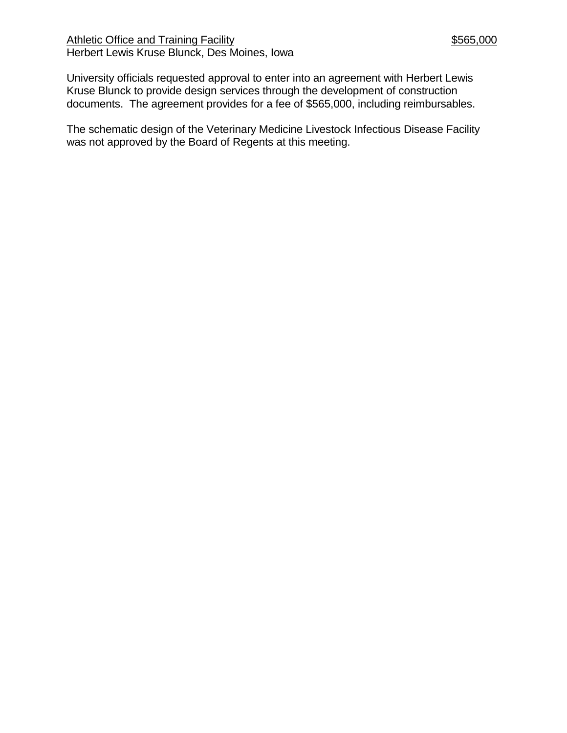Athletic Office and Training Facility **\$565,000** \$565,000 Herbert Lewis Kruse Blunck, Des Moines, Iowa

University officials requested approval to enter into an agreement with Herbert Lewis Kruse Blunck to provide design services through the development of construction documents. The agreement provides for a fee of \$565,000, including reimbursables.

The schematic design of the Veterinary Medicine Livestock Infectious Disease Facility was not approved by the Board of Regents at this meeting.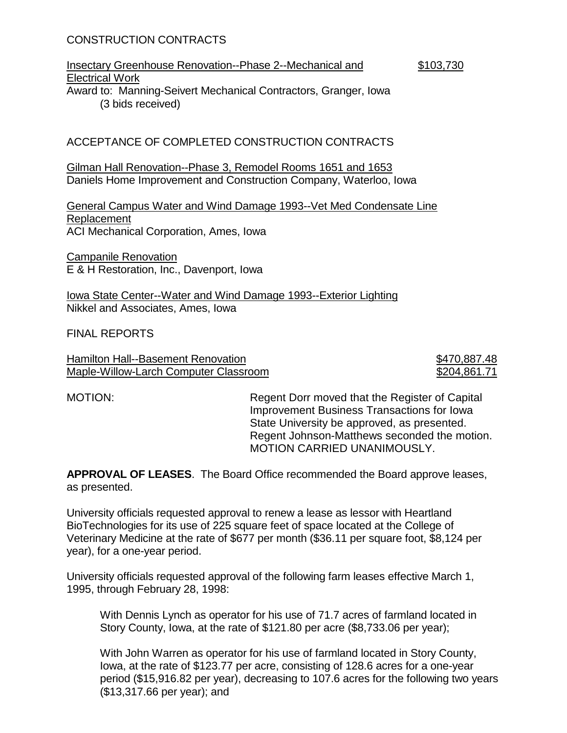## CONSTRUCTION CONTRACTS

#### Insectary Greenhouse Renovation--Phase 2--Mechanical and \$103,730 Electrical Work Award to: Manning-Seivert Mechanical Contractors, Granger, Iowa (3 bids received)

## ACCEPTANCE OF COMPLETED CONSTRUCTION CONTRACTS

Gilman Hall Renovation--Phase 3, Remodel Rooms 1651 and 1653 Daniels Home Improvement and Construction Company, Waterloo, Iowa

General Campus Water and Wind Damage 1993--Vet Med Condensate Line Replacement ACI Mechanical Corporation, Ames, Iowa

Campanile Renovation E & H Restoration, Inc., Davenport, Iowa

Iowa State Center--Water and Wind Damage 1993--Exterior Lighting Nikkel and Associates, Ames, Iowa

FINAL REPORTS

Hamilton Hall--Basement Renovation **\$470,887.48** Maple-Willow-Larch Computer Classroom  $$204,861.71$ 

MOTION: Regent Dorr moved that the Register of Capital Improvement Business Transactions for Iowa State University be approved, as presented. Regent Johnson-Matthews seconded the motion. MOTION CARRIED UNANIMOUSLY.

**APPROVAL OF LEASES**. The Board Office recommended the Board approve leases, as presented.

University officials requested approval to renew a lease as lessor with Heartland BioTechnologies for its use of 225 square feet of space located at the College of Veterinary Medicine at the rate of \$677 per month (\$36.11 per square foot, \$8,124 per year), for a one-year period.

University officials requested approval of the following farm leases effective March 1, 1995, through February 28, 1998:

With Dennis Lynch as operator for his use of 71.7 acres of farmland located in Story County, Iowa, at the rate of \$121.80 per acre (\$8,733.06 per year);

With John Warren as operator for his use of farmland located in Story County, Iowa, at the rate of \$123.77 per acre, consisting of 128.6 acres for a one-year period (\$15,916.82 per year), decreasing to 107.6 acres for the following two years (\$13,317.66 per year); and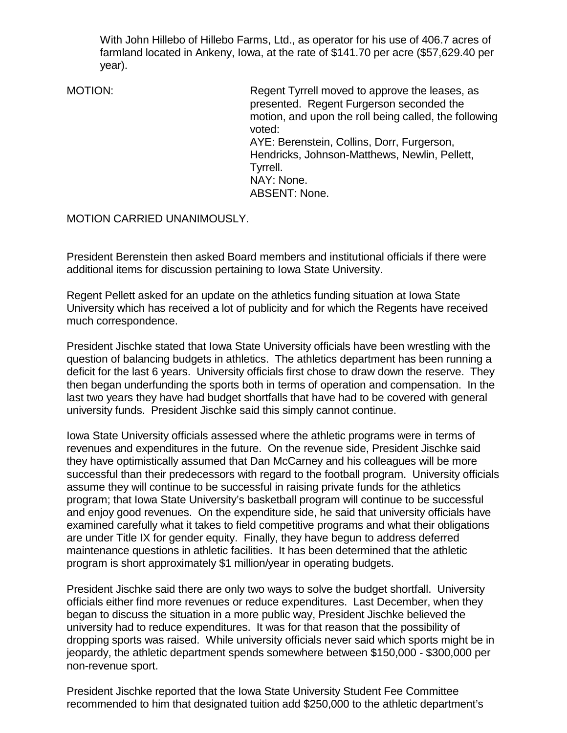With John Hillebo of Hillebo Farms, Ltd., as operator for his use of 406.7 acres of farmland located in Ankeny, Iowa, at the rate of \$141.70 per acre (\$57,629.40 per year).

MOTION: MOTION: Regent Tyrrell moved to approve the leases, as presented. Regent Furgerson seconded the motion, and upon the roll being called, the following voted: AYE: Berenstein, Collins, Dorr, Furgerson, Hendricks, Johnson-Matthews, Newlin, Pellett, Tyrrell. NAY: None. ABSENT: None.

MOTION CARRIED UNANIMOUSLY.

President Berenstein then asked Board members and institutional officials if there were additional items for discussion pertaining to Iowa State University.

Regent Pellett asked for an update on the athletics funding situation at Iowa State University which has received a lot of publicity and for which the Regents have received much correspondence.

President Jischke stated that Iowa State University officials have been wrestling with the question of balancing budgets in athletics. The athletics department has been running a deficit for the last 6 years. University officials first chose to draw down the reserve. They then began underfunding the sports both in terms of operation and compensation. In the last two years they have had budget shortfalls that have had to be covered with general university funds. President Jischke said this simply cannot continue.

Iowa State University officials assessed where the athletic programs were in terms of revenues and expenditures in the future. On the revenue side, President Jischke said they have optimistically assumed that Dan McCarney and his colleagues will be more successful than their predecessors with regard to the football program. University officials assume they will continue to be successful in raising private funds for the athletics program; that Iowa State University's basketball program will continue to be successful and enjoy good revenues. On the expenditure side, he said that university officials have examined carefully what it takes to field competitive programs and what their obligations are under Title IX for gender equity. Finally, they have begun to address deferred maintenance questions in athletic facilities. It has been determined that the athletic program is short approximately \$1 million/year in operating budgets.

President Jischke said there are only two ways to solve the budget shortfall. University officials either find more revenues or reduce expenditures. Last December, when they began to discuss the situation in a more public way, President Jischke believed the university had to reduce expenditures. It was for that reason that the possibility of dropping sports was raised. While university officials never said which sports might be in jeopardy, the athletic department spends somewhere between \$150,000 - \$300,000 per non-revenue sport.

President Jischke reported that the Iowa State University Student Fee Committee recommended to him that designated tuition add \$250,000 to the athletic department's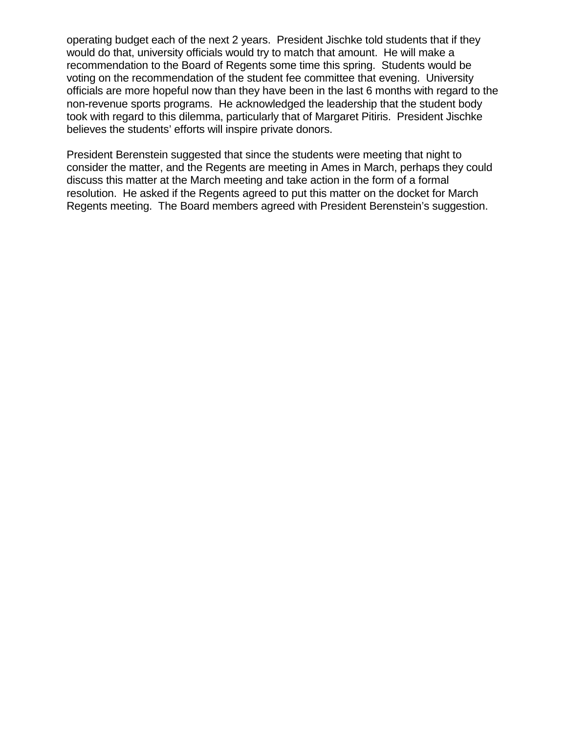operating budget each of the next 2 years. President Jischke told students that if they would do that, university officials would try to match that amount. He will make a recommendation to the Board of Regents some time this spring. Students would be voting on the recommendation of the student fee committee that evening. University officials are more hopeful now than they have been in the last 6 months with regard to the non-revenue sports programs. He acknowledged the leadership that the student body took with regard to this dilemma, particularly that of Margaret Pitiris. President Jischke believes the students' efforts will inspire private donors.

President Berenstein suggested that since the students were meeting that night to consider the matter, and the Regents are meeting in Ames in March, perhaps they could discuss this matter at the March meeting and take action in the form of a formal resolution. He asked if the Regents agreed to put this matter on the docket for March Regents meeting. The Board members agreed with President Berenstein's suggestion.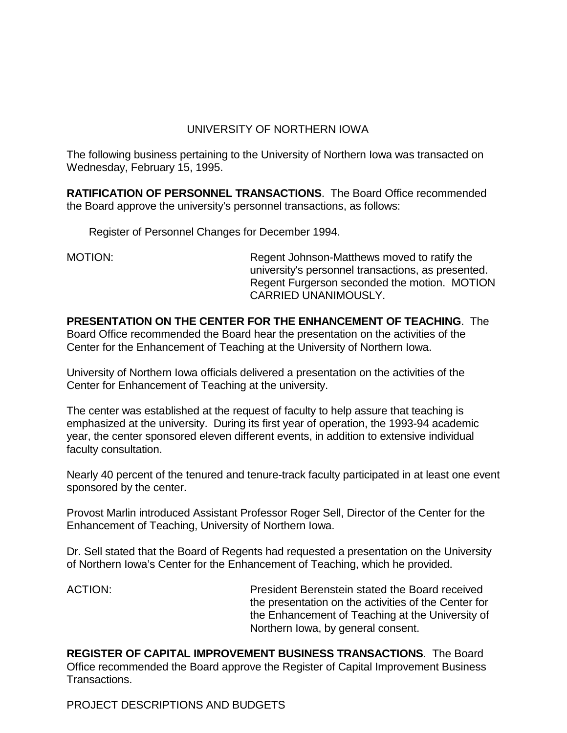# UNIVERSITY OF NORTHERN IOWA

The following business pertaining to the University of Northern Iowa was transacted on Wednesday, February 15, 1995.

**RATIFICATION OF PERSONNEL TRANSACTIONS**. The Board Office recommended the Board approve the university's personnel transactions, as follows:

Register of Personnel Changes for December 1994.

MOTION: Regent Johnson-Matthews moved to ratify the university's personnel transactions, as presented. Regent Furgerson seconded the motion. MOTION CARRIED UNANIMOUSLY.

**PRESENTATION ON THE CENTER FOR THE ENHANCEMENT OF TEACHING**. The Board Office recommended the Board hear the presentation on the activities of the Center for the Enhancement of Teaching at the University of Northern Iowa.

University of Northern Iowa officials delivered a presentation on the activities of the Center for Enhancement of Teaching at the university.

The center was established at the request of faculty to help assure that teaching is emphasized at the university. During its first year of operation, the 1993-94 academic year, the center sponsored eleven different events, in addition to extensive individual faculty consultation.

Nearly 40 percent of the tenured and tenure-track faculty participated in at least one event sponsored by the center.

Provost Marlin introduced Assistant Professor Roger Sell, Director of the Center for the Enhancement of Teaching, University of Northern Iowa.

Dr. Sell stated that the Board of Regents had requested a presentation on the University of Northern Iowa's Center for the Enhancement of Teaching, which he provided.

ACTION: President Berenstein stated the Board received the presentation on the activities of the Center for the Enhancement of Teaching at the University of Northern Iowa, by general consent.

**REGISTER OF CAPITAL IMPROVEMENT BUSINESS TRANSACTIONS**. The Board Office recommended the Board approve the Register of Capital Improvement Business Transactions.

PROJECT DESCRIPTIONS AND BUDGETS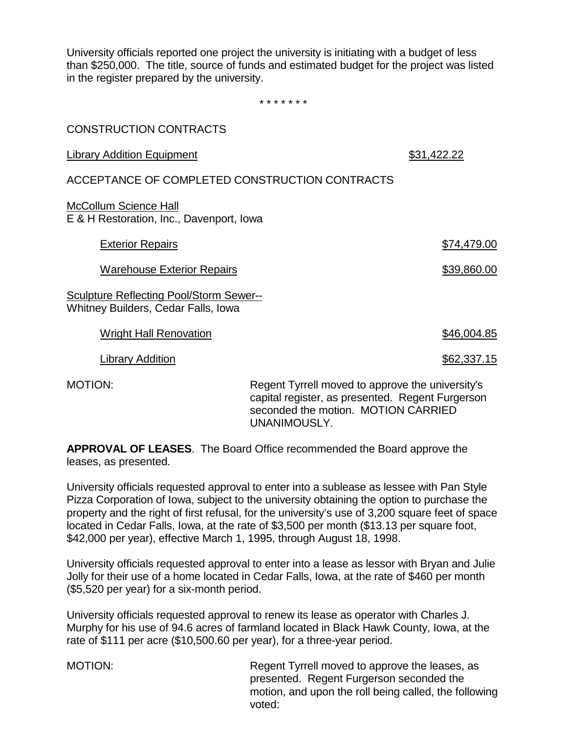University officials reported one project the university is initiating with a budget of less than \$250,000. The title, source of funds and estimated budget for the project was listed in the register prepared by the university.

\* \* \* \* \* \* \*

| <b>CONSTRUCTION CONTRACTS</b>                                                         |                                                                                                      |             |
|---------------------------------------------------------------------------------------|------------------------------------------------------------------------------------------------------|-------------|
| <b>Library Addition Equipment</b>                                                     |                                                                                                      | \$31,422.22 |
| ACCEPTANCE OF COMPLETED CONSTRUCTION CONTRACTS                                        |                                                                                                      |             |
| <b>McCollum Science Hall</b><br>E & H Restoration, Inc., Davenport, Iowa              |                                                                                                      |             |
| <b>Exterior Repairs</b>                                                               |                                                                                                      | \$74,479.00 |
| <b>Warehouse Exterior Repairs</b>                                                     |                                                                                                      | \$39,860.00 |
| Sculpture Reflecting Pool/Storm Sewer--<br><b>Whitney Builders, Cedar Falls, Iowa</b> |                                                                                                      |             |
| <b>Wright Hall Renovation</b>                                                         |                                                                                                      | \$46,004.85 |
| <b>Library Addition</b>                                                               |                                                                                                      | \$62,337.15 |
| <b>MOTION:</b>                                                                        | Regent Tyrrell moved to approve the university's<br>capital register, as presented. Regent Furgerson |             |

**APPROVAL OF LEASES**. The Board Office recommended the Board approve the leases, as presented.

University officials requested approval to enter into a sublease as lessee with Pan Style Pizza Corporation of Iowa, subject to the university obtaining the option to purchase the property and the right of first refusal, for the university's use of 3,200 square feet of space located in Cedar Falls, Iowa, at the rate of \$3,500 per month (\$13.13 per square foot, \$42,000 per year), effective March 1, 1995, through August 18, 1998.

UNANIMOUSLY.

University officials requested approval to enter into a lease as lessor with Bryan and Julie Jolly for their use of a home located in Cedar Falls, Iowa, at the rate of \$460 per month (\$5,520 per year) for a six-month period.

University officials requested approval to renew its lease as operator with Charles J. Murphy for his use of 94.6 acres of farmland located in Black Hawk County, Iowa, at the rate of \$111 per acre (\$10,500.60 per year), for a three-year period.

MOTION: Regent Tyrrell moved to approve the leases, as presented. Regent Furgerson seconded the motion, and upon the roll being called, the following voted:

seconded the motion. MOTION CARRIED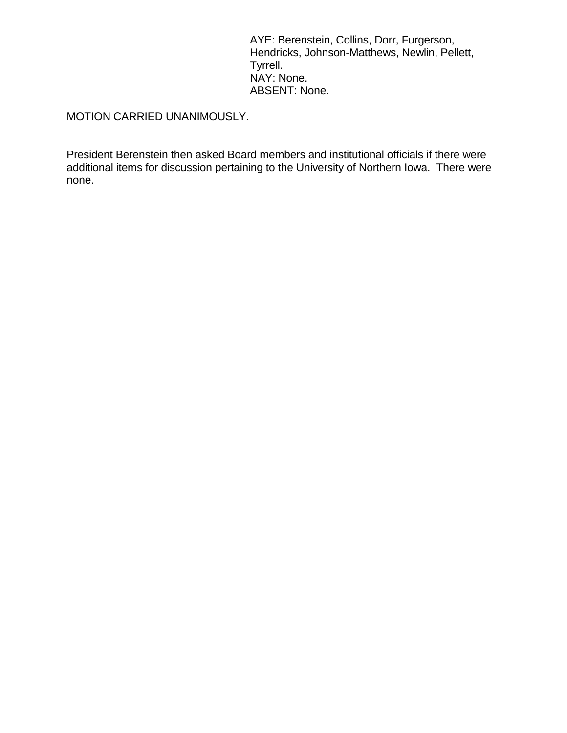AYE: Berenstein, Collins, Dorr, Furgerson, Hendricks, Johnson-Matthews, Newlin, Pellett, Tyrrell. NAY: None. ABSENT: None.

MOTION CARRIED UNANIMOUSLY.

President Berenstein then asked Board members and institutional officials if there were additional items for discussion pertaining to the University of Northern Iowa. There were none.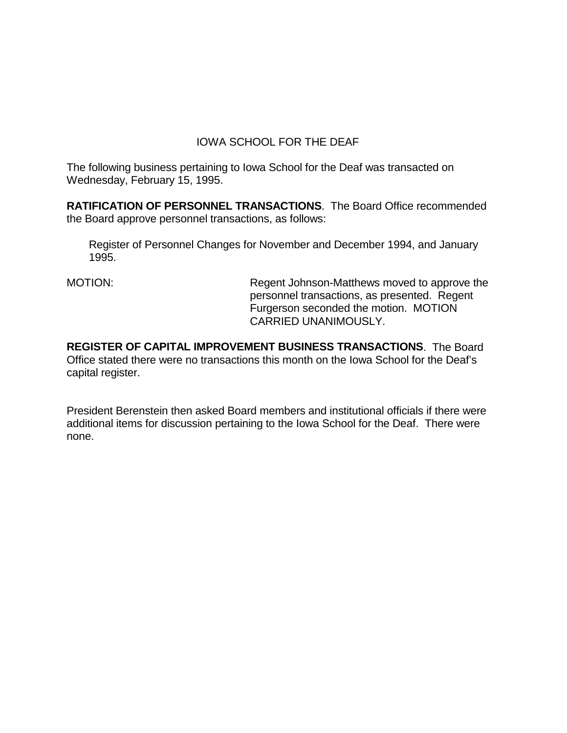## IOWA SCHOOL FOR THE DEAF

The following business pertaining to Iowa School for the Deaf was transacted on Wednesday, February 15, 1995.

**RATIFICATION OF PERSONNEL TRANSACTIONS**. The Board Office recommended the Board approve personnel transactions, as follows:

Register of Personnel Changes for November and December 1994, and January 1995.

MOTION: Regent Johnson-Matthews moved to approve the personnel transactions, as presented. Regent Furgerson seconded the motion. MOTION CARRIED UNANIMOUSLY.

**REGISTER OF CAPITAL IMPROVEMENT BUSINESS TRANSACTIONS**. The Board Office stated there were no transactions this month on the Iowa School for the Deaf's capital register.

President Berenstein then asked Board members and institutional officials if there were additional items for discussion pertaining to the Iowa School for the Deaf. There were none.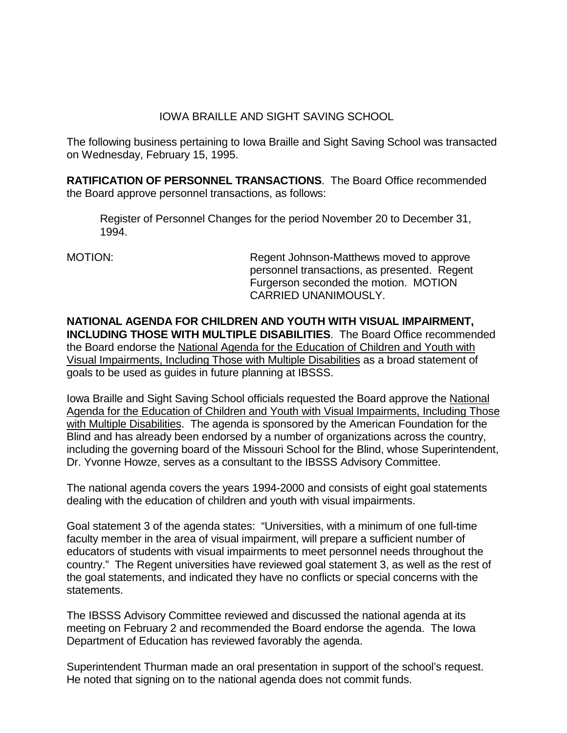## IOWA BRAILLE AND SIGHT SAVING SCHOOL

The following business pertaining to Iowa Braille and Sight Saving School was transacted on Wednesday, February 15, 1995.

**RATIFICATION OF PERSONNEL TRANSACTIONS**. The Board Office recommended the Board approve personnel transactions, as follows:

Register of Personnel Changes for the period November 20 to December 31, 1994.

MOTION: Regent Johnson-Matthews moved to approve personnel transactions, as presented. Regent Furgerson seconded the motion. MOTION CARRIED UNANIMOUSLY.

**NATIONAL AGENDA FOR CHILDREN AND YOUTH WITH VISUAL IMPAIRMENT, INCLUDING THOSE WITH MULTIPLE DISABILITIES**. The Board Office recommended the Board endorse the National Agenda for the Education of Children and Youth with Visual Impairments, Including Those with Multiple Disabilities as a broad statement of goals to be used as guides in future planning at IBSSS.

Iowa Braille and Sight Saving School officials requested the Board approve the National Agenda for the Education of Children and Youth with Visual Impairments, Including Those with Multiple Disabilities. The agenda is sponsored by the American Foundation for the Blind and has already been endorsed by a number of organizations across the country, including the governing board of the Missouri School for the Blind, whose Superintendent, Dr. Yvonne Howze, serves as a consultant to the IBSSS Advisory Committee.

The national agenda covers the years 1994-2000 and consists of eight goal statements dealing with the education of children and youth with visual impairments.

Goal statement 3 of the agenda states: "Universities, with a minimum of one full-time faculty member in the area of visual impairment, will prepare a sufficient number of educators of students with visual impairments to meet personnel needs throughout the country." The Regent universities have reviewed goal statement 3, as well as the rest of the goal statements, and indicated they have no conflicts or special concerns with the statements.

The IBSSS Advisory Committee reviewed and discussed the national agenda at its meeting on February 2 and recommended the Board endorse the agenda. The Iowa Department of Education has reviewed favorably the agenda.

Superintendent Thurman made an oral presentation in support of the school's request. He noted that signing on to the national agenda does not commit funds.